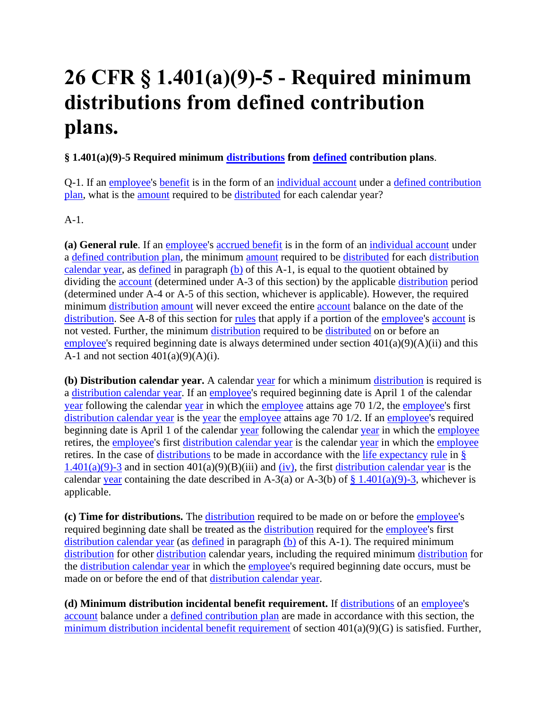# **26 CFR § 1.401(a)(9)-5 - Required minimum distributions from defined contribution plans.**

## **§ 1.401(a)(9)-5 Required minimum [distributions](https://www.law.cornell.edu/definitions/index.php?width=840&height=800&iframe=true&def_id=e8d476c1b4aba17778317e7d24ab594a&term_occur=999&term_src=Title:26:Chapter:I:Subchapter:A:Part:1:Subjgrp:2:1.401(a)(9)-5) from [defined](https://www.law.cornell.edu/definitions/index.php?width=840&height=800&iframe=true&def_id=9bc15e20ef3eaa4f45fd661aa756d465&term_occur=999&term_src=Title:26:Chapter:I:Subchapter:A:Part:1:Subjgrp:2:1.401(a)(9)-5) contribution plans**.

Q-1. If an [employee's](https://www.law.cornell.edu/definitions/index.php?width=840&height=800&iframe=true&def_id=5d8fbd8ea279aa8f9f55233cd860b35d&term_occur=999&term_src=Title:26:Chapter:I:Subchapter:A:Part:1:Subjgrp:2:1.401(a)(9)-5) [benefit](https://www.law.cornell.edu/definitions/index.php?width=840&height=800&iframe=true&def_id=d182633c42c881f75c8112278d830a5d&term_occur=999&term_src=Title:26:Chapter:I:Subchapter:A:Part:1:Subjgrp:2:1.401(a)(9)-5) is in the form of an [individual account](https://www.law.cornell.edu/definitions/index.php?width=840&height=800&iframe=true&def_id=35b582a493b393a320c977ceaae6cc93&term_occur=999&term_src=Title:26:Chapter:I:Subchapter:A:Part:1:Subjgrp:2:1.401(a)(9)-5) under a [defined contribution](https://www.law.cornell.edu/definitions/index.php?width=840&height=800&iframe=true&def_id=328253589037cb93d2a311a460e338dd&term_occur=999&term_src=Title:26:Chapter:I:Subchapter:A:Part:1:Subjgrp:2:1.401(a)(9)-5)  [plan,](https://www.law.cornell.edu/definitions/index.php?width=840&height=800&iframe=true&def_id=328253589037cb93d2a311a460e338dd&term_occur=999&term_src=Title:26:Chapter:I:Subchapter:A:Part:1:Subjgrp:2:1.401(a)(9)-5) what is the [amount](https://www.law.cornell.edu/definitions/index.php?width=840&height=800&iframe=true&def_id=661fb5529bda5e7b12e0c516a1a1473f&term_occur=999&term_src=Title:26:Chapter:I:Subchapter:A:Part:1:Subjgrp:2:1.401(a)(9)-5) required to be [distributed](https://www.law.cornell.edu/definitions/index.php?width=840&height=800&iframe=true&def_id=04e98b7c1e36a49ad26f498d5f78fe8c&term_occur=999&term_src=Title:26:Chapter:I:Subchapter:A:Part:1:Subjgrp:2:1.401(a)(9)-5) for each calendar year?

A-1.

**(a) General rule**. If an [employee'](https://www.law.cornell.edu/definitions/index.php?width=840&height=800&iframe=true&def_id=5d8fbd8ea279aa8f9f55233cd860b35d&term_occur=999&term_src=Title:26:Chapter:I:Subchapter:A:Part:1:Subjgrp:2:1.401(a)(9)-5)s [accrued benefit](https://www.law.cornell.edu/definitions/index.php?width=840&height=800&iframe=true&def_id=c958ba4e98d73d14a946a34eca6a7b76&term_occur=999&term_src=Title:26:Chapter:I:Subchapter:A:Part:1:Subjgrp:2:1.401(a)(9)-5) is in the form of an [individual account](https://www.law.cornell.edu/definitions/index.php?width=840&height=800&iframe=true&def_id=35b582a493b393a320c977ceaae6cc93&term_occur=999&term_src=Title:26:Chapter:I:Subchapter:A:Part:1:Subjgrp:2:1.401(a)(9)-5) under a [defined contribution plan,](https://www.law.cornell.edu/definitions/index.php?width=840&height=800&iframe=true&def_id=328253589037cb93d2a311a460e338dd&term_occur=999&term_src=Title:26:Chapter:I:Subchapter:A:Part:1:Subjgrp:2:1.401(a)(9)-5) the minimum [amount](https://www.law.cornell.edu/definitions/index.php?width=840&height=800&iframe=true&def_id=661fb5529bda5e7b12e0c516a1a1473f&term_occur=999&term_src=Title:26:Chapter:I:Subchapter:A:Part:1:Subjgrp:2:1.401(a)(9)-5) required to be [distributed](https://www.law.cornell.edu/definitions/index.php?width=840&height=800&iframe=true&def_id=04e98b7c1e36a49ad26f498d5f78fe8c&term_occur=999&term_src=Title:26:Chapter:I:Subchapter:A:Part:1:Subjgrp:2:1.401(a)(9)-5) for each [distribution](https://www.law.cornell.edu/definitions/index.php?width=840&height=800&iframe=true&def_id=1368c1115b8accd5c0299dd351c5ce12&term_occur=999&term_src=Title:26:Chapter:I:Subchapter:A:Part:1:Subjgrp:2:1.401(a)(9)-5)  [calendar year,](https://www.law.cornell.edu/definitions/index.php?width=840&height=800&iframe=true&def_id=1368c1115b8accd5c0299dd351c5ce12&term_occur=999&term_src=Title:26:Chapter:I:Subchapter:A:Part:1:Subjgrp:2:1.401(a)(9)-5) as [defined](https://www.law.cornell.edu/definitions/index.php?width=840&height=800&iframe=true&def_id=9bc15e20ef3eaa4f45fd661aa756d465&term_occur=999&term_src=Title:26:Chapter:I:Subchapter:A:Part:1:Subjgrp:2:1.401(a)(9)-5) in paragraph [\(b\)](https://www.law.cornell.edu/definitions/index.php?width=840&height=800&iframe=true&def_id=6aef00213f9cf73eb008d8bb08598aca&term_occur=999&term_src=Title:26:Chapter:I:Subchapter:A:Part:1:Subjgrp:2:1.401(a)(9)-5) of this A-1, is equal to the quotient obtained by dividing the [account](https://www.law.cornell.edu/definitions/index.php?width=840&height=800&iframe=true&def_id=c3b57a31fc226d7b84e26175afe251f2&term_occur=999&term_src=Title:26:Chapter:I:Subchapter:A:Part:1:Subjgrp:2:1.401(a)(9)-5) (determined under A-3 of this section) by the applicable [distribution](https://www.law.cornell.edu/definitions/index.php?width=840&height=800&iframe=true&def_id=c77697945d34b55b17c827aaeb8358b9&term_occur=999&term_src=Title:26:Chapter:I:Subchapter:A:Part:1:Subjgrp:2:1.401(a)(9)-5) period (determined under A-4 or A-5 of this section, whichever is applicable). However, the required minimum [distribution](https://www.law.cornell.edu/definitions/index.php?width=840&height=800&iframe=true&def_id=c77697945d34b55b17c827aaeb8358b9&term_occur=999&term_src=Title:26:Chapter:I:Subchapter:A:Part:1:Subjgrp:2:1.401(a)(9)-5) [amount](https://www.law.cornell.edu/definitions/index.php?width=840&height=800&iframe=true&def_id=661fb5529bda5e7b12e0c516a1a1473f&term_occur=999&term_src=Title:26:Chapter:I:Subchapter:A:Part:1:Subjgrp:2:1.401(a)(9)-5) will never exceed the entire [account](https://www.law.cornell.edu/definitions/index.php?width=840&height=800&iframe=true&def_id=c3b57a31fc226d7b84e26175afe251f2&term_occur=999&term_src=Title:26:Chapter:I:Subchapter:A:Part:1:Subjgrp:2:1.401(a)(9)-5) balance on the date of the [distribution.](https://www.law.cornell.edu/definitions/index.php?width=840&height=800&iframe=true&def_id=c77697945d34b55b17c827aaeb8358b9&term_occur=999&term_src=Title:26:Chapter:I:Subchapter:A:Part:1:Subjgrp:2:1.401(a)(9)-5) See A-8 of this section for [rules](https://www.law.cornell.edu/definitions/index.php?width=840&height=800&iframe=true&def_id=46bcdb5568d6a75306ff954291e17ab8&term_occur=999&term_src=Title:26:Chapter:I:Subchapter:A:Part:1:Subjgrp:2:1.401(a)(9)-5) that apply if a portion of the [employee'](https://www.law.cornell.edu/definitions/index.php?width=840&height=800&iframe=true&def_id=5d8fbd8ea279aa8f9f55233cd860b35d&term_occur=999&term_src=Title:26:Chapter:I:Subchapter:A:Part:1:Subjgrp:2:1.401(a)(9)-5)s [account](https://www.law.cornell.edu/definitions/index.php?width=840&height=800&iframe=true&def_id=c3b57a31fc226d7b84e26175afe251f2&term_occur=999&term_src=Title:26:Chapter:I:Subchapter:A:Part:1:Subjgrp:2:1.401(a)(9)-5) is not vested. Further, the minimum [distribution](https://www.law.cornell.edu/definitions/index.php?width=840&height=800&iframe=true&def_id=c77697945d34b55b17c827aaeb8358b9&term_occur=999&term_src=Title:26:Chapter:I:Subchapter:A:Part:1:Subjgrp:2:1.401(a)(9)-5) required to be [distributed](https://www.law.cornell.edu/definitions/index.php?width=840&height=800&iframe=true&def_id=04e98b7c1e36a49ad26f498d5f78fe8c&term_occur=999&term_src=Title:26:Chapter:I:Subchapter:A:Part:1:Subjgrp:2:1.401(a)(9)-5) on or before an [employee's](https://www.law.cornell.edu/definitions/index.php?width=840&height=800&iframe=true&def_id=5d8fbd8ea279aa8f9f55233cd860b35d&term_occur=999&term_src=Title:26:Chapter:I:Subchapter:A:Part:1:Subjgrp:2:1.401(a)(9)-5) required beginning date is always determined under section 401(a)(9)(A)(ii) and this A-1 and not section  $401(a)(9)(A)(i)$ .

**(b) Distribution calendar year.** A calendar [year](https://www.law.cornell.edu/definitions/index.php?width=840&height=800&iframe=true&def_id=41a60a8d42ad9f7a78551674b98031a8&term_occur=999&term_src=Title:26:Chapter:I:Subchapter:A:Part:1:Subjgrp:2:1.401(a)(9)-5) for which a minimum [distribution](https://www.law.cornell.edu/definitions/index.php?width=840&height=800&iframe=true&def_id=c77697945d34b55b17c827aaeb8358b9&term_occur=999&term_src=Title:26:Chapter:I:Subchapter:A:Part:1:Subjgrp:2:1.401(a)(9)-5) is required is a [distribution calendar year.](https://www.law.cornell.edu/definitions/index.php?width=840&height=800&iframe=true&def_id=1368c1115b8accd5c0299dd351c5ce12&term_occur=999&term_src=Title:26:Chapter:I:Subchapter:A:Part:1:Subjgrp:2:1.401(a)(9)-5) If an [employee'](https://www.law.cornell.edu/definitions/index.php?width=840&height=800&iframe=true&def_id=5d8fbd8ea279aa8f9f55233cd860b35d&term_occur=999&term_src=Title:26:Chapter:I:Subchapter:A:Part:1:Subjgrp:2:1.401(a)(9)-5)s required beginning date is April 1 of the calendar [year](https://www.law.cornell.edu/definitions/index.php?width=840&height=800&iframe=true&def_id=41a60a8d42ad9f7a78551674b98031a8&term_occur=999&term_src=Title:26:Chapter:I:Subchapter:A:Part:1:Subjgrp:2:1.401(a)(9)-5) following the calendar [year](https://www.law.cornell.edu/definitions/index.php?width=840&height=800&iframe=true&def_id=41a60a8d42ad9f7a78551674b98031a8&term_occur=999&term_src=Title:26:Chapter:I:Subchapter:A:Part:1:Subjgrp:2:1.401(a)(9)-5) in which the [employee](https://www.law.cornell.edu/definitions/index.php?width=840&height=800&iframe=true&def_id=5d8fbd8ea279aa8f9f55233cd860b35d&term_occur=999&term_src=Title:26:Chapter:I:Subchapter:A:Part:1:Subjgrp:2:1.401(a)(9)-5) attains age 70 1/2, the [employee's](https://www.law.cornell.edu/definitions/index.php?width=840&height=800&iframe=true&def_id=5d8fbd8ea279aa8f9f55233cd860b35d&term_occur=999&term_src=Title:26:Chapter:I:Subchapter:A:Part:1:Subjgrp:2:1.401(a)(9)-5) first [distribution calendar year](https://www.law.cornell.edu/definitions/index.php?width=840&height=800&iframe=true&def_id=1368c1115b8accd5c0299dd351c5ce12&term_occur=999&term_src=Title:26:Chapter:I:Subchapter:A:Part:1:Subjgrp:2:1.401(a)(9)-5) is the [year](https://www.law.cornell.edu/definitions/index.php?width=840&height=800&iframe=true&def_id=41a60a8d42ad9f7a78551674b98031a8&term_occur=999&term_src=Title:26:Chapter:I:Subchapter:A:Part:1:Subjgrp:2:1.401(a)(9)-5) the [employee](https://www.law.cornell.edu/definitions/index.php?width=840&height=800&iframe=true&def_id=5d8fbd8ea279aa8f9f55233cd860b35d&term_occur=999&term_src=Title:26:Chapter:I:Subchapter:A:Part:1:Subjgrp:2:1.401(a)(9)-5) attains age 70 1/2. If an [employee's](https://www.law.cornell.edu/definitions/index.php?width=840&height=800&iframe=true&def_id=5d8fbd8ea279aa8f9f55233cd860b35d&term_occur=999&term_src=Title:26:Chapter:I:Subchapter:A:Part:1:Subjgrp:2:1.401(a)(9)-5) required beginning date is April 1 of the calendar [year](https://www.law.cornell.edu/definitions/index.php?width=840&height=800&iframe=true&def_id=41a60a8d42ad9f7a78551674b98031a8&term_occur=999&term_src=Title:26:Chapter:I:Subchapter:A:Part:1:Subjgrp:2:1.401(a)(9)-5) following the calendar year in which the [employee](https://www.law.cornell.edu/definitions/index.php?width=840&height=800&iframe=true&def_id=5d8fbd8ea279aa8f9f55233cd860b35d&term_occur=999&term_src=Title:26:Chapter:I:Subchapter:A:Part:1:Subjgrp:2:1.401(a)(9)-5) retires, the [employee's](https://www.law.cornell.edu/definitions/index.php?width=840&height=800&iframe=true&def_id=5d8fbd8ea279aa8f9f55233cd860b35d&term_occur=999&term_src=Title:26:Chapter:I:Subchapter:A:Part:1:Subjgrp:2:1.401(a)(9)-5) first [distribution calendar year](https://www.law.cornell.edu/definitions/index.php?width=840&height=800&iframe=true&def_id=1368c1115b8accd5c0299dd351c5ce12&term_occur=999&term_src=Title:26:Chapter:I:Subchapter:A:Part:1:Subjgrp:2:1.401(a)(9)-5) is the calendar [year](https://www.law.cornell.edu/definitions/index.php?width=840&height=800&iframe=true&def_id=41a60a8d42ad9f7a78551674b98031a8&term_occur=999&term_src=Title:26:Chapter:I:Subchapter:A:Part:1:Subjgrp:2:1.401(a)(9)-5) in which the [employee](https://www.law.cornell.edu/definitions/index.php?width=840&height=800&iframe=true&def_id=5d8fbd8ea279aa8f9f55233cd860b35d&term_occur=999&term_src=Title:26:Chapter:I:Subchapter:A:Part:1:Subjgrp:2:1.401(a)(9)-5) retires. In the case of [distributions](https://www.law.cornell.edu/definitions/index.php?width=840&height=800&iframe=true&def_id=e8d476c1b4aba17778317e7d24ab594a&term_occur=999&term_src=Title:26:Chapter:I:Subchapter:A:Part:1:Subjgrp:2:1.401(a)(9)-5) to be made in accordance with the [life expectancy](https://www.law.cornell.edu/definitions/index.php?width=840&height=800&iframe=true&def_id=564d30d03abc28ceb49b7968bc972770&term_occur=999&term_src=Title:26:Chapter:I:Subchapter:A:Part:1:Subjgrp:2:1.401(a)(9)-5) [rule](https://www.law.cornell.edu/definitions/index.php?width=840&height=800&iframe=true&def_id=46bcdb5568d6a75306ff954291e17ab8&term_occur=999&term_src=Title:26:Chapter:I:Subchapter:A:Part:1:Subjgrp:2:1.401(a)(9)-5) in [§](https://www.law.cornell.edu/cfr/text/26/1.401#a_9)   $1.401(a)(9)$ -3 and in section  $401(a)(9)(B)(iii)$  and [\(iv\),](https://www.law.cornell.edu/definitions/index.php?width=840&height=800&iframe=true&def_id=736ad18590d1eace09b8be117ccb7911&term_occur=999&term_src=Title:26:Chapter:I:Subchapter:A:Part:1:Subjgrp:2:1.401(a)(9)-5) the first [distribution calendar year](https://www.law.cornell.edu/definitions/index.php?width=840&height=800&iframe=true&def_id=1368c1115b8accd5c0299dd351c5ce12&term_occur=999&term_src=Title:26:Chapter:I:Subchapter:A:Part:1:Subjgrp:2:1.401(a)(9)-5) is the calendar [year](https://www.law.cornell.edu/definitions/index.php?width=840&height=800&iframe=true&def_id=41a60a8d42ad9f7a78551674b98031a8&term_occur=999&term_src=Title:26:Chapter:I:Subchapter:A:Part:1:Subjgrp:2:1.401(a)(9)-5) containing the date described in A-3(a) or A-3(b) of  $\frac{8}{9}$  1.401(a)(9)-3, whichever is applicable.

**(c) Time for distributions.** The [distribution](https://www.law.cornell.edu/definitions/index.php?width=840&height=800&iframe=true&def_id=c77697945d34b55b17c827aaeb8358b9&term_occur=999&term_src=Title:26:Chapter:I:Subchapter:A:Part:1:Subjgrp:2:1.401(a)(9)-5) required to be made on or before the [employee'](https://www.law.cornell.edu/definitions/index.php?width=840&height=800&iframe=true&def_id=5d8fbd8ea279aa8f9f55233cd860b35d&term_occur=999&term_src=Title:26:Chapter:I:Subchapter:A:Part:1:Subjgrp:2:1.401(a)(9)-5)s required beginning date shall be treated as the [distribution](https://www.law.cornell.edu/definitions/index.php?width=840&height=800&iframe=true&def_id=c77697945d34b55b17c827aaeb8358b9&term_occur=999&term_src=Title:26:Chapter:I:Subchapter:A:Part:1:Subjgrp:2:1.401(a)(9)-5) required for the [employee'](https://www.law.cornell.edu/definitions/index.php?width=840&height=800&iframe=true&def_id=5d8fbd8ea279aa8f9f55233cd860b35d&term_occur=999&term_src=Title:26:Chapter:I:Subchapter:A:Part:1:Subjgrp:2:1.401(a)(9)-5)s first [distribution calendar year](https://www.law.cornell.edu/definitions/index.php?width=840&height=800&iframe=true&def_id=1368c1115b8accd5c0299dd351c5ce12&term_occur=999&term_src=Title:26:Chapter:I:Subchapter:A:Part:1:Subjgrp:2:1.401(a)(9)-5) (as [defined](https://www.law.cornell.edu/definitions/index.php?width=840&height=800&iframe=true&def_id=9bc15e20ef3eaa4f45fd661aa756d465&term_occur=999&term_src=Title:26:Chapter:I:Subchapter:A:Part:1:Subjgrp:2:1.401(a)(9)-5) in paragraph  $(b)$  of this A-1). The required minimum [distribution](https://www.law.cornell.edu/definitions/index.php?width=840&height=800&iframe=true&def_id=c77697945d34b55b17c827aaeb8358b9&term_occur=999&term_src=Title:26:Chapter:I:Subchapter:A:Part:1:Subjgrp:2:1.401(a)(9)-5) for other [distribution](https://www.law.cornell.edu/definitions/index.php?width=840&height=800&iframe=true&def_id=c77697945d34b55b17c827aaeb8358b9&term_occur=999&term_src=Title:26:Chapter:I:Subchapter:A:Part:1:Subjgrp:2:1.401(a)(9)-5) calendar years, including the required minimum [distribution](https://www.law.cornell.edu/definitions/index.php?width=840&height=800&iframe=true&def_id=c77697945d34b55b17c827aaeb8358b9&term_occur=999&term_src=Title:26:Chapter:I:Subchapter:A:Part:1:Subjgrp:2:1.401(a)(9)-5) for the [distribution calendar year](https://www.law.cornell.edu/definitions/index.php?width=840&height=800&iframe=true&def_id=1368c1115b8accd5c0299dd351c5ce12&term_occur=999&term_src=Title:26:Chapter:I:Subchapter:A:Part:1:Subjgrp:2:1.401(a)(9)-5) in which the [employee'](https://www.law.cornell.edu/definitions/index.php?width=840&height=800&iframe=true&def_id=5d8fbd8ea279aa8f9f55233cd860b35d&term_occur=999&term_src=Title:26:Chapter:I:Subchapter:A:Part:1:Subjgrp:2:1.401(a)(9)-5)s required beginning date occurs, must be made on or before the end of that [distribution calendar year.](https://www.law.cornell.edu/definitions/index.php?width=840&height=800&iframe=true&def_id=1368c1115b8accd5c0299dd351c5ce12&term_occur=999&term_src=Title:26:Chapter:I:Subchapter:A:Part:1:Subjgrp:2:1.401(a)(9)-5)

**(d) Minimum distribution incidental benefit requirement.** If [distributions](https://www.law.cornell.edu/definitions/index.php?width=840&height=800&iframe=true&def_id=e8d476c1b4aba17778317e7d24ab594a&term_occur=999&term_src=Title:26:Chapter:I:Subchapter:A:Part:1:Subjgrp:2:1.401(a)(9)-5) of an [employee's](https://www.law.cornell.edu/definitions/index.php?width=840&height=800&iframe=true&def_id=5d8fbd8ea279aa8f9f55233cd860b35d&term_occur=999&term_src=Title:26:Chapter:I:Subchapter:A:Part:1:Subjgrp:2:1.401(a)(9)-5) [account](https://www.law.cornell.edu/definitions/index.php?width=840&height=800&iframe=true&def_id=c3b57a31fc226d7b84e26175afe251f2&term_occur=999&term_src=Title:26:Chapter:I:Subchapter:A:Part:1:Subjgrp:2:1.401(a)(9)-5) balance under a [defined contribution plan](https://www.law.cornell.edu/definitions/index.php?width=840&height=800&iframe=true&def_id=328253589037cb93d2a311a460e338dd&term_occur=999&term_src=Title:26:Chapter:I:Subchapter:A:Part:1:Subjgrp:2:1.401(a)(9)-5) are made in accordance with this section, the [minimum distribution incidental benefit requirement](https://www.law.cornell.edu/definitions/index.php?width=840&height=800&iframe=true&def_id=b8a31064fb2bbbb549062f8b13acb45c&term_occur=999&term_src=Title:26:Chapter:I:Subchapter:A:Part:1:Subjgrp:2:1.401(a)(9)-5) of section 401(a)(9)(G) is satisfied. Further,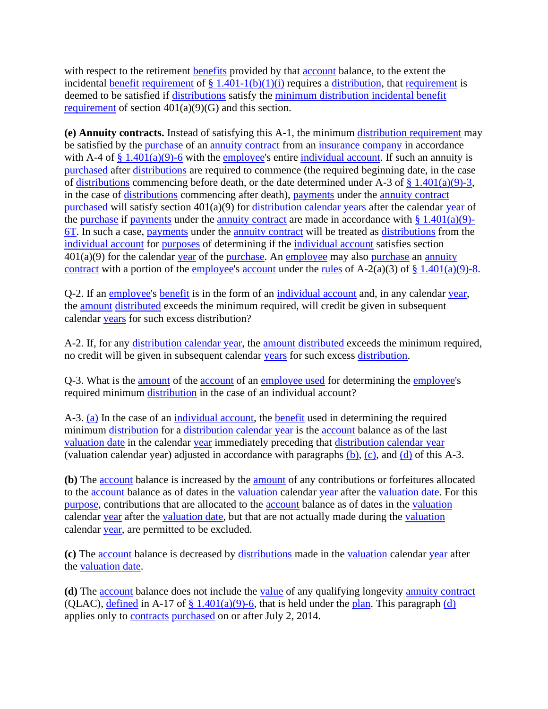with respect to the retirement **benefits** provided by that **account** balance, to the extent the incidental [benefit](https://www.law.cornell.edu/definitions/index.php?width=840&height=800&iframe=true&def_id=d182633c42c881f75c8112278d830a5d&term_occur=999&term_src=Title:26:Chapter:I:Subchapter:A:Part:1:Subjgrp:2:1.401(a)(9)-5) [requirement](https://www.law.cornell.edu/definitions/index.php?width=840&height=800&iframe=true&def_id=8bfdb5dd604822c3890c066ce09cf1e2&term_occur=999&term_src=Title:26:Chapter:I:Subchapter:A:Part:1:Subjgrp:2:1.401(a)(9)-5) of  $§ 1.401-1(b)(1)(i)$  requires a [distribution,](https://www.law.cornell.edu/definitions/index.php?width=840&height=800&iframe=true&def_id=c77697945d34b55b17c827aaeb8358b9&term_occur=999&term_src=Title:26:Chapter:I:Subchapter:A:Part:1:Subjgrp:2:1.401(a)(9)-5) that [requirement](https://www.law.cornell.edu/definitions/index.php?width=840&height=800&iframe=true&def_id=8bfdb5dd604822c3890c066ce09cf1e2&term_occur=999&term_src=Title:26:Chapter:I:Subchapter:A:Part:1:Subjgrp:2:1.401(a)(9)-5) is deemed to be satisfied if [distributions](https://www.law.cornell.edu/definitions/index.php?width=840&height=800&iframe=true&def_id=e8d476c1b4aba17778317e7d24ab594a&term_occur=999&term_src=Title:26:Chapter:I:Subchapter:A:Part:1:Subjgrp:2:1.401(a)(9)-5) satisfy the [minimum distribution incidental benefit](https://www.law.cornell.edu/definitions/index.php?width=840&height=800&iframe=true&def_id=b8a31064fb2bbbb549062f8b13acb45c&term_occur=999&term_src=Title:26:Chapter:I:Subchapter:A:Part:1:Subjgrp:2:1.401(a)(9)-5)  [requirement](https://www.law.cornell.edu/definitions/index.php?width=840&height=800&iframe=true&def_id=b8a31064fb2bbbb549062f8b13acb45c&term_occur=999&term_src=Title:26:Chapter:I:Subchapter:A:Part:1:Subjgrp:2:1.401(a)(9)-5) of section  $401(a)(9)(G)$  and this section.

**(e) Annuity contracts.** Instead of satisfying this A-1, the minimum [distribution requirement](https://www.law.cornell.edu/definitions/index.php?width=840&height=800&iframe=true&def_id=e76cb742fa6e0d0f87c8aa705eba5d0a&term_occur=999&term_src=Title:26:Chapter:I:Subchapter:A:Part:1:Subjgrp:2:1.401(a)(9)-5) may be satisfied by the [purchase](https://www.law.cornell.edu/definitions/index.php?width=840&height=800&iframe=true&def_id=570a968cf649330ff96f4e57c45f1922&term_occur=999&term_src=Title:26:Chapter:I:Subchapter:A:Part:1:Subjgrp:2:1.401(a)(9)-5) of an [annuity contract](https://www.law.cornell.edu/definitions/index.php?width=840&height=800&iframe=true&def_id=15078a40eb4c0ca19773d5f6beb1ec78&term_occur=999&term_src=Title:26:Chapter:I:Subchapter:A:Part:1:Subjgrp:2:1.401(a)(9)-5) from an [insurance company](https://www.law.cornell.edu/definitions/index.php?width=840&height=800&iframe=true&def_id=f9022d7111d179cc0a1801020e57da5c&term_occur=999&term_src=Title:26:Chapter:I:Subchapter:A:Part:1:Subjgrp:2:1.401(a)(9)-5) in accordance with A-4 of  $\S$  1.401(a)(9)-6 with the [employee'](https://www.law.cornell.edu/definitions/index.php?width=840&height=800&iframe=true&def_id=5d8fbd8ea279aa8f9f55233cd860b35d&term_occur=999&term_src=Title:26:Chapter:I:Subchapter:A:Part:1:Subjgrp:2:1.401(a)(9)-5)s entire [individual account.](https://www.law.cornell.edu/definitions/index.php?width=840&height=800&iframe=true&def_id=35b582a493b393a320c977ceaae6cc93&term_occur=999&term_src=Title:26:Chapter:I:Subchapter:A:Part:1:Subjgrp:2:1.401(a)(9)-5) If such an annuity is [purchased](https://www.law.cornell.edu/definitions/index.php?width=840&height=800&iframe=true&def_id=570a968cf649330ff96f4e57c45f1922&term_occur=999&term_src=Title:26:Chapter:I:Subchapter:A:Part:1:Subjgrp:2:1.401(a)(9)-5) after [distributions](https://www.law.cornell.edu/definitions/index.php?width=840&height=800&iframe=true&def_id=e8d476c1b4aba17778317e7d24ab594a&term_occur=999&term_src=Title:26:Chapter:I:Subchapter:A:Part:1:Subjgrp:2:1.401(a)(9)-5) are required to commence (the required beginning date, in the case of [distributions](https://www.law.cornell.edu/definitions/index.php?width=840&height=800&iframe=true&def_id=e8d476c1b4aba17778317e7d24ab594a&term_occur=999&term_src=Title:26:Chapter:I:Subchapter:A:Part:1:Subjgrp:2:1.401(a)(9)-5) commencing before death, or the date determined under A-3 of  $\S$  1.401(a)(9)-3, in the case of [distributions](https://www.law.cornell.edu/definitions/index.php?width=840&height=800&iframe=true&def_id=e8d476c1b4aba17778317e7d24ab594a&term_occur=999&term_src=Title:26:Chapter:I:Subchapter:A:Part:1:Subjgrp:2:1.401(a)(9)-5) commencing after death), [payments](https://www.law.cornell.edu/definitions/index.php?width=840&height=800&iframe=true&def_id=1ee8b271eb9ee59e360e16676f011b3d&term_occur=999&term_src=Title:26:Chapter:I:Subchapter:A:Part:1:Subjgrp:2:1.401(a)(9)-5) under the [annuity contract](https://www.law.cornell.edu/definitions/index.php?width=840&height=800&iframe=true&def_id=15078a40eb4c0ca19773d5f6beb1ec78&term_occur=999&term_src=Title:26:Chapter:I:Subchapter:A:Part:1:Subjgrp:2:1.401(a)(9)-5) [purchased](https://www.law.cornell.edu/definitions/index.php?width=840&height=800&iframe=true&def_id=570a968cf649330ff96f4e57c45f1922&term_occur=999&term_src=Title:26:Chapter:I:Subchapter:A:Part:1:Subjgrp:2:1.401(a)(9)-5) will satisfy section 401(a)(9) for [distribution calendar years](https://www.law.cornell.edu/definitions/index.php?width=840&height=800&iframe=true&def_id=1368c1115b8accd5c0299dd351c5ce12&term_occur=999&term_src=Title:26:Chapter:I:Subchapter:A:Part:1:Subjgrp:2:1.401(a)(9)-5) after the calendar [year](https://www.law.cornell.edu/definitions/index.php?width=840&height=800&iframe=true&def_id=41a60a8d42ad9f7a78551674b98031a8&term_occur=999&term_src=Title:26:Chapter:I:Subchapter:A:Part:1:Subjgrp:2:1.401(a)(9)-5) of the [purchase](https://www.law.cornell.edu/definitions/index.php?width=840&height=800&iframe=true&def_id=570a968cf649330ff96f4e57c45f1922&term_occur=999&term_src=Title:26:Chapter:I:Subchapter:A:Part:1:Subjgrp:2:1.401(a)(9)-5) if [payments](https://www.law.cornell.edu/definitions/index.php?width=840&height=800&iframe=true&def_id=1ee8b271eb9ee59e360e16676f011b3d&term_occur=999&term_src=Title:26:Chapter:I:Subchapter:A:Part:1:Subjgrp:2:1.401(a)(9)-5) under the [annuity contract](https://www.law.cornell.edu/definitions/index.php?width=840&height=800&iframe=true&def_id=15078a40eb4c0ca19773d5f6beb1ec78&term_occur=999&term_src=Title:26:Chapter:I:Subchapter:A:Part:1:Subjgrp:2:1.401(a)(9)-5) are made in accordance with  $\S 1.401(a)(9)$ -[6T.](https://www.law.cornell.edu/cfr/text/26/1.401#a_9) In such a case, [payments](https://www.law.cornell.edu/definitions/index.php?width=840&height=800&iframe=true&def_id=1ee8b271eb9ee59e360e16676f011b3d&term_occur=999&term_src=Title:26:Chapter:I:Subchapter:A:Part:1:Subjgrp:2:1.401(a)(9)-5) under the [annuity contract](https://www.law.cornell.edu/definitions/index.php?width=840&height=800&iframe=true&def_id=15078a40eb4c0ca19773d5f6beb1ec78&term_occur=999&term_src=Title:26:Chapter:I:Subchapter:A:Part:1:Subjgrp:2:1.401(a)(9)-5) will be treated as [distributions](https://www.law.cornell.edu/definitions/index.php?width=840&height=800&iframe=true&def_id=e8d476c1b4aba17778317e7d24ab594a&term_occur=999&term_src=Title:26:Chapter:I:Subchapter:A:Part:1:Subjgrp:2:1.401(a)(9)-5) from the [individual account](https://www.law.cornell.edu/definitions/index.php?width=840&height=800&iframe=true&def_id=35b582a493b393a320c977ceaae6cc93&term_occur=999&term_src=Title:26:Chapter:I:Subchapter:A:Part:1:Subjgrp:2:1.401(a)(9)-5) for [purposes](https://www.law.cornell.edu/definitions/index.php?width=840&height=800&iframe=true&def_id=0ad2de56cb198dce23b0b55179137f16&term_occur=999&term_src=Title:26:Chapter:I:Subchapter:A:Part:1:Subjgrp:2:1.401(a)(9)-5) of determining if the [individual account](https://www.law.cornell.edu/definitions/index.php?width=840&height=800&iframe=true&def_id=35b582a493b393a320c977ceaae6cc93&term_occur=999&term_src=Title:26:Chapter:I:Subchapter:A:Part:1:Subjgrp:2:1.401(a)(9)-5) satisfies section  $401(a)(9)$  for the calendar [year](https://www.law.cornell.edu/definitions/index.php?width=840&height=800&iframe=true&def_id=41a60a8d42ad9f7a78551674b98031a8&term_occur=999&term_src=Title:26:Chapter:I:Subchapter:A:Part:1:Subjgrp:2:1.401(a)(9)-5) of the [purchase.](https://www.law.cornell.edu/definitions/index.php?width=840&height=800&iframe=true&def_id=570a968cf649330ff96f4e57c45f1922&term_occur=999&term_src=Title:26:Chapter:I:Subchapter:A:Part:1:Subjgrp:2:1.401(a)(9)-5) An [employee](https://www.law.cornell.edu/definitions/index.php?width=840&height=800&iframe=true&def_id=5d8fbd8ea279aa8f9f55233cd860b35d&term_occur=999&term_src=Title:26:Chapter:I:Subchapter:A:Part:1:Subjgrp:2:1.401(a)(9)-5) may also [purchase](https://www.law.cornell.edu/definitions/index.php?width=840&height=800&iframe=true&def_id=570a968cf649330ff96f4e57c45f1922&term_occur=999&term_src=Title:26:Chapter:I:Subchapter:A:Part:1:Subjgrp:2:1.401(a)(9)-5) an annuity [contract](https://www.law.cornell.edu/definitions/index.php?width=840&height=800&iframe=true&def_id=15078a40eb4c0ca19773d5f6beb1ec78&term_occur=999&term_src=Title:26:Chapter:I:Subchapter:A:Part:1:Subjgrp:2:1.401(a)(9)-5) with a portion of the [employee's](https://www.law.cornell.edu/definitions/index.php?width=840&height=800&iframe=true&def_id=5d8fbd8ea279aa8f9f55233cd860b35d&term_occur=999&term_src=Title:26:Chapter:I:Subchapter:A:Part:1:Subjgrp:2:1.401(a)(9)-5) [account](https://www.law.cornell.edu/definitions/index.php?width=840&height=800&iframe=true&def_id=c3b57a31fc226d7b84e26175afe251f2&term_occur=999&term_src=Title:26:Chapter:I:Subchapter:A:Part:1:Subjgrp:2:1.401(a)(9)-5) under the [rules](https://www.law.cornell.edu/definitions/index.php?width=840&height=800&iframe=true&def_id=46bcdb5568d6a75306ff954291e17ab8&term_occur=999&term_src=Title:26:Chapter:I:Subchapter:A:Part:1:Subjgrp:2:1.401(a)(9)-5) of A-2(a)(3) of  $\S 1.401(a)(9)$ -8.

Q-2. If an [employee's](https://www.law.cornell.edu/definitions/index.php?width=840&height=800&iframe=true&def_id=5d8fbd8ea279aa8f9f55233cd860b35d&term_occur=999&term_src=Title:26:Chapter:I:Subchapter:A:Part:1:Subjgrp:2:1.401(a)(9)-5) [benefit](https://www.law.cornell.edu/definitions/index.php?width=840&height=800&iframe=true&def_id=d182633c42c881f75c8112278d830a5d&term_occur=999&term_src=Title:26:Chapter:I:Subchapter:A:Part:1:Subjgrp:2:1.401(a)(9)-5) is in the form of an [individual account](https://www.law.cornell.edu/definitions/index.php?width=840&height=800&iframe=true&def_id=35b582a493b393a320c977ceaae6cc93&term_occur=999&term_src=Title:26:Chapter:I:Subchapter:A:Part:1:Subjgrp:2:1.401(a)(9)-5) and, in any calendar [year,](https://www.law.cornell.edu/definitions/index.php?width=840&height=800&iframe=true&def_id=41a60a8d42ad9f7a78551674b98031a8&term_occur=999&term_src=Title:26:Chapter:I:Subchapter:A:Part:1:Subjgrp:2:1.401(a)(9)-5) the [amount](https://www.law.cornell.edu/definitions/index.php?width=840&height=800&iframe=true&def_id=661fb5529bda5e7b12e0c516a1a1473f&term_occur=999&term_src=Title:26:Chapter:I:Subchapter:A:Part:1:Subjgrp:2:1.401(a)(9)-5) [distributed](https://www.law.cornell.edu/definitions/index.php?width=840&height=800&iframe=true&def_id=04e98b7c1e36a49ad26f498d5f78fe8c&term_occur=999&term_src=Title:26:Chapter:I:Subchapter:A:Part:1:Subjgrp:2:1.401(a)(9)-5) exceeds the minimum required, will credit be given in subsequent calendar [years](https://www.law.cornell.edu/definitions/index.php?width=840&height=800&iframe=true&def_id=41a60a8d42ad9f7a78551674b98031a8&term_occur=999&term_src=Title:26:Chapter:I:Subchapter:A:Part:1:Subjgrp:2:1.401(a)(9)-5) for such excess distribution?

A-2. If, for any [distribution calendar year,](https://www.law.cornell.edu/definitions/index.php?width=840&height=800&iframe=true&def_id=1368c1115b8accd5c0299dd351c5ce12&term_occur=999&term_src=Title:26:Chapter:I:Subchapter:A:Part:1:Subjgrp:2:1.401(a)(9)-5) the [amount](https://www.law.cornell.edu/definitions/index.php?width=840&height=800&iframe=true&def_id=661fb5529bda5e7b12e0c516a1a1473f&term_occur=999&term_src=Title:26:Chapter:I:Subchapter:A:Part:1:Subjgrp:2:1.401(a)(9)-5) [distributed](https://www.law.cornell.edu/definitions/index.php?width=840&height=800&iframe=true&def_id=04e98b7c1e36a49ad26f498d5f78fe8c&term_occur=999&term_src=Title:26:Chapter:I:Subchapter:A:Part:1:Subjgrp:2:1.401(a)(9)-5) exceeds the minimum required, no credit will be given in subsequent calendar [years](https://www.law.cornell.edu/definitions/index.php?width=840&height=800&iframe=true&def_id=41a60a8d42ad9f7a78551674b98031a8&term_occur=999&term_src=Title:26:Chapter:I:Subchapter:A:Part:1:Subjgrp:2:1.401(a)(9)-5) for such excess [distribution.](https://www.law.cornell.edu/definitions/index.php?width=840&height=800&iframe=true&def_id=c77697945d34b55b17c827aaeb8358b9&term_occur=999&term_src=Title:26:Chapter:I:Subchapter:A:Part:1:Subjgrp:2:1.401(a)(9)-5)

Q-3. What is the [amount](https://www.law.cornell.edu/definitions/index.php?width=840&height=800&iframe=true&def_id=661fb5529bda5e7b12e0c516a1a1473f&term_occur=999&term_src=Title:26:Chapter:I:Subchapter:A:Part:1:Subjgrp:2:1.401(a)(9)-5) of the [account](https://www.law.cornell.edu/definitions/index.php?width=840&height=800&iframe=true&def_id=c3b57a31fc226d7b84e26175afe251f2&term_occur=999&term_src=Title:26:Chapter:I:Subchapter:A:Part:1:Subjgrp:2:1.401(a)(9)-5) of an [employee used](https://www.law.cornell.edu/definitions/index.php?width=840&height=800&iframe=true&def_id=36e9f62dc0e79a23e0c35a226d981a0c&term_occur=999&term_src=Title:26:Chapter:I:Subchapter:A:Part:1:Subjgrp:2:1.401(a)(9)-5) for determining the [employee's](https://www.law.cornell.edu/definitions/index.php?width=840&height=800&iframe=true&def_id=5d8fbd8ea279aa8f9f55233cd860b35d&term_occur=999&term_src=Title:26:Chapter:I:Subchapter:A:Part:1:Subjgrp:2:1.401(a)(9)-5) required minimum [distribution](https://www.law.cornell.edu/definitions/index.php?width=840&height=800&iframe=true&def_id=c77697945d34b55b17c827aaeb8358b9&term_occur=999&term_src=Title:26:Chapter:I:Subchapter:A:Part:1:Subjgrp:2:1.401(a)(9)-5) in the case of an individual account?

A-3. [\(a\)](https://www.law.cornell.edu/definitions/index.php?width=840&height=800&iframe=true&def_id=28d9b815ea16fe793464da930bb213be&term_occur=999&term_src=Title:26:Chapter:I:Subchapter:A:Part:1:Subjgrp:2:1.401(a)(9)-5) In the case of an [individual account,](https://www.law.cornell.edu/definitions/index.php?width=840&height=800&iframe=true&def_id=35b582a493b393a320c977ceaae6cc93&term_occur=999&term_src=Title:26:Chapter:I:Subchapter:A:Part:1:Subjgrp:2:1.401(a)(9)-5) the [benefit](https://www.law.cornell.edu/definitions/index.php?width=840&height=800&iframe=true&def_id=d182633c42c881f75c8112278d830a5d&term_occur=999&term_src=Title:26:Chapter:I:Subchapter:A:Part:1:Subjgrp:2:1.401(a)(9)-5) used in determining the required minimum [distribution](https://www.law.cornell.edu/definitions/index.php?width=840&height=800&iframe=true&def_id=c77697945d34b55b17c827aaeb8358b9&term_occur=999&term_src=Title:26:Chapter:I:Subchapter:A:Part:1:Subjgrp:2:1.401(a)(9)-5) for a [distribution calendar year](https://www.law.cornell.edu/definitions/index.php?width=840&height=800&iframe=true&def_id=1368c1115b8accd5c0299dd351c5ce12&term_occur=999&term_src=Title:26:Chapter:I:Subchapter:A:Part:1:Subjgrp:2:1.401(a)(9)-5) is the [account](https://www.law.cornell.edu/definitions/index.php?width=840&height=800&iframe=true&def_id=c3b57a31fc226d7b84e26175afe251f2&term_occur=999&term_src=Title:26:Chapter:I:Subchapter:A:Part:1:Subjgrp:2:1.401(a)(9)-5) balance as of the last [valuation date](https://www.law.cornell.edu/definitions/index.php?width=840&height=800&iframe=true&def_id=d4d28019d195dfe9cf0c31c1c3934cd4&term_occur=999&term_src=Title:26:Chapter:I:Subchapter:A:Part:1:Subjgrp:2:1.401(a)(9)-5) in the calendar [year](https://www.law.cornell.edu/definitions/index.php?width=840&height=800&iframe=true&def_id=41a60a8d42ad9f7a78551674b98031a8&term_occur=999&term_src=Title:26:Chapter:I:Subchapter:A:Part:1:Subjgrp:2:1.401(a)(9)-5) immediately preceding that [distribution calendar year](https://www.law.cornell.edu/definitions/index.php?width=840&height=800&iframe=true&def_id=1368c1115b8accd5c0299dd351c5ce12&term_occur=999&term_src=Title:26:Chapter:I:Subchapter:A:Part:1:Subjgrp:2:1.401(a)(9)-5) (valuation calendar year) adjusted in accordance with paragraphs [\(b\),](https://www.law.cornell.edu/definitions/index.php?width=840&height=800&iframe=true&def_id=6aef00213f9cf73eb008d8bb08598aca&term_occur=999&term_src=Title:26:Chapter:I:Subchapter:A:Part:1:Subjgrp:2:1.401(a)(9)-5) [\(c\),](https://www.law.cornell.edu/definitions/index.php?width=840&height=800&iframe=true&def_id=05ab4cc0bf13cc5bcef83d3950eefb63&term_occur=999&term_src=Title:26:Chapter:I:Subchapter:A:Part:1:Subjgrp:2:1.401(a)(9)-5) and [\(d\)](https://www.law.cornell.edu/definitions/index.php?width=840&height=800&iframe=true&def_id=78ef4a7ec4a9e68106ed263f66d68ba6&term_occur=999&term_src=Title:26:Chapter:I:Subchapter:A:Part:1:Subjgrp:2:1.401(a)(9)-5) of this A-3.

**(b)** The [account](https://www.law.cornell.edu/definitions/index.php?width=840&height=800&iframe=true&def_id=c3b57a31fc226d7b84e26175afe251f2&term_occur=999&term_src=Title:26:Chapter:I:Subchapter:A:Part:1:Subjgrp:2:1.401(a)(9)-5) balance is increased by the [amount](https://www.law.cornell.edu/definitions/index.php?width=840&height=800&iframe=true&def_id=661fb5529bda5e7b12e0c516a1a1473f&term_occur=999&term_src=Title:26:Chapter:I:Subchapter:A:Part:1:Subjgrp:2:1.401(a)(9)-5) of any contributions or forfeitures allocated to the [account](https://www.law.cornell.edu/definitions/index.php?width=840&height=800&iframe=true&def_id=c3b57a31fc226d7b84e26175afe251f2&term_occur=999&term_src=Title:26:Chapter:I:Subchapter:A:Part:1:Subjgrp:2:1.401(a)(9)-5) balance as of dates in the [valuation](https://www.law.cornell.edu/definitions/index.php?width=840&height=800&iframe=true&def_id=1045e4a55810db8f8b430bbb11344abf&term_occur=999&term_src=Title:26:Chapter:I:Subchapter:A:Part:1:Subjgrp:2:1.401(a)(9)-5) calendar [year](https://www.law.cornell.edu/definitions/index.php?width=840&height=800&iframe=true&def_id=41a60a8d42ad9f7a78551674b98031a8&term_occur=999&term_src=Title:26:Chapter:I:Subchapter:A:Part:1:Subjgrp:2:1.401(a)(9)-5) after the [valuation date.](https://www.law.cornell.edu/definitions/index.php?width=840&height=800&iframe=true&def_id=d4d28019d195dfe9cf0c31c1c3934cd4&term_occur=999&term_src=Title:26:Chapter:I:Subchapter:A:Part:1:Subjgrp:2:1.401(a)(9)-5) For this [purpose,](https://www.law.cornell.edu/definitions/index.php?width=840&height=800&iframe=true&def_id=8e7a841e0b1b57eefeaeda24b0307077&term_occur=999&term_src=Title:26:Chapter:I:Subchapter:A:Part:1:Subjgrp:2:1.401(a)(9)-5) contributions that are allocated to the [account](https://www.law.cornell.edu/definitions/index.php?width=840&height=800&iframe=true&def_id=c3b57a31fc226d7b84e26175afe251f2&term_occur=999&term_src=Title:26:Chapter:I:Subchapter:A:Part:1:Subjgrp:2:1.401(a)(9)-5) balance as of dates in the [valuation](https://www.law.cornell.edu/definitions/index.php?width=840&height=800&iframe=true&def_id=1045e4a55810db8f8b430bbb11344abf&term_occur=999&term_src=Title:26:Chapter:I:Subchapter:A:Part:1:Subjgrp:2:1.401(a)(9)-5) calendar [year](https://www.law.cornell.edu/definitions/index.php?width=840&height=800&iframe=true&def_id=41a60a8d42ad9f7a78551674b98031a8&term_occur=999&term_src=Title:26:Chapter:I:Subchapter:A:Part:1:Subjgrp:2:1.401(a)(9)-5) after the [valuation date,](https://www.law.cornell.edu/definitions/index.php?width=840&height=800&iframe=true&def_id=d4d28019d195dfe9cf0c31c1c3934cd4&term_occur=999&term_src=Title:26:Chapter:I:Subchapter:A:Part:1:Subjgrp:2:1.401(a)(9)-5) but that are not actually made during the [valuation](https://www.law.cornell.edu/definitions/index.php?width=840&height=800&iframe=true&def_id=1045e4a55810db8f8b430bbb11344abf&term_occur=999&term_src=Title:26:Chapter:I:Subchapter:A:Part:1:Subjgrp:2:1.401(a)(9)-5) calendar [year,](https://www.law.cornell.edu/definitions/index.php?width=840&height=800&iframe=true&def_id=41a60a8d42ad9f7a78551674b98031a8&term_occur=999&term_src=Title:26:Chapter:I:Subchapter:A:Part:1:Subjgrp:2:1.401(a)(9)-5) are permitted to be excluded.

**(c)** The [account](https://www.law.cornell.edu/definitions/index.php?width=840&height=800&iframe=true&def_id=c3b57a31fc226d7b84e26175afe251f2&term_occur=999&term_src=Title:26:Chapter:I:Subchapter:A:Part:1:Subjgrp:2:1.401(a)(9)-5) balance is decreased by [distributions](https://www.law.cornell.edu/definitions/index.php?width=840&height=800&iframe=true&def_id=e8d476c1b4aba17778317e7d24ab594a&term_occur=999&term_src=Title:26:Chapter:I:Subchapter:A:Part:1:Subjgrp:2:1.401(a)(9)-5) made in the [valuation](https://www.law.cornell.edu/definitions/index.php?width=840&height=800&iframe=true&def_id=1045e4a55810db8f8b430bbb11344abf&term_occur=999&term_src=Title:26:Chapter:I:Subchapter:A:Part:1:Subjgrp:2:1.401(a)(9)-5) calendar [year](https://www.law.cornell.edu/definitions/index.php?width=840&height=800&iframe=true&def_id=41a60a8d42ad9f7a78551674b98031a8&term_occur=999&term_src=Title:26:Chapter:I:Subchapter:A:Part:1:Subjgrp:2:1.401(a)(9)-5) after the [valuation date.](https://www.law.cornell.edu/definitions/index.php?width=840&height=800&iframe=true&def_id=d4d28019d195dfe9cf0c31c1c3934cd4&term_occur=999&term_src=Title:26:Chapter:I:Subchapter:A:Part:1:Subjgrp:2:1.401(a)(9)-5)

**(d)** The [account](https://www.law.cornell.edu/definitions/index.php?width=840&height=800&iframe=true&def_id=c3b57a31fc226d7b84e26175afe251f2&term_occur=999&term_src=Title:26:Chapter:I:Subchapter:A:Part:1:Subjgrp:2:1.401(a)(9)-5) balance does not include the [value](https://www.law.cornell.edu/definitions/index.php?width=840&height=800&iframe=true&def_id=6835fc02ac053f3a944233ed2f208269&term_occur=999&term_src=Title:26:Chapter:I:Subchapter:A:Part:1:Subjgrp:2:1.401(a)(9)-5) of any qualifying longevity [annuity contract](https://www.law.cornell.edu/definitions/index.php?width=840&height=800&iframe=true&def_id=15078a40eb4c0ca19773d5f6beb1ec78&term_occur=999&term_src=Title:26:Chapter:I:Subchapter:A:Part:1:Subjgrp:2:1.401(a)(9)-5) (QLAC), [defined](https://www.law.cornell.edu/definitions/index.php?width=840&height=800&iframe=true&def_id=9bc15e20ef3eaa4f45fd661aa756d465&term_occur=999&term_src=Title:26:Chapter:I:Subchapter:A:Part:1:Subjgrp:2:1.401(a)(9)-5) in A-17 of  $\S$  1.401(a)(9)-6, that is held under the [plan.](https://www.law.cornell.edu/definitions/index.php?width=840&height=800&iframe=true&def_id=09908080a1bd91313e828e95ed7dad15&term_occur=999&term_src=Title:26:Chapter:I:Subchapter:A:Part:1:Subjgrp:2:1.401(a)(9)-5) This paragraph [\(d\)](https://www.law.cornell.edu/definitions/index.php?width=840&height=800&iframe=true&def_id=78ef4a7ec4a9e68106ed263f66d68ba6&term_occur=999&term_src=Title:26:Chapter:I:Subchapter:A:Part:1:Subjgrp:2:1.401(a)(9)-5) applies only to [contracts](https://www.law.cornell.edu/definitions/index.php?width=840&height=800&iframe=true&def_id=1cc802b55be2484dc63db0dc247aa463&term_occur=999&term_src=Title:26:Chapter:I:Subchapter:A:Part:1:Subjgrp:2:1.401(a)(9)-5) [purchased](https://www.law.cornell.edu/definitions/index.php?width=840&height=800&iframe=true&def_id=570a968cf649330ff96f4e57c45f1922&term_occur=999&term_src=Title:26:Chapter:I:Subchapter:A:Part:1:Subjgrp:2:1.401(a)(9)-5) on or after July 2, 2014.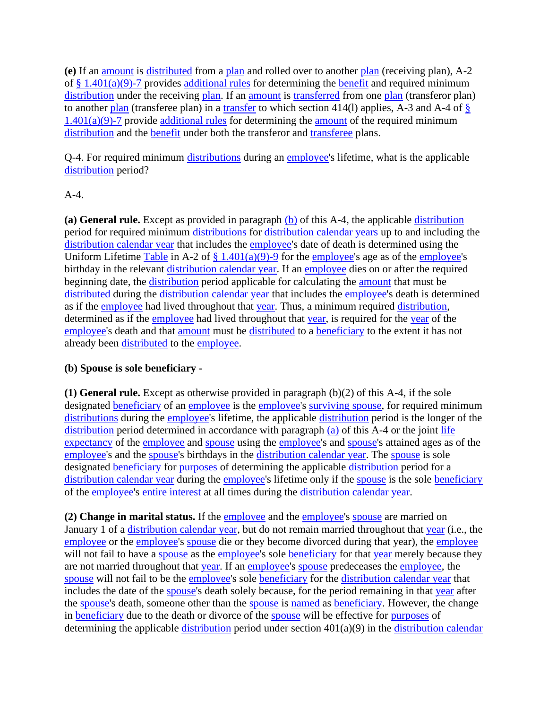**(e)** If an [amount](https://www.law.cornell.edu/definitions/index.php?width=840&height=800&iframe=true&def_id=661fb5529bda5e7b12e0c516a1a1473f&term_occur=999&term_src=Title:26:Chapter:I:Subchapter:A:Part:1:Subjgrp:2:1.401(a)(9)-5) is [distributed](https://www.law.cornell.edu/definitions/index.php?width=840&height=800&iframe=true&def_id=04e98b7c1e36a49ad26f498d5f78fe8c&term_occur=999&term_src=Title:26:Chapter:I:Subchapter:A:Part:1:Subjgrp:2:1.401(a)(9)-5) from a [plan](https://www.law.cornell.edu/definitions/index.php?width=840&height=800&iframe=true&def_id=09908080a1bd91313e828e95ed7dad15&term_occur=999&term_src=Title:26:Chapter:I:Subchapter:A:Part:1:Subjgrp:2:1.401(a)(9)-5) and rolled over to another [plan](https://www.law.cornell.edu/definitions/index.php?width=840&height=800&iframe=true&def_id=09908080a1bd91313e828e95ed7dad15&term_occur=999&term_src=Title:26:Chapter:I:Subchapter:A:Part:1:Subjgrp:2:1.401(a)(9)-5) (receiving plan), A-2 of  $\S$  1.401(a)(9)-7 provides [additional rules](https://www.law.cornell.edu/definitions/index.php?width=840&height=800&iframe=true&def_id=b48623b0a9c26b6da15bb8f7ee02a962&term_occur=999&term_src=Title:26:Chapter:I:Subchapter:A:Part:1:Subjgrp:2:1.401(a)(9)-5) for determining the [benefit](https://www.law.cornell.edu/definitions/index.php?width=840&height=800&iframe=true&def_id=d182633c42c881f75c8112278d830a5d&term_occur=999&term_src=Title:26:Chapter:I:Subchapter:A:Part:1:Subjgrp:2:1.401(a)(9)-5) and required minimum [distribution](https://www.law.cornell.edu/definitions/index.php?width=840&height=800&iframe=true&def_id=c77697945d34b55b17c827aaeb8358b9&term_occur=999&term_src=Title:26:Chapter:I:Subchapter:A:Part:1:Subjgrp:2:1.401(a)(9)-5) under the receiving [plan.](https://www.law.cornell.edu/definitions/index.php?width=840&height=800&iframe=true&def_id=09908080a1bd91313e828e95ed7dad15&term_occur=999&term_src=Title:26:Chapter:I:Subchapter:A:Part:1:Subjgrp:2:1.401(a)(9)-5) If an [amount](https://www.law.cornell.edu/definitions/index.php?width=840&height=800&iframe=true&def_id=661fb5529bda5e7b12e0c516a1a1473f&term_occur=999&term_src=Title:26:Chapter:I:Subchapter:A:Part:1:Subjgrp:2:1.401(a)(9)-5) is [transferred](https://www.law.cornell.edu/definitions/index.php?width=840&height=800&iframe=true&def_id=4cba463023ee77fb70acd1cd1848efd9&term_occur=999&term_src=Title:26:Chapter:I:Subchapter:A:Part:1:Subjgrp:2:1.401(a)(9)-5) from one [plan](https://www.law.cornell.edu/definitions/index.php?width=840&height=800&iframe=true&def_id=09908080a1bd91313e828e95ed7dad15&term_occur=999&term_src=Title:26:Chapter:I:Subchapter:A:Part:1:Subjgrp:2:1.401(a)(9)-5) (transferor plan) to another [plan](https://www.law.cornell.edu/definitions/index.php?width=840&height=800&iframe=true&def_id=09908080a1bd91313e828e95ed7dad15&term_occur=999&term_src=Title:26:Chapter:I:Subchapter:A:Part:1:Subjgrp:2:1.401(a)(9)-5) (transferee plan) in a [transfer](https://www.law.cornell.edu/definitions/index.php?width=840&height=800&iframe=true&def_id=4cba463023ee77fb70acd1cd1848efd9&term_occur=999&term_src=Title:26:Chapter:I:Subchapter:A:Part:1:Subjgrp:2:1.401(a)(9)-5) to which section 414(l) applies, A-3 and A-4 of  $\S$  $1.401(a)(9)$ -7 provide [additional rules](https://www.law.cornell.edu/definitions/index.php?width=840&height=800&iframe=true&def_id=b48623b0a9c26b6da15bb8f7ee02a962&term_occur=999&term_src=Title:26:Chapter:I:Subchapter:A:Part:1:Subjgrp:2:1.401(a)(9)-5) for determining the [amount](https://www.law.cornell.edu/definitions/index.php?width=840&height=800&iframe=true&def_id=661fb5529bda5e7b12e0c516a1a1473f&term_occur=999&term_src=Title:26:Chapter:I:Subchapter:A:Part:1:Subjgrp:2:1.401(a)(9)-5) of the required minimum [distribution](https://www.law.cornell.edu/definitions/index.php?width=840&height=800&iframe=true&def_id=c77697945d34b55b17c827aaeb8358b9&term_occur=999&term_src=Title:26:Chapter:I:Subchapter:A:Part:1:Subjgrp:2:1.401(a)(9)-5) and the **benefit** under both the transferor and **transferee** plans.

Q-4. For required minimum [distributions](https://www.law.cornell.edu/definitions/index.php?width=840&height=800&iframe=true&def_id=e8d476c1b4aba17778317e7d24ab594a&term_occur=999&term_src=Title:26:Chapter:I:Subchapter:A:Part:1:Subjgrp:2:1.401(a)(9)-5) during an [employee's](https://www.law.cornell.edu/definitions/index.php?width=840&height=800&iframe=true&def_id=5d8fbd8ea279aa8f9f55233cd860b35d&term_occur=999&term_src=Title:26:Chapter:I:Subchapter:A:Part:1:Subjgrp:2:1.401(a)(9)-5) lifetime, what is the applicable [distribution](https://www.law.cornell.edu/definitions/index.php?width=840&height=800&iframe=true&def_id=c77697945d34b55b17c827aaeb8358b9&term_occur=999&term_src=Title:26:Chapter:I:Subchapter:A:Part:1:Subjgrp:2:1.401(a)(9)-5) period?

### $A-4$ .

**(a) General rule.** Except as provided in paragraph [\(b\)](https://www.law.cornell.edu/definitions/index.php?width=840&height=800&iframe=true&def_id=6aef00213f9cf73eb008d8bb08598aca&term_occur=999&term_src=Title:26:Chapter:I:Subchapter:A:Part:1:Subjgrp:2:1.401(a)(9)-5) of this A-4, the applicable [distribution](https://www.law.cornell.edu/definitions/index.php?width=840&height=800&iframe=true&def_id=c77697945d34b55b17c827aaeb8358b9&term_occur=999&term_src=Title:26:Chapter:I:Subchapter:A:Part:1:Subjgrp:2:1.401(a)(9)-5) period for required minimum [distributions](https://www.law.cornell.edu/definitions/index.php?width=840&height=800&iframe=true&def_id=e8d476c1b4aba17778317e7d24ab594a&term_occur=999&term_src=Title:26:Chapter:I:Subchapter:A:Part:1:Subjgrp:2:1.401(a)(9)-5) for [distribution calendar years](https://www.law.cornell.edu/definitions/index.php?width=840&height=800&iframe=true&def_id=1368c1115b8accd5c0299dd351c5ce12&term_occur=999&term_src=Title:26:Chapter:I:Subchapter:A:Part:1:Subjgrp:2:1.401(a)(9)-5) up to and including the [distribution calendar year](https://www.law.cornell.edu/definitions/index.php?width=840&height=800&iframe=true&def_id=1368c1115b8accd5c0299dd351c5ce12&term_occur=999&term_src=Title:26:Chapter:I:Subchapter:A:Part:1:Subjgrp:2:1.401(a)(9)-5) that includes the [employee'](https://www.law.cornell.edu/definitions/index.php?width=840&height=800&iframe=true&def_id=5d8fbd8ea279aa8f9f55233cd860b35d&term_occur=999&term_src=Title:26:Chapter:I:Subchapter:A:Part:1:Subjgrp:2:1.401(a)(9)-5)s date of death is determined using the Uniform Lifetime [Table](https://www.law.cornell.edu/definitions/index.php?width=840&height=800&iframe=true&def_id=e0f490f5b6f2989f3924fc26d7522917&term_occur=999&term_src=Title:26:Chapter:I:Subchapter:A:Part:1:Subjgrp:2:1.401(a)(9)-5) in A-2 of  $\S 1.401(a)(9)$ -9 for the [employee's](https://www.law.cornell.edu/definitions/index.php?width=840&height=800&iframe=true&def_id=5d8fbd8ea279aa8f9f55233cd860b35d&term_occur=999&term_src=Title:26:Chapter:I:Subchapter:A:Part:1:Subjgrp:2:1.401(a)(9)-5) age as of the employee's birthday in the relevant [distribution calendar year.](https://www.law.cornell.edu/definitions/index.php?width=840&height=800&iframe=true&def_id=1368c1115b8accd5c0299dd351c5ce12&term_occur=999&term_src=Title:26:Chapter:I:Subchapter:A:Part:1:Subjgrp:2:1.401(a)(9)-5) If an [employee](https://www.law.cornell.edu/definitions/index.php?width=840&height=800&iframe=true&def_id=5d8fbd8ea279aa8f9f55233cd860b35d&term_occur=999&term_src=Title:26:Chapter:I:Subchapter:A:Part:1:Subjgrp:2:1.401(a)(9)-5) dies on or after the required beginning date, the [distribution](https://www.law.cornell.edu/definitions/index.php?width=840&height=800&iframe=true&def_id=c77697945d34b55b17c827aaeb8358b9&term_occur=999&term_src=Title:26:Chapter:I:Subchapter:A:Part:1:Subjgrp:2:1.401(a)(9)-5) period applicable for calculating the [amount](https://www.law.cornell.edu/definitions/index.php?width=840&height=800&iframe=true&def_id=661fb5529bda5e7b12e0c516a1a1473f&term_occur=999&term_src=Title:26:Chapter:I:Subchapter:A:Part:1:Subjgrp:2:1.401(a)(9)-5) that must be [distributed](https://www.law.cornell.edu/definitions/index.php?width=840&height=800&iframe=true&def_id=04e98b7c1e36a49ad26f498d5f78fe8c&term_occur=999&term_src=Title:26:Chapter:I:Subchapter:A:Part:1:Subjgrp:2:1.401(a)(9)-5) during the [distribution calendar year](https://www.law.cornell.edu/definitions/index.php?width=840&height=800&iframe=true&def_id=1368c1115b8accd5c0299dd351c5ce12&term_occur=999&term_src=Title:26:Chapter:I:Subchapter:A:Part:1:Subjgrp:2:1.401(a)(9)-5) that includes the [employee'](https://www.law.cornell.edu/definitions/index.php?width=840&height=800&iframe=true&def_id=5d8fbd8ea279aa8f9f55233cd860b35d&term_occur=999&term_src=Title:26:Chapter:I:Subchapter:A:Part:1:Subjgrp:2:1.401(a)(9)-5)s death is determined as if the [employee](https://www.law.cornell.edu/definitions/index.php?width=840&height=800&iframe=true&def_id=5d8fbd8ea279aa8f9f55233cd860b35d&term_occur=999&term_src=Title:26:Chapter:I:Subchapter:A:Part:1:Subjgrp:2:1.401(a)(9)-5) had lived throughout that [year.](https://www.law.cornell.edu/definitions/index.php?width=840&height=800&iframe=true&def_id=41a60a8d42ad9f7a78551674b98031a8&term_occur=999&term_src=Title:26:Chapter:I:Subchapter:A:Part:1:Subjgrp:2:1.401(a)(9)-5) Thus, a minimum required [distribution,](https://www.law.cornell.edu/definitions/index.php?width=840&height=800&iframe=true&def_id=c77697945d34b55b17c827aaeb8358b9&term_occur=999&term_src=Title:26:Chapter:I:Subchapter:A:Part:1:Subjgrp:2:1.401(a)(9)-5) determined as if the [employee](https://www.law.cornell.edu/definitions/index.php?width=840&height=800&iframe=true&def_id=5d8fbd8ea279aa8f9f55233cd860b35d&term_occur=999&term_src=Title:26:Chapter:I:Subchapter:A:Part:1:Subjgrp:2:1.401(a)(9)-5) had lived throughout that [year,](https://www.law.cornell.edu/definitions/index.php?width=840&height=800&iframe=true&def_id=41a60a8d42ad9f7a78551674b98031a8&term_occur=999&term_src=Title:26:Chapter:I:Subchapter:A:Part:1:Subjgrp:2:1.401(a)(9)-5) is required for the [year](https://www.law.cornell.edu/definitions/index.php?width=840&height=800&iframe=true&def_id=41a60a8d42ad9f7a78551674b98031a8&term_occur=999&term_src=Title:26:Chapter:I:Subchapter:A:Part:1:Subjgrp:2:1.401(a)(9)-5) of the [employee's](https://www.law.cornell.edu/definitions/index.php?width=840&height=800&iframe=true&def_id=5d8fbd8ea279aa8f9f55233cd860b35d&term_occur=999&term_src=Title:26:Chapter:I:Subchapter:A:Part:1:Subjgrp:2:1.401(a)(9)-5) death and that [amount](https://www.law.cornell.edu/definitions/index.php?width=840&height=800&iframe=true&def_id=661fb5529bda5e7b12e0c516a1a1473f&term_occur=999&term_src=Title:26:Chapter:I:Subchapter:A:Part:1:Subjgrp:2:1.401(a)(9)-5) must be [distributed](https://www.law.cornell.edu/definitions/index.php?width=840&height=800&iframe=true&def_id=04e98b7c1e36a49ad26f498d5f78fe8c&term_occur=999&term_src=Title:26:Chapter:I:Subchapter:A:Part:1:Subjgrp:2:1.401(a)(9)-5) to a [beneficiary](https://www.law.cornell.edu/definitions/index.php?width=840&height=800&iframe=true&def_id=3ed0119947cfa6b0cca603e2e59b3ba7&term_occur=999&term_src=Title:26:Chapter:I:Subchapter:A:Part:1:Subjgrp:2:1.401(a)(9)-5) to the extent it has not already been [distributed](https://www.law.cornell.edu/definitions/index.php?width=840&height=800&iframe=true&def_id=04e98b7c1e36a49ad26f498d5f78fe8c&term_occur=999&term_src=Title:26:Chapter:I:Subchapter:A:Part:1:Subjgrp:2:1.401(a)(9)-5) to the [employee.](https://www.law.cornell.edu/definitions/index.php?width=840&height=800&iframe=true&def_id=5d8fbd8ea279aa8f9f55233cd860b35d&term_occur=999&term_src=Title:26:Chapter:I:Subchapter:A:Part:1:Subjgrp:2:1.401(a)(9)-5)

# **(b) Spouse is sole beneficiary -**

**(1) General rule.** Except as otherwise provided in paragraph (b)(2) of this A-4, if the sole designated [beneficiary](https://www.law.cornell.edu/definitions/index.php?width=840&height=800&iframe=true&def_id=3ed0119947cfa6b0cca603e2e59b3ba7&term_occur=999&term_src=Title:26:Chapter:I:Subchapter:A:Part:1:Subjgrp:2:1.401(a)(9)-5) of an [employee](https://www.law.cornell.edu/definitions/index.php?width=840&height=800&iframe=true&def_id=5d8fbd8ea279aa8f9f55233cd860b35d&term_occur=999&term_src=Title:26:Chapter:I:Subchapter:A:Part:1:Subjgrp:2:1.401(a)(9)-5) is the [employee's](https://www.law.cornell.edu/definitions/index.php?width=840&height=800&iframe=true&def_id=5d8fbd8ea279aa8f9f55233cd860b35d&term_occur=999&term_src=Title:26:Chapter:I:Subchapter:A:Part:1:Subjgrp:2:1.401(a)(9)-5) [surviving spouse,](https://www.law.cornell.edu/definitions/index.php?width=840&height=800&iframe=true&def_id=0cbb89e68631ba525f4ea35c739b3afc&term_occur=999&term_src=Title:26:Chapter:I:Subchapter:A:Part:1:Subjgrp:2:1.401(a)(9)-5) for required minimum [distributions](https://www.law.cornell.edu/definitions/index.php?width=840&height=800&iframe=true&def_id=e8d476c1b4aba17778317e7d24ab594a&term_occur=999&term_src=Title:26:Chapter:I:Subchapter:A:Part:1:Subjgrp:2:1.401(a)(9)-5) during the [employee's](https://www.law.cornell.edu/definitions/index.php?width=840&height=800&iframe=true&def_id=5d8fbd8ea279aa8f9f55233cd860b35d&term_occur=999&term_src=Title:26:Chapter:I:Subchapter:A:Part:1:Subjgrp:2:1.401(a)(9)-5) lifetime, the applicable [distribution](https://www.law.cornell.edu/definitions/index.php?width=840&height=800&iframe=true&def_id=c77697945d34b55b17c827aaeb8358b9&term_occur=999&term_src=Title:26:Chapter:I:Subchapter:A:Part:1:Subjgrp:2:1.401(a)(9)-5) period is the longer of the [distribution](https://www.law.cornell.edu/definitions/index.php?width=840&height=800&iframe=true&def_id=c77697945d34b55b17c827aaeb8358b9&term_occur=999&term_src=Title:26:Chapter:I:Subchapter:A:Part:1:Subjgrp:2:1.401(a)(9)-5) period determined in accordance with paragraph [\(a\)](https://www.law.cornell.edu/definitions/index.php?width=840&height=800&iframe=true&def_id=28d9b815ea16fe793464da930bb213be&term_occur=999&term_src=Title:26:Chapter:I:Subchapter:A:Part:1:Subjgrp:2:1.401(a)(9)-5) of this A-4 or the joint life [expectancy](https://www.law.cornell.edu/definitions/index.php?width=840&height=800&iframe=true&def_id=564d30d03abc28ceb49b7968bc972770&term_occur=999&term_src=Title:26:Chapter:I:Subchapter:A:Part:1:Subjgrp:2:1.401(a)(9)-5) of the [employee](https://www.law.cornell.edu/definitions/index.php?width=840&height=800&iframe=true&def_id=5d8fbd8ea279aa8f9f55233cd860b35d&term_occur=999&term_src=Title:26:Chapter:I:Subchapter:A:Part:1:Subjgrp:2:1.401(a)(9)-5) and [spouse](https://www.law.cornell.edu/definitions/index.php?width=840&height=800&iframe=true&def_id=df3f52dca6c967f082ef92c1fb9cb881&term_occur=999&term_src=Title:26:Chapter:I:Subchapter:A:Part:1:Subjgrp:2:1.401(a)(9)-5) using the [employee's](https://www.law.cornell.edu/definitions/index.php?width=840&height=800&iframe=true&def_id=5d8fbd8ea279aa8f9f55233cd860b35d&term_occur=999&term_src=Title:26:Chapter:I:Subchapter:A:Part:1:Subjgrp:2:1.401(a)(9)-5) and [spouse's](https://www.law.cornell.edu/definitions/index.php?width=840&height=800&iframe=true&def_id=df3f52dca6c967f082ef92c1fb9cb881&term_occur=999&term_src=Title:26:Chapter:I:Subchapter:A:Part:1:Subjgrp:2:1.401(a)(9)-5) attained ages as of the [employee's](https://www.law.cornell.edu/definitions/index.php?width=840&height=800&iframe=true&def_id=5d8fbd8ea279aa8f9f55233cd860b35d&term_occur=999&term_src=Title:26:Chapter:I:Subchapter:A:Part:1:Subjgrp:2:1.401(a)(9)-5) and the [spouse'](https://www.law.cornell.edu/definitions/index.php?width=840&height=800&iframe=true&def_id=df3f52dca6c967f082ef92c1fb9cb881&term_occur=999&term_src=Title:26:Chapter:I:Subchapter:A:Part:1:Subjgrp:2:1.401(a)(9)-5)s birthdays in the [distribution calendar year.](https://www.law.cornell.edu/definitions/index.php?width=840&height=800&iframe=true&def_id=1368c1115b8accd5c0299dd351c5ce12&term_occur=999&term_src=Title:26:Chapter:I:Subchapter:A:Part:1:Subjgrp:2:1.401(a)(9)-5) The [spouse](https://www.law.cornell.edu/definitions/index.php?width=840&height=800&iframe=true&def_id=df3f52dca6c967f082ef92c1fb9cb881&term_occur=999&term_src=Title:26:Chapter:I:Subchapter:A:Part:1:Subjgrp:2:1.401(a)(9)-5) is sole designated [beneficiary](https://www.law.cornell.edu/definitions/index.php?width=840&height=800&iframe=true&def_id=3ed0119947cfa6b0cca603e2e59b3ba7&term_occur=999&term_src=Title:26:Chapter:I:Subchapter:A:Part:1:Subjgrp:2:1.401(a)(9)-5) for [purposes](https://www.law.cornell.edu/definitions/index.php?width=840&height=800&iframe=true&def_id=0ad2de56cb198dce23b0b55179137f16&term_occur=999&term_src=Title:26:Chapter:I:Subchapter:A:Part:1:Subjgrp:2:1.401(a)(9)-5) of determining the applicable [distribution](https://www.law.cornell.edu/definitions/index.php?width=840&height=800&iframe=true&def_id=c77697945d34b55b17c827aaeb8358b9&term_occur=999&term_src=Title:26:Chapter:I:Subchapter:A:Part:1:Subjgrp:2:1.401(a)(9)-5) period for a [distribution calendar year](https://www.law.cornell.edu/definitions/index.php?width=840&height=800&iframe=true&def_id=1368c1115b8accd5c0299dd351c5ce12&term_occur=999&term_src=Title:26:Chapter:I:Subchapter:A:Part:1:Subjgrp:2:1.401(a)(9)-5) during the [employee's](https://www.law.cornell.edu/definitions/index.php?width=840&height=800&iframe=true&def_id=5d8fbd8ea279aa8f9f55233cd860b35d&term_occur=999&term_src=Title:26:Chapter:I:Subchapter:A:Part:1:Subjgrp:2:1.401(a)(9)-5) lifetime only if the [spouse](https://www.law.cornell.edu/definitions/index.php?width=840&height=800&iframe=true&def_id=df3f52dca6c967f082ef92c1fb9cb881&term_occur=999&term_src=Title:26:Chapter:I:Subchapter:A:Part:1:Subjgrp:2:1.401(a)(9)-5) is the sole [beneficiary](https://www.law.cornell.edu/definitions/index.php?width=840&height=800&iframe=true&def_id=3ed0119947cfa6b0cca603e2e59b3ba7&term_occur=999&term_src=Title:26:Chapter:I:Subchapter:A:Part:1:Subjgrp:2:1.401(a)(9)-5) of the [employee's](https://www.law.cornell.edu/definitions/index.php?width=840&height=800&iframe=true&def_id=5d8fbd8ea279aa8f9f55233cd860b35d&term_occur=999&term_src=Title:26:Chapter:I:Subchapter:A:Part:1:Subjgrp:2:1.401(a)(9)-5) [entire interest](https://www.law.cornell.edu/definitions/index.php?width=840&height=800&iframe=true&def_id=c71fca2e992056cc1ca216dba4b6d56a&term_occur=999&term_src=Title:26:Chapter:I:Subchapter:A:Part:1:Subjgrp:2:1.401(a)(9)-5) at all times during the [distribution calendar year.](https://www.law.cornell.edu/definitions/index.php?width=840&height=800&iframe=true&def_id=1368c1115b8accd5c0299dd351c5ce12&term_occur=999&term_src=Title:26:Chapter:I:Subchapter:A:Part:1:Subjgrp:2:1.401(a)(9)-5)

**(2) Change in marital status.** If the [employee](https://www.law.cornell.edu/definitions/index.php?width=840&height=800&iframe=true&def_id=5d8fbd8ea279aa8f9f55233cd860b35d&term_occur=999&term_src=Title:26:Chapter:I:Subchapter:A:Part:1:Subjgrp:2:1.401(a)(9)-5) and the [employee's](https://www.law.cornell.edu/definitions/index.php?width=840&height=800&iframe=true&def_id=5d8fbd8ea279aa8f9f55233cd860b35d&term_occur=999&term_src=Title:26:Chapter:I:Subchapter:A:Part:1:Subjgrp:2:1.401(a)(9)-5) [spouse](https://www.law.cornell.edu/definitions/index.php?width=840&height=800&iframe=true&def_id=df3f52dca6c967f082ef92c1fb9cb881&term_occur=999&term_src=Title:26:Chapter:I:Subchapter:A:Part:1:Subjgrp:2:1.401(a)(9)-5) are married on January 1 of a [distribution calendar year,](https://www.law.cornell.edu/definitions/index.php?width=840&height=800&iframe=true&def_id=1368c1115b8accd5c0299dd351c5ce12&term_occur=999&term_src=Title:26:Chapter:I:Subchapter:A:Part:1:Subjgrp:2:1.401(a)(9)-5) but do not remain married throughout that [year](https://www.law.cornell.edu/definitions/index.php?width=840&height=800&iframe=true&def_id=41a60a8d42ad9f7a78551674b98031a8&term_occur=999&term_src=Title:26:Chapter:I:Subchapter:A:Part:1:Subjgrp:2:1.401(a)(9)-5) (i.e., the [employee](https://www.law.cornell.edu/definitions/index.php?width=840&height=800&iframe=true&def_id=5d8fbd8ea279aa8f9f55233cd860b35d&term_occur=999&term_src=Title:26:Chapter:I:Subchapter:A:Part:1:Subjgrp:2:1.401(a)(9)-5) or the [employee'](https://www.law.cornell.edu/definitions/index.php?width=840&height=800&iframe=true&def_id=5d8fbd8ea279aa8f9f55233cd860b35d&term_occur=999&term_src=Title:26:Chapter:I:Subchapter:A:Part:1:Subjgrp:2:1.401(a)(9)-5)s [spouse](https://www.law.cornell.edu/definitions/index.php?width=840&height=800&iframe=true&def_id=df3f52dca6c967f082ef92c1fb9cb881&term_occur=999&term_src=Title:26:Chapter:I:Subchapter:A:Part:1:Subjgrp:2:1.401(a)(9)-5) die or they become divorced during that year), the [employee](https://www.law.cornell.edu/definitions/index.php?width=840&height=800&iframe=true&def_id=5d8fbd8ea279aa8f9f55233cd860b35d&term_occur=999&term_src=Title:26:Chapter:I:Subchapter:A:Part:1:Subjgrp:2:1.401(a)(9)-5) will not fail to have a [spouse](https://www.law.cornell.edu/definitions/index.php?width=840&height=800&iframe=true&def_id=df3f52dca6c967f082ef92c1fb9cb881&term_occur=999&term_src=Title:26:Chapter:I:Subchapter:A:Part:1:Subjgrp:2:1.401(a)(9)-5) as the [employee's](https://www.law.cornell.edu/definitions/index.php?width=840&height=800&iframe=true&def_id=5d8fbd8ea279aa8f9f55233cd860b35d&term_occur=999&term_src=Title:26:Chapter:I:Subchapter:A:Part:1:Subjgrp:2:1.401(a)(9)-5) sole [beneficiary](https://www.law.cornell.edu/definitions/index.php?width=840&height=800&iframe=true&def_id=3ed0119947cfa6b0cca603e2e59b3ba7&term_occur=999&term_src=Title:26:Chapter:I:Subchapter:A:Part:1:Subjgrp:2:1.401(a)(9)-5) for that [year](https://www.law.cornell.edu/definitions/index.php?width=840&height=800&iframe=true&def_id=41a60a8d42ad9f7a78551674b98031a8&term_occur=999&term_src=Title:26:Chapter:I:Subchapter:A:Part:1:Subjgrp:2:1.401(a)(9)-5) merely because they are not married throughout that [year.](https://www.law.cornell.edu/definitions/index.php?width=840&height=800&iframe=true&def_id=41a60a8d42ad9f7a78551674b98031a8&term_occur=999&term_src=Title:26:Chapter:I:Subchapter:A:Part:1:Subjgrp:2:1.401(a)(9)-5) If an [employee's](https://www.law.cornell.edu/definitions/index.php?width=840&height=800&iframe=true&def_id=5d8fbd8ea279aa8f9f55233cd860b35d&term_occur=999&term_src=Title:26:Chapter:I:Subchapter:A:Part:1:Subjgrp:2:1.401(a)(9)-5) [spouse](https://www.law.cornell.edu/definitions/index.php?width=840&height=800&iframe=true&def_id=df3f52dca6c967f082ef92c1fb9cb881&term_occur=999&term_src=Title:26:Chapter:I:Subchapter:A:Part:1:Subjgrp:2:1.401(a)(9)-5) predeceases the [employee,](https://www.law.cornell.edu/definitions/index.php?width=840&height=800&iframe=true&def_id=5d8fbd8ea279aa8f9f55233cd860b35d&term_occur=999&term_src=Title:26:Chapter:I:Subchapter:A:Part:1:Subjgrp:2:1.401(a)(9)-5) the [spouse](https://www.law.cornell.edu/definitions/index.php?width=840&height=800&iframe=true&def_id=df3f52dca6c967f082ef92c1fb9cb881&term_occur=999&term_src=Title:26:Chapter:I:Subchapter:A:Part:1:Subjgrp:2:1.401(a)(9)-5) will not fail to be the [employee's](https://www.law.cornell.edu/definitions/index.php?width=840&height=800&iframe=true&def_id=5d8fbd8ea279aa8f9f55233cd860b35d&term_occur=999&term_src=Title:26:Chapter:I:Subchapter:A:Part:1:Subjgrp:2:1.401(a)(9)-5) sole [beneficiary](https://www.law.cornell.edu/definitions/index.php?width=840&height=800&iframe=true&def_id=3ed0119947cfa6b0cca603e2e59b3ba7&term_occur=999&term_src=Title:26:Chapter:I:Subchapter:A:Part:1:Subjgrp:2:1.401(a)(9)-5) for the [distribution calendar year](https://www.law.cornell.edu/definitions/index.php?width=840&height=800&iframe=true&def_id=1368c1115b8accd5c0299dd351c5ce12&term_occur=999&term_src=Title:26:Chapter:I:Subchapter:A:Part:1:Subjgrp:2:1.401(a)(9)-5) that includes the date of the [spouse'](https://www.law.cornell.edu/definitions/index.php?width=840&height=800&iframe=true&def_id=df3f52dca6c967f082ef92c1fb9cb881&term_occur=999&term_src=Title:26:Chapter:I:Subchapter:A:Part:1:Subjgrp:2:1.401(a)(9)-5)s death solely because, for the period remaining in that [year](https://www.law.cornell.edu/definitions/index.php?width=840&height=800&iframe=true&def_id=41a60a8d42ad9f7a78551674b98031a8&term_occur=999&term_src=Title:26:Chapter:I:Subchapter:A:Part:1:Subjgrp:2:1.401(a)(9)-5) after the [spouse's](https://www.law.cornell.edu/definitions/index.php?width=840&height=800&iframe=true&def_id=df3f52dca6c967f082ef92c1fb9cb881&term_occur=999&term_src=Title:26:Chapter:I:Subchapter:A:Part:1:Subjgrp:2:1.401(a)(9)-5) death, someone other than the [spouse](https://www.law.cornell.edu/definitions/index.php?width=840&height=800&iframe=true&def_id=df3f52dca6c967f082ef92c1fb9cb881&term_occur=999&term_src=Title:26:Chapter:I:Subchapter:A:Part:1:Subjgrp:2:1.401(a)(9)-5) is [named](https://www.law.cornell.edu/definitions/index.php?width=840&height=800&iframe=true&def_id=9367dd48fec782ca959fb745034a940d&term_occur=999&term_src=Title:26:Chapter:I:Subchapter:A:Part:1:Subjgrp:2:1.401(a)(9)-5) as [beneficiary.](https://www.law.cornell.edu/definitions/index.php?width=840&height=800&iframe=true&def_id=3ed0119947cfa6b0cca603e2e59b3ba7&term_occur=999&term_src=Title:26:Chapter:I:Subchapter:A:Part:1:Subjgrp:2:1.401(a)(9)-5) However, the change in [beneficiary](https://www.law.cornell.edu/definitions/index.php?width=840&height=800&iframe=true&def_id=3ed0119947cfa6b0cca603e2e59b3ba7&term_occur=999&term_src=Title:26:Chapter:I:Subchapter:A:Part:1:Subjgrp:2:1.401(a)(9)-5) due to the death or divorce of the [spouse](https://www.law.cornell.edu/definitions/index.php?width=840&height=800&iframe=true&def_id=df3f52dca6c967f082ef92c1fb9cb881&term_occur=999&term_src=Title:26:Chapter:I:Subchapter:A:Part:1:Subjgrp:2:1.401(a)(9)-5) will be effective for [purposes](https://www.law.cornell.edu/definitions/index.php?width=840&height=800&iframe=true&def_id=0ad2de56cb198dce23b0b55179137f16&term_occur=999&term_src=Title:26:Chapter:I:Subchapter:A:Part:1:Subjgrp:2:1.401(a)(9)-5) of determining the applicable [distribution](https://www.law.cornell.edu/definitions/index.php?width=840&height=800&iframe=true&def_id=c77697945d34b55b17c827aaeb8358b9&term_occur=999&term_src=Title:26:Chapter:I:Subchapter:A:Part:1:Subjgrp:2:1.401(a)(9)-5) period under section 401(a)(9) in the [distribution calendar](https://www.law.cornell.edu/definitions/index.php?width=840&height=800&iframe=true&def_id=1368c1115b8accd5c0299dd351c5ce12&term_occur=999&term_src=Title:26:Chapter:I:Subchapter:A:Part:1:Subjgrp:2:1.401(a)(9)-5)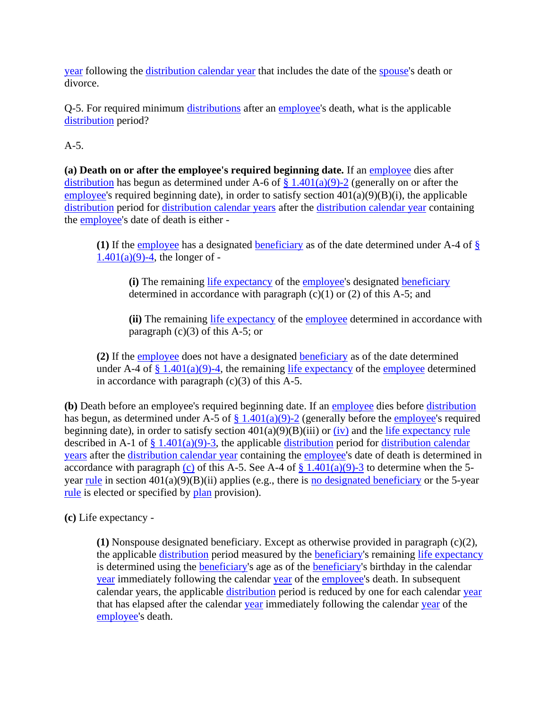[year](https://www.law.cornell.edu/definitions/index.php?width=840&height=800&iframe=true&def_id=1368c1115b8accd5c0299dd351c5ce12&term_occur=999&term_src=Title:26:Chapter:I:Subchapter:A:Part:1:Subjgrp:2:1.401(a)(9)-5) following the [distribution calendar year](https://www.law.cornell.edu/definitions/index.php?width=840&height=800&iframe=true&def_id=1368c1115b8accd5c0299dd351c5ce12&term_occur=999&term_src=Title:26:Chapter:I:Subchapter:A:Part:1:Subjgrp:2:1.401(a)(9)-5) that includes the date of the [spouse's](https://www.law.cornell.edu/definitions/index.php?width=840&height=800&iframe=true&def_id=df3f52dca6c967f082ef92c1fb9cb881&term_occur=999&term_src=Title:26:Chapter:I:Subchapter:A:Part:1:Subjgrp:2:1.401(a)(9)-5) death or divorce.

Q-5. For required minimum [distributions](https://www.law.cornell.edu/definitions/index.php?width=840&height=800&iframe=true&def_id=e8d476c1b4aba17778317e7d24ab594a&term_occur=999&term_src=Title:26:Chapter:I:Subchapter:A:Part:1:Subjgrp:2:1.401(a)(9)-5) after an [employee'](https://www.law.cornell.edu/definitions/index.php?width=840&height=800&iframe=true&def_id=5d8fbd8ea279aa8f9f55233cd860b35d&term_occur=999&term_src=Title:26:Chapter:I:Subchapter:A:Part:1:Subjgrp:2:1.401(a)(9)-5)s death, what is the applicable [distribution](https://www.law.cornell.edu/definitions/index.php?width=840&height=800&iframe=true&def_id=c77697945d34b55b17c827aaeb8358b9&term_occur=999&term_src=Title:26:Chapter:I:Subchapter:A:Part:1:Subjgrp:2:1.401(a)(9)-5) period?

A-5.

**(a) Death on or after the employee's required beginning date.** If an [employee](https://www.law.cornell.edu/definitions/index.php?width=840&height=800&iframe=true&def_id=5d8fbd8ea279aa8f9f55233cd860b35d&term_occur=999&term_src=Title:26:Chapter:I:Subchapter:A:Part:1:Subjgrp:2:1.401(a)(9)-5) dies after [distribution](https://www.law.cornell.edu/definitions/index.php?width=840&height=800&iframe=true&def_id=c77697945d34b55b17c827aaeb8358b9&term_occur=999&term_src=Title:26:Chapter:I:Subchapter:A:Part:1:Subjgrp:2:1.401(a)(9)-5) has begun as determined under A-6 of  $\S 1.401(a)(9)$ -2 (generally on or after the [employee's](https://www.law.cornell.edu/definitions/index.php?width=840&height=800&iframe=true&def_id=5d8fbd8ea279aa8f9f55233cd860b35d&term_occur=999&term_src=Title:26:Chapter:I:Subchapter:A:Part:1:Subjgrp:2:1.401(a)(9)-5) required beginning date), in order to satisfy section  $401(a)(9)(B)(i)$ , the applicable [distribution](https://www.law.cornell.edu/definitions/index.php?width=840&height=800&iframe=true&def_id=c77697945d34b55b17c827aaeb8358b9&term_occur=999&term_src=Title:26:Chapter:I:Subchapter:A:Part:1:Subjgrp:2:1.401(a)(9)-5) period for [distribution calendar years](https://www.law.cornell.edu/definitions/index.php?width=840&height=800&iframe=true&def_id=1368c1115b8accd5c0299dd351c5ce12&term_occur=999&term_src=Title:26:Chapter:I:Subchapter:A:Part:1:Subjgrp:2:1.401(a)(9)-5) after the [distribution calendar year](https://www.law.cornell.edu/definitions/index.php?width=840&height=800&iframe=true&def_id=1368c1115b8accd5c0299dd351c5ce12&term_occur=999&term_src=Title:26:Chapter:I:Subchapter:A:Part:1:Subjgrp:2:1.401(a)(9)-5) containing the [employee's](https://www.law.cornell.edu/definitions/index.php?width=840&height=800&iframe=true&def_id=5d8fbd8ea279aa8f9f55233cd860b35d&term_occur=999&term_src=Title:26:Chapter:I:Subchapter:A:Part:1:Subjgrp:2:1.401(a)(9)-5) date of death is either -

**(1)** If the [employee](https://www.law.cornell.edu/definitions/index.php?width=840&height=800&iframe=true&def_id=5d8fbd8ea279aa8f9f55233cd860b35d&term_occur=999&term_src=Title:26:Chapter:I:Subchapter:A:Part:1:Subjgrp:2:1.401(a)(9)-5) has a designated [beneficiary](https://www.law.cornell.edu/definitions/index.php?width=840&height=800&iframe=true&def_id=3ed0119947cfa6b0cca603e2e59b3ba7&term_occur=999&term_src=Title:26:Chapter:I:Subchapter:A:Part:1:Subjgrp:2:1.401(a)(9)-5) as of the date determined under A-4 of [§](https://www.law.cornell.edu/cfr/text/26/1.401#a_9)   $1.401(a)(9) - 4$ , the longer of -

**(i)** The remaining [life expectancy](https://www.law.cornell.edu/definitions/index.php?width=840&height=800&iframe=true&def_id=564d30d03abc28ceb49b7968bc972770&term_occur=999&term_src=Title:26:Chapter:I:Subchapter:A:Part:1:Subjgrp:2:1.401(a)(9)-5) of the [employee'](https://www.law.cornell.edu/definitions/index.php?width=840&height=800&iframe=true&def_id=5d8fbd8ea279aa8f9f55233cd860b35d&term_occur=999&term_src=Title:26:Chapter:I:Subchapter:A:Part:1:Subjgrp:2:1.401(a)(9)-5)s designated [beneficiary](https://www.law.cornell.edu/definitions/index.php?width=840&height=800&iframe=true&def_id=3ed0119947cfa6b0cca603e2e59b3ba7&term_occur=999&term_src=Title:26:Chapter:I:Subchapter:A:Part:1:Subjgrp:2:1.401(a)(9)-5) determined in accordance with paragraph  $(c)(1)$  or  $(2)$  of this A-5; and

**(ii)** The remaining [life expectancy](https://www.law.cornell.edu/definitions/index.php?width=840&height=800&iframe=true&def_id=564d30d03abc28ceb49b7968bc972770&term_occur=999&term_src=Title:26:Chapter:I:Subchapter:A:Part:1:Subjgrp:2:1.401(a)(9)-5) of the [employee](https://www.law.cornell.edu/definitions/index.php?width=840&height=800&iframe=true&def_id=5d8fbd8ea279aa8f9f55233cd860b35d&term_occur=999&term_src=Title:26:Chapter:I:Subchapter:A:Part:1:Subjgrp:2:1.401(a)(9)-5) determined in accordance with paragraph  $(c)(3)$  of this A-5; or

**(2)** If the [employee](https://www.law.cornell.edu/definitions/index.php?width=840&height=800&iframe=true&def_id=5d8fbd8ea279aa8f9f55233cd860b35d&term_occur=999&term_src=Title:26:Chapter:I:Subchapter:A:Part:1:Subjgrp:2:1.401(a)(9)-5) does not have a designated [beneficiary](https://www.law.cornell.edu/definitions/index.php?width=840&height=800&iframe=true&def_id=3ed0119947cfa6b0cca603e2e59b3ba7&term_occur=999&term_src=Title:26:Chapter:I:Subchapter:A:Part:1:Subjgrp:2:1.401(a)(9)-5) as of the date determined under A-4 of  $\S 1.401(a)(9)$ -4, the remaining [life expectancy](https://www.law.cornell.edu/definitions/index.php?width=840&height=800&iframe=true&def_id=564d30d03abc28ceb49b7968bc972770&term_occur=999&term_src=Title:26:Chapter:I:Subchapter:A:Part:1:Subjgrp:2:1.401(a)(9)-5) of the [employee](https://www.law.cornell.edu/definitions/index.php?width=840&height=800&iframe=true&def_id=5d8fbd8ea279aa8f9f55233cd860b35d&term_occur=999&term_src=Title:26:Chapter:I:Subchapter:A:Part:1:Subjgrp:2:1.401(a)(9)-5) determined in accordance with paragraph  $(c)(3)$  of this A-5.

**(b)** Death before an employee's required beginning date. If an [employee](https://www.law.cornell.edu/definitions/index.php?width=840&height=800&iframe=true&def_id=5d8fbd8ea279aa8f9f55233cd860b35d&term_occur=999&term_src=Title:26:Chapter:I:Subchapter:A:Part:1:Subjgrp:2:1.401(a)(9)-5) dies before [distribution](https://www.law.cornell.edu/definitions/index.php?width=840&height=800&iframe=true&def_id=c77697945d34b55b17c827aaeb8358b9&term_occur=999&term_src=Title:26:Chapter:I:Subchapter:A:Part:1:Subjgrp:2:1.401(a)(9)-5) has begun, as determined under A-5 of  $\S$  1.401(a)(9)-2 (generally before the [employee'](https://www.law.cornell.edu/definitions/index.php?width=840&height=800&iframe=true&def_id=5d8fbd8ea279aa8f9f55233cd860b35d&term_occur=999&term_src=Title:26:Chapter:I:Subchapter:A:Part:1:Subjgrp:2:1.401(a)(9)-5)s required beginning date), in order to satisfy section  $401(a)(9)(B)(iii)$  or [\(iv\)](https://www.law.cornell.edu/definitions/index.php?width=840&height=800&iframe=true&def_id=736ad18590d1eace09b8be117ccb7911&term_occur=999&term_src=Title:26:Chapter:I:Subchapter:A:Part:1:Subjgrp:2:1.401(a)(9)-5) and the [life expectancy](https://www.law.cornell.edu/definitions/index.php?width=840&height=800&iframe=true&def_id=564d30d03abc28ceb49b7968bc972770&term_occur=999&term_src=Title:26:Chapter:I:Subchapter:A:Part:1:Subjgrp:2:1.401(a)(9)-5) [rule](https://www.law.cornell.edu/definitions/index.php?width=840&height=800&iframe=true&def_id=46bcdb5568d6a75306ff954291e17ab8&term_occur=999&term_src=Title:26:Chapter:I:Subchapter:A:Part:1:Subjgrp:2:1.401(a)(9)-5) described in A-1 of  $\S 1.401(a)(9)-3$ , the applicable [distribution](https://www.law.cornell.edu/definitions/index.php?width=840&height=800&iframe=true&def_id=c77697945d34b55b17c827aaeb8358b9&term_occur=999&term_src=Title:26:Chapter:I:Subchapter:A:Part:1:Subjgrp:2:1.401(a)(9)-5) period for distribution calendar [years](https://www.law.cornell.edu/definitions/index.php?width=840&height=800&iframe=true&def_id=1368c1115b8accd5c0299dd351c5ce12&term_occur=999&term_src=Title:26:Chapter:I:Subchapter:A:Part:1:Subjgrp:2:1.401(a)(9)-5) after the [distribution calendar year](https://www.law.cornell.edu/definitions/index.php?width=840&height=800&iframe=true&def_id=1368c1115b8accd5c0299dd351c5ce12&term_occur=999&term_src=Title:26:Chapter:I:Subchapter:A:Part:1:Subjgrp:2:1.401(a)(9)-5) containing the [employee's](https://www.law.cornell.edu/definitions/index.php?width=840&height=800&iframe=true&def_id=5d8fbd8ea279aa8f9f55233cd860b35d&term_occur=999&term_src=Title:26:Chapter:I:Subchapter:A:Part:1:Subjgrp:2:1.401(a)(9)-5) date of death is determined in accordance with paragraph [\(c\)](https://www.law.cornell.edu/definitions/index.php?width=840&height=800&iframe=true&def_id=05ab4cc0bf13cc5bcef83d3950eefb63&term_occur=999&term_src=Title:26:Chapter:I:Subchapter:A:Part:1:Subjgrp:2:1.401(a)(9)-5) of this A-5. See A-4 of  $\S 1.401(a)(9)$ -3 to determine when the 5year [rule](https://www.law.cornell.edu/definitions/index.php?width=840&height=800&iframe=true&def_id=46bcdb5568d6a75306ff954291e17ab8&term_occur=999&term_src=Title:26:Chapter:I:Subchapter:A:Part:1:Subjgrp:2:1.401(a)(9)-5) in section 401(a)(9)(B)(ii) applies (e.g., there is [no designated beneficiary](https://www.law.cornell.edu/definitions/index.php?width=840&height=800&iframe=true&def_id=763e48bb090dc1369abfc2e83de39363&term_occur=999&term_src=Title:26:Chapter:I:Subchapter:A:Part:1:Subjgrp:2:1.401(a)(9)-5) or the 5-year [rule](https://www.law.cornell.edu/definitions/index.php?width=840&height=800&iframe=true&def_id=46bcdb5568d6a75306ff954291e17ab8&term_occur=999&term_src=Title:26:Chapter:I:Subchapter:A:Part:1:Subjgrp:2:1.401(a)(9)-5) is elected or specified by [plan](https://www.law.cornell.edu/definitions/index.php?width=840&height=800&iframe=true&def_id=09908080a1bd91313e828e95ed7dad15&term_occur=999&term_src=Title:26:Chapter:I:Subchapter:A:Part:1:Subjgrp:2:1.401(a)(9)-5) provision).

**(c)** Life expectancy -

**(1)** Nonspouse designated beneficiary. Except as otherwise provided in paragraph (c)(2), the applicable [distribution](https://www.law.cornell.edu/definitions/index.php?width=840&height=800&iframe=true&def_id=c77697945d34b55b17c827aaeb8358b9&term_occur=999&term_src=Title:26:Chapter:I:Subchapter:A:Part:1:Subjgrp:2:1.401(a)(9)-5) period measured by the [beneficiary's](https://www.law.cornell.edu/definitions/index.php?width=840&height=800&iframe=true&def_id=3ed0119947cfa6b0cca603e2e59b3ba7&term_occur=999&term_src=Title:26:Chapter:I:Subchapter:A:Part:1:Subjgrp:2:1.401(a)(9)-5) remaining [life expectancy](https://www.law.cornell.edu/definitions/index.php?width=840&height=800&iframe=true&def_id=564d30d03abc28ceb49b7968bc972770&term_occur=999&term_src=Title:26:Chapter:I:Subchapter:A:Part:1:Subjgrp:2:1.401(a)(9)-5) is determined using the [beneficiary's](https://www.law.cornell.edu/definitions/index.php?width=840&height=800&iframe=true&def_id=3ed0119947cfa6b0cca603e2e59b3ba7&term_occur=999&term_src=Title:26:Chapter:I:Subchapter:A:Part:1:Subjgrp:2:1.401(a)(9)-5) age as of the beneficiary's birthday in the calendar [year](https://www.law.cornell.edu/definitions/index.php?width=840&height=800&iframe=true&def_id=41a60a8d42ad9f7a78551674b98031a8&term_occur=999&term_src=Title:26:Chapter:I:Subchapter:A:Part:1:Subjgrp:2:1.401(a)(9)-5) immediately following the calendar [year](https://www.law.cornell.edu/definitions/index.php?width=840&height=800&iframe=true&def_id=41a60a8d42ad9f7a78551674b98031a8&term_occur=999&term_src=Title:26:Chapter:I:Subchapter:A:Part:1:Subjgrp:2:1.401(a)(9)-5) of the [employee's](https://www.law.cornell.edu/definitions/index.php?width=840&height=800&iframe=true&def_id=5d8fbd8ea279aa8f9f55233cd860b35d&term_occur=999&term_src=Title:26:Chapter:I:Subchapter:A:Part:1:Subjgrp:2:1.401(a)(9)-5) death. In subsequent calendar years, the applicable [distribution](https://www.law.cornell.edu/definitions/index.php?width=840&height=800&iframe=true&def_id=c77697945d34b55b17c827aaeb8358b9&term_occur=999&term_src=Title:26:Chapter:I:Subchapter:A:Part:1:Subjgrp:2:1.401(a)(9)-5) period is reduced by one for each calendar [year](https://www.law.cornell.edu/definitions/index.php?width=840&height=800&iframe=true&def_id=41a60a8d42ad9f7a78551674b98031a8&term_occur=999&term_src=Title:26:Chapter:I:Subchapter:A:Part:1:Subjgrp:2:1.401(a)(9)-5) that has elapsed after the calendar [year](https://www.law.cornell.edu/definitions/index.php?width=840&height=800&iframe=true&def_id=41a60a8d42ad9f7a78551674b98031a8&term_occur=999&term_src=Title:26:Chapter:I:Subchapter:A:Part:1:Subjgrp:2:1.401(a)(9)-5) immediately following the calendar year of the [employee's](https://www.law.cornell.edu/definitions/index.php?width=840&height=800&iframe=true&def_id=5d8fbd8ea279aa8f9f55233cd860b35d&term_occur=999&term_src=Title:26:Chapter:I:Subchapter:A:Part:1:Subjgrp:2:1.401(a)(9)-5) death.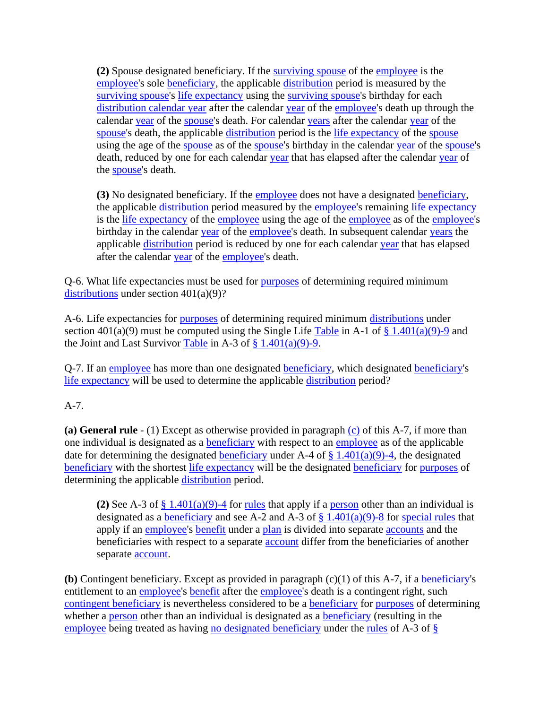**(2)** Spouse designated beneficiary. If the [surviving spouse](https://www.law.cornell.edu/definitions/index.php?width=840&height=800&iframe=true&def_id=0cbb89e68631ba525f4ea35c739b3afc&term_occur=999&term_src=Title:26:Chapter:I:Subchapter:A:Part:1:Subjgrp:2:1.401(a)(9)-5) of the [employee](https://www.law.cornell.edu/definitions/index.php?width=840&height=800&iframe=true&def_id=5d8fbd8ea279aa8f9f55233cd860b35d&term_occur=999&term_src=Title:26:Chapter:I:Subchapter:A:Part:1:Subjgrp:2:1.401(a)(9)-5) is the [employee's](https://www.law.cornell.edu/definitions/index.php?width=840&height=800&iframe=true&def_id=5d8fbd8ea279aa8f9f55233cd860b35d&term_occur=999&term_src=Title:26:Chapter:I:Subchapter:A:Part:1:Subjgrp:2:1.401(a)(9)-5) sole [beneficiary,](https://www.law.cornell.edu/definitions/index.php?width=840&height=800&iframe=true&def_id=3ed0119947cfa6b0cca603e2e59b3ba7&term_occur=999&term_src=Title:26:Chapter:I:Subchapter:A:Part:1:Subjgrp:2:1.401(a)(9)-5) the applicable [distribution](https://www.law.cornell.edu/definitions/index.php?width=840&height=800&iframe=true&def_id=c77697945d34b55b17c827aaeb8358b9&term_occur=999&term_src=Title:26:Chapter:I:Subchapter:A:Part:1:Subjgrp:2:1.401(a)(9)-5) period is measured by the [surviving spouse'](https://www.law.cornell.edu/definitions/index.php?width=840&height=800&iframe=true&def_id=0cbb89e68631ba525f4ea35c739b3afc&term_occur=999&term_src=Title:26:Chapter:I:Subchapter:A:Part:1:Subjgrp:2:1.401(a)(9)-5)s [life expectancy](https://www.law.cornell.edu/definitions/index.php?width=840&height=800&iframe=true&def_id=564d30d03abc28ceb49b7968bc972770&term_occur=999&term_src=Title:26:Chapter:I:Subchapter:A:Part:1:Subjgrp:2:1.401(a)(9)-5) using the [surviving spouse's](https://www.law.cornell.edu/definitions/index.php?width=840&height=800&iframe=true&def_id=0cbb89e68631ba525f4ea35c739b3afc&term_occur=999&term_src=Title:26:Chapter:I:Subchapter:A:Part:1:Subjgrp:2:1.401(a)(9)-5) birthday for each [distribution calendar year](https://www.law.cornell.edu/definitions/index.php?width=840&height=800&iframe=true&def_id=1368c1115b8accd5c0299dd351c5ce12&term_occur=999&term_src=Title:26:Chapter:I:Subchapter:A:Part:1:Subjgrp:2:1.401(a)(9)-5) after the calendar [year](https://www.law.cornell.edu/definitions/index.php?width=840&height=800&iframe=true&def_id=41a60a8d42ad9f7a78551674b98031a8&term_occur=999&term_src=Title:26:Chapter:I:Subchapter:A:Part:1:Subjgrp:2:1.401(a)(9)-5) of the [employee's](https://www.law.cornell.edu/definitions/index.php?width=840&height=800&iframe=true&def_id=5d8fbd8ea279aa8f9f55233cd860b35d&term_occur=999&term_src=Title:26:Chapter:I:Subchapter:A:Part:1:Subjgrp:2:1.401(a)(9)-5) death up through the calendar [year](https://www.law.cornell.edu/definitions/index.php?width=840&height=800&iframe=true&def_id=41a60a8d42ad9f7a78551674b98031a8&term_occur=999&term_src=Title:26:Chapter:I:Subchapter:A:Part:1:Subjgrp:2:1.401(a)(9)-5) of the [spouse's](https://www.law.cornell.edu/definitions/index.php?width=840&height=800&iframe=true&def_id=df3f52dca6c967f082ef92c1fb9cb881&term_occur=999&term_src=Title:26:Chapter:I:Subchapter:A:Part:1:Subjgrp:2:1.401(a)(9)-5) death. For calendar [years](https://www.law.cornell.edu/definitions/index.php?width=840&height=800&iframe=true&def_id=41a60a8d42ad9f7a78551674b98031a8&term_occur=999&term_src=Title:26:Chapter:I:Subchapter:A:Part:1:Subjgrp:2:1.401(a)(9)-5) after the calendar year of the [spouse's](https://www.law.cornell.edu/definitions/index.php?width=840&height=800&iframe=true&def_id=df3f52dca6c967f082ef92c1fb9cb881&term_occur=999&term_src=Title:26:Chapter:I:Subchapter:A:Part:1:Subjgrp:2:1.401(a)(9)-5) death, the applicable [distribution](https://www.law.cornell.edu/definitions/index.php?width=840&height=800&iframe=true&def_id=c77697945d34b55b17c827aaeb8358b9&term_occur=999&term_src=Title:26:Chapter:I:Subchapter:A:Part:1:Subjgrp:2:1.401(a)(9)-5) period is the [life expectancy](https://www.law.cornell.edu/definitions/index.php?width=840&height=800&iframe=true&def_id=564d30d03abc28ceb49b7968bc972770&term_occur=999&term_src=Title:26:Chapter:I:Subchapter:A:Part:1:Subjgrp:2:1.401(a)(9)-5) of the [spouse](https://www.law.cornell.edu/definitions/index.php?width=840&height=800&iframe=true&def_id=df3f52dca6c967f082ef92c1fb9cb881&term_occur=999&term_src=Title:26:Chapter:I:Subchapter:A:Part:1:Subjgrp:2:1.401(a)(9)-5) using the age of the [spouse](https://www.law.cornell.edu/definitions/index.php?width=840&height=800&iframe=true&def_id=df3f52dca6c967f082ef92c1fb9cb881&term_occur=999&term_src=Title:26:Chapter:I:Subchapter:A:Part:1:Subjgrp:2:1.401(a)(9)-5) as of the [spouse'](https://www.law.cornell.edu/definitions/index.php?width=840&height=800&iframe=true&def_id=df3f52dca6c967f082ef92c1fb9cb881&term_occur=999&term_src=Title:26:Chapter:I:Subchapter:A:Part:1:Subjgrp:2:1.401(a)(9)-5)s birthday in the calendar [year](https://www.law.cornell.edu/definitions/index.php?width=840&height=800&iframe=true&def_id=41a60a8d42ad9f7a78551674b98031a8&term_occur=999&term_src=Title:26:Chapter:I:Subchapter:A:Part:1:Subjgrp:2:1.401(a)(9)-5) of the [spouse's](https://www.law.cornell.edu/definitions/index.php?width=840&height=800&iframe=true&def_id=df3f52dca6c967f082ef92c1fb9cb881&term_occur=999&term_src=Title:26:Chapter:I:Subchapter:A:Part:1:Subjgrp:2:1.401(a)(9)-5) death, reduced by one for each calendar [year](https://www.law.cornell.edu/definitions/index.php?width=840&height=800&iframe=true&def_id=41a60a8d42ad9f7a78551674b98031a8&term_occur=999&term_src=Title:26:Chapter:I:Subchapter:A:Part:1:Subjgrp:2:1.401(a)(9)-5) that has elapsed after the calendar year of the [spouse's](https://www.law.cornell.edu/definitions/index.php?width=840&height=800&iframe=true&def_id=df3f52dca6c967f082ef92c1fb9cb881&term_occur=999&term_src=Title:26:Chapter:I:Subchapter:A:Part:1:Subjgrp:2:1.401(a)(9)-5) death.

**(3)** No designated beneficiary. If the [employee](https://www.law.cornell.edu/definitions/index.php?width=840&height=800&iframe=true&def_id=5d8fbd8ea279aa8f9f55233cd860b35d&term_occur=999&term_src=Title:26:Chapter:I:Subchapter:A:Part:1:Subjgrp:2:1.401(a)(9)-5) does not have a designated [beneficiary,](https://www.law.cornell.edu/definitions/index.php?width=840&height=800&iframe=true&def_id=3ed0119947cfa6b0cca603e2e59b3ba7&term_occur=999&term_src=Title:26:Chapter:I:Subchapter:A:Part:1:Subjgrp:2:1.401(a)(9)-5) the applicable [distribution](https://www.law.cornell.edu/definitions/index.php?width=840&height=800&iframe=true&def_id=c77697945d34b55b17c827aaeb8358b9&term_occur=999&term_src=Title:26:Chapter:I:Subchapter:A:Part:1:Subjgrp:2:1.401(a)(9)-5) period measured by the [employee'](https://www.law.cornell.edu/definitions/index.php?width=840&height=800&iframe=true&def_id=5d8fbd8ea279aa8f9f55233cd860b35d&term_occur=999&term_src=Title:26:Chapter:I:Subchapter:A:Part:1:Subjgrp:2:1.401(a)(9)-5)s remaining [life expectancy](https://www.law.cornell.edu/definitions/index.php?width=840&height=800&iframe=true&def_id=564d30d03abc28ceb49b7968bc972770&term_occur=999&term_src=Title:26:Chapter:I:Subchapter:A:Part:1:Subjgrp:2:1.401(a)(9)-5) is the [life expectancy](https://www.law.cornell.edu/definitions/index.php?width=840&height=800&iframe=true&def_id=564d30d03abc28ceb49b7968bc972770&term_occur=999&term_src=Title:26:Chapter:I:Subchapter:A:Part:1:Subjgrp:2:1.401(a)(9)-5) of the [employee](https://www.law.cornell.edu/definitions/index.php?width=840&height=800&iframe=true&def_id=5d8fbd8ea279aa8f9f55233cd860b35d&term_occur=999&term_src=Title:26:Chapter:I:Subchapter:A:Part:1:Subjgrp:2:1.401(a)(9)-5) using the age of the employee as of the [employee's](https://www.law.cornell.edu/definitions/index.php?width=840&height=800&iframe=true&def_id=5d8fbd8ea279aa8f9f55233cd860b35d&term_occur=999&term_src=Title:26:Chapter:I:Subchapter:A:Part:1:Subjgrp:2:1.401(a)(9)-5) birthday in the calendar [year](https://www.law.cornell.edu/definitions/index.php?width=840&height=800&iframe=true&def_id=41a60a8d42ad9f7a78551674b98031a8&term_occur=999&term_src=Title:26:Chapter:I:Subchapter:A:Part:1:Subjgrp:2:1.401(a)(9)-5) of the [employee's](https://www.law.cornell.edu/definitions/index.php?width=840&height=800&iframe=true&def_id=5d8fbd8ea279aa8f9f55233cd860b35d&term_occur=999&term_src=Title:26:Chapter:I:Subchapter:A:Part:1:Subjgrp:2:1.401(a)(9)-5) death. In subsequent calendar [years](https://www.law.cornell.edu/definitions/index.php?width=840&height=800&iframe=true&def_id=41a60a8d42ad9f7a78551674b98031a8&term_occur=999&term_src=Title:26:Chapter:I:Subchapter:A:Part:1:Subjgrp:2:1.401(a)(9)-5) the applicable [distribution](https://www.law.cornell.edu/definitions/index.php?width=840&height=800&iframe=true&def_id=c77697945d34b55b17c827aaeb8358b9&term_occur=999&term_src=Title:26:Chapter:I:Subchapter:A:Part:1:Subjgrp:2:1.401(a)(9)-5) period is reduced by one for each calendar [year](https://www.law.cornell.edu/definitions/index.php?width=840&height=800&iframe=true&def_id=41a60a8d42ad9f7a78551674b98031a8&term_occur=999&term_src=Title:26:Chapter:I:Subchapter:A:Part:1:Subjgrp:2:1.401(a)(9)-5) that has elapsed after the calendar [year](https://www.law.cornell.edu/definitions/index.php?width=840&height=800&iframe=true&def_id=41a60a8d42ad9f7a78551674b98031a8&term_occur=999&term_src=Title:26:Chapter:I:Subchapter:A:Part:1:Subjgrp:2:1.401(a)(9)-5) of the [employee'](https://www.law.cornell.edu/definitions/index.php?width=840&height=800&iframe=true&def_id=5d8fbd8ea279aa8f9f55233cd860b35d&term_occur=999&term_src=Title:26:Chapter:I:Subchapter:A:Part:1:Subjgrp:2:1.401(a)(9)-5)s death.

Q-6. What life expectancies must be used for [purposes](https://www.law.cornell.edu/definitions/index.php?width=840&height=800&iframe=true&def_id=0ad2de56cb198dce23b0b55179137f16&term_occur=999&term_src=Title:26:Chapter:I:Subchapter:A:Part:1:Subjgrp:2:1.401(a)(9)-5) of determining required minimum [distributions](https://www.law.cornell.edu/definitions/index.php?width=840&height=800&iframe=true&def_id=e8d476c1b4aba17778317e7d24ab594a&term_occur=999&term_src=Title:26:Chapter:I:Subchapter:A:Part:1:Subjgrp:2:1.401(a)(9)-5) under section 401(a)(9)?

A-6. Life expectancies for [purposes](https://www.law.cornell.edu/definitions/index.php?width=840&height=800&iframe=true&def_id=0ad2de56cb198dce23b0b55179137f16&term_occur=999&term_src=Title:26:Chapter:I:Subchapter:A:Part:1:Subjgrp:2:1.401(a)(9)-5) of determining required minimum [distributions](https://www.law.cornell.edu/definitions/index.php?width=840&height=800&iframe=true&def_id=e8d476c1b4aba17778317e7d24ab594a&term_occur=999&term_src=Title:26:Chapter:I:Subchapter:A:Part:1:Subjgrp:2:1.401(a)(9)-5) under section 401(a)(9) must be computed using the Single Life [Table](https://www.law.cornell.edu/definitions/index.php?width=840&height=800&iframe=true&def_id=e0f490f5b6f2989f3924fc26d7522917&term_occur=999&term_src=Title:26:Chapter:I:Subchapter:A:Part:1:Subjgrp:2:1.401(a)(9)-5) in A-1 of  $\S 1.401(a)(9)$ -9 and the Joint and Last Survivor [Table](https://www.law.cornell.edu/definitions/index.php?width=840&height=800&iframe=true&def_id=e0f490f5b6f2989f3924fc26d7522917&term_occur=999&term_src=Title:26:Chapter:I:Subchapter:A:Part:1:Subjgrp:2:1.401(a)(9)-5) in A-3 of  $\S 1.401(a)(9)$ -9.

Q-7. If an [employee](https://www.law.cornell.edu/definitions/index.php?width=840&height=800&iframe=true&def_id=5d8fbd8ea279aa8f9f55233cd860b35d&term_occur=999&term_src=Title:26:Chapter:I:Subchapter:A:Part:1:Subjgrp:2:1.401(a)(9)-5) has more than one designated [beneficiary,](https://www.law.cornell.edu/definitions/index.php?width=840&height=800&iframe=true&def_id=3ed0119947cfa6b0cca603e2e59b3ba7&term_occur=999&term_src=Title:26:Chapter:I:Subchapter:A:Part:1:Subjgrp:2:1.401(a)(9)-5) which designated [beneficiary'](https://www.law.cornell.edu/definitions/index.php?width=840&height=800&iframe=true&def_id=3ed0119947cfa6b0cca603e2e59b3ba7&term_occur=999&term_src=Title:26:Chapter:I:Subchapter:A:Part:1:Subjgrp:2:1.401(a)(9)-5)s [life expectancy](https://www.law.cornell.edu/definitions/index.php?width=840&height=800&iframe=true&def_id=564d30d03abc28ceb49b7968bc972770&term_occur=999&term_src=Title:26:Chapter:I:Subchapter:A:Part:1:Subjgrp:2:1.401(a)(9)-5) will be used to determine the applicable [distribution](https://www.law.cornell.edu/definitions/index.php?width=840&height=800&iframe=true&def_id=c77697945d34b55b17c827aaeb8358b9&term_occur=999&term_src=Title:26:Chapter:I:Subchapter:A:Part:1:Subjgrp:2:1.401(a)(9)-5) period?

# A-7.

**(a) General rule** - (1) Except as otherwise provided in paragraph [\(c\)](https://www.law.cornell.edu/definitions/index.php?width=840&height=800&iframe=true&def_id=05ab4cc0bf13cc5bcef83d3950eefb63&term_occur=999&term_src=Title:26:Chapter:I:Subchapter:A:Part:1:Subjgrp:2:1.401(a)(9)-5) of this A-7, if more than one individual is designated as a [beneficiary](https://www.law.cornell.edu/definitions/index.php?width=840&height=800&iframe=true&def_id=3ed0119947cfa6b0cca603e2e59b3ba7&term_occur=999&term_src=Title:26:Chapter:I:Subchapter:A:Part:1:Subjgrp:2:1.401(a)(9)-5) with respect to an [employee](https://www.law.cornell.edu/definitions/index.php?width=840&height=800&iframe=true&def_id=5d8fbd8ea279aa8f9f55233cd860b35d&term_occur=999&term_src=Title:26:Chapter:I:Subchapter:A:Part:1:Subjgrp:2:1.401(a)(9)-5) as of the applicable date for determining the designated [beneficiary](https://www.law.cornell.edu/definitions/index.php?width=840&height=800&iframe=true&def_id=3ed0119947cfa6b0cca603e2e59b3ba7&term_occur=999&term_src=Title:26:Chapter:I:Subchapter:A:Part:1:Subjgrp:2:1.401(a)(9)-5) under A-4 of  $\S$  1.401(a)(9)-4, the designated [beneficiary](https://www.law.cornell.edu/definitions/index.php?width=840&height=800&iframe=true&def_id=3ed0119947cfa6b0cca603e2e59b3ba7&term_occur=999&term_src=Title:26:Chapter:I:Subchapter:A:Part:1:Subjgrp:2:1.401(a)(9)-5) with the shortest [life expectancy](https://www.law.cornell.edu/definitions/index.php?width=840&height=800&iframe=true&def_id=564d30d03abc28ceb49b7968bc972770&term_occur=999&term_src=Title:26:Chapter:I:Subchapter:A:Part:1:Subjgrp:2:1.401(a)(9)-5) will be the designated [beneficiary](https://www.law.cornell.edu/definitions/index.php?width=840&height=800&iframe=true&def_id=3ed0119947cfa6b0cca603e2e59b3ba7&term_occur=999&term_src=Title:26:Chapter:I:Subchapter:A:Part:1:Subjgrp:2:1.401(a)(9)-5) for [purposes](https://www.law.cornell.edu/definitions/index.php?width=840&height=800&iframe=true&def_id=0ad2de56cb198dce23b0b55179137f16&term_occur=999&term_src=Title:26:Chapter:I:Subchapter:A:Part:1:Subjgrp:2:1.401(a)(9)-5) of determining the applicable [distribution](https://www.law.cornell.edu/definitions/index.php?width=840&height=800&iframe=true&def_id=c77697945d34b55b17c827aaeb8358b9&term_occur=999&term_src=Title:26:Chapter:I:Subchapter:A:Part:1:Subjgrp:2:1.401(a)(9)-5) period.

**(2)** See A-3 of [§ 1.401\(a\)\(9\)-4](https://www.law.cornell.edu/cfr/text/26/1.401#a_9) for [rules](https://www.law.cornell.edu/definitions/index.php?width=840&height=800&iframe=true&def_id=46bcdb5568d6a75306ff954291e17ab8&term_occur=999&term_src=Title:26:Chapter:I:Subchapter:A:Part:1:Subjgrp:2:1.401(a)(9)-5) that apply if a [person](https://www.law.cornell.edu/definitions/index.php?width=840&height=800&iframe=true&def_id=dfb083ce0cbaf165f6f86d67eb8f625c&term_occur=999&term_src=Title:26:Chapter:I:Subchapter:A:Part:1:Subjgrp:2:1.401(a)(9)-5) other than an individual is designated as a [beneficiary](https://www.law.cornell.edu/definitions/index.php?width=840&height=800&iframe=true&def_id=3ed0119947cfa6b0cca603e2e59b3ba7&term_occur=999&term_src=Title:26:Chapter:I:Subchapter:A:Part:1:Subjgrp:2:1.401(a)(9)-5) and see A-2 and A-3 of  $\S 1.401(a)(9)$ -8 for [special rules](https://www.law.cornell.edu/definitions/index.php?width=840&height=800&iframe=true&def_id=607b7c33820a4b436b097fc0c848d697&term_occur=999&term_src=Title:26:Chapter:I:Subchapter:A:Part:1:Subjgrp:2:1.401(a)(9)-5) that apply if an [employee'](https://www.law.cornell.edu/definitions/index.php?width=840&height=800&iframe=true&def_id=5d8fbd8ea279aa8f9f55233cd860b35d&term_occur=999&term_src=Title:26:Chapter:I:Subchapter:A:Part:1:Subjgrp:2:1.401(a)(9)-5)s [benefit](https://www.law.cornell.edu/definitions/index.php?width=840&height=800&iframe=true&def_id=d182633c42c881f75c8112278d830a5d&term_occur=999&term_src=Title:26:Chapter:I:Subchapter:A:Part:1:Subjgrp:2:1.401(a)(9)-5) under a [plan](https://www.law.cornell.edu/definitions/index.php?width=840&height=800&iframe=true&def_id=09908080a1bd91313e828e95ed7dad15&term_occur=999&term_src=Title:26:Chapter:I:Subchapter:A:Part:1:Subjgrp:2:1.401(a)(9)-5) is divided into separate [accounts](https://www.law.cornell.edu/definitions/index.php?width=840&height=800&iframe=true&def_id=c3b57a31fc226d7b84e26175afe251f2&term_occur=999&term_src=Title:26:Chapter:I:Subchapter:A:Part:1:Subjgrp:2:1.401(a)(9)-5) and the beneficiaries with respect to a separate **account** differ from the beneficiaries of another separate [account.](https://www.law.cornell.edu/definitions/index.php?width=840&height=800&iframe=true&def_id=c3b57a31fc226d7b84e26175afe251f2&term_occur=999&term_src=Title:26:Chapter:I:Subchapter:A:Part:1:Subjgrp:2:1.401(a)(9)-5)

**(b)** Contingent beneficiary. Except as provided in paragraph (c)(1) of this A-7, if a [beneficiary'](https://www.law.cornell.edu/definitions/index.php?width=840&height=800&iframe=true&def_id=3ed0119947cfa6b0cca603e2e59b3ba7&term_occur=999&term_src=Title:26:Chapter:I:Subchapter:A:Part:1:Subjgrp:2:1.401(a)(9)-5)s entitlement to an [employee's](https://www.law.cornell.edu/definitions/index.php?width=840&height=800&iframe=true&def_id=5d8fbd8ea279aa8f9f55233cd860b35d&term_occur=999&term_src=Title:26:Chapter:I:Subchapter:A:Part:1:Subjgrp:2:1.401(a)(9)-5) [benefit](https://www.law.cornell.edu/definitions/index.php?width=840&height=800&iframe=true&def_id=d182633c42c881f75c8112278d830a5d&term_occur=999&term_src=Title:26:Chapter:I:Subchapter:A:Part:1:Subjgrp:2:1.401(a)(9)-5) after the employee's death is a contingent right, such [contingent beneficiary](https://www.law.cornell.edu/definitions/index.php?width=840&height=800&iframe=true&def_id=c6ce43e8f4d81a89eef9a3b2e4796506&term_occur=999&term_src=Title:26:Chapter:I:Subchapter:A:Part:1:Subjgrp:2:1.401(a)(9)-5) is nevertheless considered to be a [beneficiary](https://www.law.cornell.edu/definitions/index.php?width=840&height=800&iframe=true&def_id=3ed0119947cfa6b0cca603e2e59b3ba7&term_occur=999&term_src=Title:26:Chapter:I:Subchapter:A:Part:1:Subjgrp:2:1.401(a)(9)-5) for [purposes](https://www.law.cornell.edu/definitions/index.php?width=840&height=800&iframe=true&def_id=0ad2de56cb198dce23b0b55179137f16&term_occur=999&term_src=Title:26:Chapter:I:Subchapter:A:Part:1:Subjgrp:2:1.401(a)(9)-5) of determining whether a [person](https://www.law.cornell.edu/definitions/index.php?width=840&height=800&iframe=true&def_id=dfb083ce0cbaf165f6f86d67eb8f625c&term_occur=999&term_src=Title:26:Chapter:I:Subchapter:A:Part:1:Subjgrp:2:1.401(a)(9)-5) other than an individual is designated as a [beneficiary](https://www.law.cornell.edu/definitions/index.php?width=840&height=800&iframe=true&def_id=3ed0119947cfa6b0cca603e2e59b3ba7&term_occur=999&term_src=Title:26:Chapter:I:Subchapter:A:Part:1:Subjgrp:2:1.401(a)(9)-5) (resulting in the [employee](https://www.law.cornell.edu/definitions/index.php?width=840&height=800&iframe=true&def_id=5d8fbd8ea279aa8f9f55233cd860b35d&term_occur=999&term_src=Title:26:Chapter:I:Subchapter:A:Part:1:Subjgrp:2:1.401(a)(9)-5) being treated as having [no designated beneficiary](https://www.law.cornell.edu/definitions/index.php?width=840&height=800&iframe=true&def_id=763e48bb090dc1369abfc2e83de39363&term_occur=999&term_src=Title:26:Chapter:I:Subchapter:A:Part:1:Subjgrp:2:1.401(a)(9)-5) under the [rules](https://www.law.cornell.edu/definitions/index.php?width=840&height=800&iframe=true&def_id=46bcdb5568d6a75306ff954291e17ab8&term_occur=999&term_src=Title:26:Chapter:I:Subchapter:A:Part:1:Subjgrp:2:1.401(a)(9)-5) of A-3 of [§](https://www.law.cornell.edu/cfr/text/26/1.401#a_9)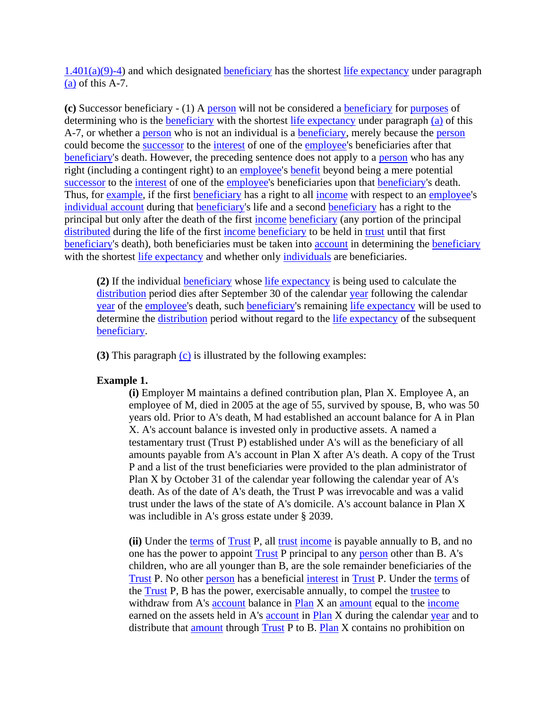$1.401(a)(9)$ -4) and which designated **beneficiary** has the shortest [life expectancy](https://www.law.cornell.edu/definitions/index.php?width=840&height=800&iframe=true&def_id=564d30d03abc28ceb49b7968bc972770&term_occur=999&term_src=Title:26:Chapter:I:Subchapter:A:Part:1:Subjgrp:2:1.401(a)(9)-5) under paragraph  $(a)$  of this A-7.

**(c)** Successor beneficiary - (1) A [person](https://www.law.cornell.edu/definitions/index.php?width=840&height=800&iframe=true&def_id=dfb083ce0cbaf165f6f86d67eb8f625c&term_occur=999&term_src=Title:26:Chapter:I:Subchapter:A:Part:1:Subjgrp:2:1.401(a)(9)-5) will not be considered a [beneficiary](https://www.law.cornell.edu/definitions/index.php?width=840&height=800&iframe=true&def_id=3ed0119947cfa6b0cca603e2e59b3ba7&term_occur=999&term_src=Title:26:Chapter:I:Subchapter:A:Part:1:Subjgrp:2:1.401(a)(9)-5) for [purposes](https://www.law.cornell.edu/definitions/index.php?width=840&height=800&iframe=true&def_id=0ad2de56cb198dce23b0b55179137f16&term_occur=999&term_src=Title:26:Chapter:I:Subchapter:A:Part:1:Subjgrp:2:1.401(a)(9)-5) of determining who is the [beneficiary](https://www.law.cornell.edu/definitions/index.php?width=840&height=800&iframe=true&def_id=3ed0119947cfa6b0cca603e2e59b3ba7&term_occur=999&term_src=Title:26:Chapter:I:Subchapter:A:Part:1:Subjgrp:2:1.401(a)(9)-5) with the shortest [life expectancy](https://www.law.cornell.edu/definitions/index.php?width=840&height=800&iframe=true&def_id=564d30d03abc28ceb49b7968bc972770&term_occur=999&term_src=Title:26:Chapter:I:Subchapter:A:Part:1:Subjgrp:2:1.401(a)(9)-5) under paragraph [\(a\)](https://www.law.cornell.edu/definitions/index.php?width=840&height=800&iframe=true&def_id=28d9b815ea16fe793464da930bb213be&term_occur=999&term_src=Title:26:Chapter:I:Subchapter:A:Part:1:Subjgrp:2:1.401(a)(9)-5) of this A-7, or whether a [person](https://www.law.cornell.edu/definitions/index.php?width=840&height=800&iframe=true&def_id=dfb083ce0cbaf165f6f86d67eb8f625c&term_occur=999&term_src=Title:26:Chapter:I:Subchapter:A:Part:1:Subjgrp:2:1.401(a)(9)-5) who is not an individual is a [beneficiary,](https://www.law.cornell.edu/definitions/index.php?width=840&height=800&iframe=true&def_id=3ed0119947cfa6b0cca603e2e59b3ba7&term_occur=999&term_src=Title:26:Chapter:I:Subchapter:A:Part:1:Subjgrp:2:1.401(a)(9)-5) merely because the person could become the [successor](https://www.law.cornell.edu/definitions/index.php?width=840&height=800&iframe=true&def_id=860c14a58cccc1754a0983d354989e5f&term_occur=999&term_src=Title:26:Chapter:I:Subchapter:A:Part:1:Subjgrp:2:1.401(a)(9)-5) to the [interest](https://www.law.cornell.edu/definitions/index.php?width=840&height=800&iframe=true&def_id=43231b255e6518283ee8fca043359569&term_occur=999&term_src=Title:26:Chapter:I:Subchapter:A:Part:1:Subjgrp:2:1.401(a)(9)-5) of one of the [employee's](https://www.law.cornell.edu/definitions/index.php?width=840&height=800&iframe=true&def_id=5d8fbd8ea279aa8f9f55233cd860b35d&term_occur=999&term_src=Title:26:Chapter:I:Subchapter:A:Part:1:Subjgrp:2:1.401(a)(9)-5) beneficiaries after that [beneficiary'](https://www.law.cornell.edu/definitions/index.php?width=840&height=800&iframe=true&def_id=3ed0119947cfa6b0cca603e2e59b3ba7&term_occur=999&term_src=Title:26:Chapter:I:Subchapter:A:Part:1:Subjgrp:2:1.401(a)(9)-5)s death. However, the preceding sentence does not apply to a [person](https://www.law.cornell.edu/definitions/index.php?width=840&height=800&iframe=true&def_id=dfb083ce0cbaf165f6f86d67eb8f625c&term_occur=999&term_src=Title:26:Chapter:I:Subchapter:A:Part:1:Subjgrp:2:1.401(a)(9)-5) who has any right (including a contingent right) to an [employee'](https://www.law.cornell.edu/definitions/index.php?width=840&height=800&iframe=true&def_id=5d8fbd8ea279aa8f9f55233cd860b35d&term_occur=999&term_src=Title:26:Chapter:I:Subchapter:A:Part:1:Subjgrp:2:1.401(a)(9)-5)s [benefit](https://www.law.cornell.edu/definitions/index.php?width=840&height=800&iframe=true&def_id=d182633c42c881f75c8112278d830a5d&term_occur=999&term_src=Title:26:Chapter:I:Subchapter:A:Part:1:Subjgrp:2:1.401(a)(9)-5) beyond being a mere potential [successor](https://www.law.cornell.edu/definitions/index.php?width=840&height=800&iframe=true&def_id=860c14a58cccc1754a0983d354989e5f&term_occur=999&term_src=Title:26:Chapter:I:Subchapter:A:Part:1:Subjgrp:2:1.401(a)(9)-5) to the [interest](https://www.law.cornell.edu/definitions/index.php?width=840&height=800&iframe=true&def_id=43231b255e6518283ee8fca043359569&term_occur=999&term_src=Title:26:Chapter:I:Subchapter:A:Part:1:Subjgrp:2:1.401(a)(9)-5) of one of the [employee'](https://www.law.cornell.edu/definitions/index.php?width=840&height=800&iframe=true&def_id=5d8fbd8ea279aa8f9f55233cd860b35d&term_occur=999&term_src=Title:26:Chapter:I:Subchapter:A:Part:1:Subjgrp:2:1.401(a)(9)-5)s beneficiaries upon that [beneficiary'](https://www.law.cornell.edu/definitions/index.php?width=840&height=800&iframe=true&def_id=3ed0119947cfa6b0cca603e2e59b3ba7&term_occur=999&term_src=Title:26:Chapter:I:Subchapter:A:Part:1:Subjgrp:2:1.401(a)(9)-5)s death. Thus, for [example,](https://www.law.cornell.edu/definitions/index.php?width=840&height=800&iframe=true&def_id=c4e66b7ed8777fb7f1eddccf398200c8&term_occur=999&term_src=Title:26:Chapter:I:Subchapter:A:Part:1:Subjgrp:2:1.401(a)(9)-5) if the first [beneficiary](https://www.law.cornell.edu/definitions/index.php?width=840&height=800&iframe=true&def_id=3ed0119947cfa6b0cca603e2e59b3ba7&term_occur=999&term_src=Title:26:Chapter:I:Subchapter:A:Part:1:Subjgrp:2:1.401(a)(9)-5) has a right to all [income](https://www.law.cornell.edu/definitions/index.php?width=840&height=800&iframe=true&def_id=1c07283120860b02c14e93d17bce07df&term_occur=999&term_src=Title:26:Chapter:I:Subchapter:A:Part:1:Subjgrp:2:1.401(a)(9)-5) with respect to an [employee'](https://www.law.cornell.edu/definitions/index.php?width=840&height=800&iframe=true&def_id=5d8fbd8ea279aa8f9f55233cd860b35d&term_occur=999&term_src=Title:26:Chapter:I:Subchapter:A:Part:1:Subjgrp:2:1.401(a)(9)-5)s [individual account](https://www.law.cornell.edu/definitions/index.php?width=840&height=800&iframe=true&def_id=35b582a493b393a320c977ceaae6cc93&term_occur=999&term_src=Title:26:Chapter:I:Subchapter:A:Part:1:Subjgrp:2:1.401(a)(9)-5) during that [beneficiary's](https://www.law.cornell.edu/definitions/index.php?width=840&height=800&iframe=true&def_id=3ed0119947cfa6b0cca603e2e59b3ba7&term_occur=999&term_src=Title:26:Chapter:I:Subchapter:A:Part:1:Subjgrp:2:1.401(a)(9)-5) life and a second [beneficiary](https://www.law.cornell.edu/definitions/index.php?width=840&height=800&iframe=true&def_id=3ed0119947cfa6b0cca603e2e59b3ba7&term_occur=999&term_src=Title:26:Chapter:I:Subchapter:A:Part:1:Subjgrp:2:1.401(a)(9)-5) has a right to the principal but only after the death of the first [income](https://www.law.cornell.edu/definitions/index.php?width=840&height=800&iframe=true&def_id=1c07283120860b02c14e93d17bce07df&term_occur=999&term_src=Title:26:Chapter:I:Subchapter:A:Part:1:Subjgrp:2:1.401(a)(9)-5) [beneficiary](https://www.law.cornell.edu/definitions/index.php?width=840&height=800&iframe=true&def_id=3ed0119947cfa6b0cca603e2e59b3ba7&term_occur=999&term_src=Title:26:Chapter:I:Subchapter:A:Part:1:Subjgrp:2:1.401(a)(9)-5) (any portion of the principal [distributed](https://www.law.cornell.edu/definitions/index.php?width=840&height=800&iframe=true&def_id=04e98b7c1e36a49ad26f498d5f78fe8c&term_occur=999&term_src=Title:26:Chapter:I:Subchapter:A:Part:1:Subjgrp:2:1.401(a)(9)-5) during the life of the first [income](https://www.law.cornell.edu/definitions/index.php?width=840&height=800&iframe=true&def_id=1c07283120860b02c14e93d17bce07df&term_occur=999&term_src=Title:26:Chapter:I:Subchapter:A:Part:1:Subjgrp:2:1.401(a)(9)-5) [beneficiary](https://www.law.cornell.edu/definitions/index.php?width=840&height=800&iframe=true&def_id=3ed0119947cfa6b0cca603e2e59b3ba7&term_occur=999&term_src=Title:26:Chapter:I:Subchapter:A:Part:1:Subjgrp:2:1.401(a)(9)-5) to be held in [trust](https://www.law.cornell.edu/definitions/index.php?width=840&height=800&iframe=true&def_id=51508d26cc4b7c4c977788a33dd0fdcc&term_occur=999&term_src=Title:26:Chapter:I:Subchapter:A:Part:1:Subjgrp:2:1.401(a)(9)-5) until that first [beneficiary'](https://www.law.cornell.edu/definitions/index.php?width=840&height=800&iframe=true&def_id=3ed0119947cfa6b0cca603e2e59b3ba7&term_occur=999&term_src=Title:26:Chapter:I:Subchapter:A:Part:1:Subjgrp:2:1.401(a)(9)-5)s death), both beneficiaries must be taken into [account](https://www.law.cornell.edu/definitions/index.php?width=840&height=800&iframe=true&def_id=c3b57a31fc226d7b84e26175afe251f2&term_occur=999&term_src=Title:26:Chapter:I:Subchapter:A:Part:1:Subjgrp:2:1.401(a)(9)-5) in determining the [beneficiary](https://www.law.cornell.edu/definitions/index.php?width=840&height=800&iframe=true&def_id=3ed0119947cfa6b0cca603e2e59b3ba7&term_occur=999&term_src=Title:26:Chapter:I:Subchapter:A:Part:1:Subjgrp:2:1.401(a)(9)-5) with the shortest [life expectancy](https://www.law.cornell.edu/definitions/index.php?width=840&height=800&iframe=true&def_id=564d30d03abc28ceb49b7968bc972770&term_occur=999&term_src=Title:26:Chapter:I:Subchapter:A:Part:1:Subjgrp:2:1.401(a)(9)-5) and whether only [individuals](https://www.law.cornell.edu/definitions/index.php?width=840&height=800&iframe=true&def_id=2df621360dbe949e49c36d476d908e43&term_occur=999&term_src=Title:26:Chapter:I:Subchapter:A:Part:1:Subjgrp:2:1.401(a)(9)-5) are beneficiaries.

**(2)** If the individual [beneficiary](https://www.law.cornell.edu/definitions/index.php?width=840&height=800&iframe=true&def_id=3ed0119947cfa6b0cca603e2e59b3ba7&term_occur=999&term_src=Title:26:Chapter:I:Subchapter:A:Part:1:Subjgrp:2:1.401(a)(9)-5) whose [life expectancy](https://www.law.cornell.edu/definitions/index.php?width=840&height=800&iframe=true&def_id=564d30d03abc28ceb49b7968bc972770&term_occur=999&term_src=Title:26:Chapter:I:Subchapter:A:Part:1:Subjgrp:2:1.401(a)(9)-5) is being used to calculate the [distribution](https://www.law.cornell.edu/definitions/index.php?width=840&height=800&iframe=true&def_id=c77697945d34b55b17c827aaeb8358b9&term_occur=999&term_src=Title:26:Chapter:I:Subchapter:A:Part:1:Subjgrp:2:1.401(a)(9)-5) period dies after September 30 of the calendar [year](https://www.law.cornell.edu/definitions/index.php?width=840&height=800&iframe=true&def_id=41a60a8d42ad9f7a78551674b98031a8&term_occur=999&term_src=Title:26:Chapter:I:Subchapter:A:Part:1:Subjgrp:2:1.401(a)(9)-5) following the calendar [year](https://www.law.cornell.edu/definitions/index.php?width=840&height=800&iframe=true&def_id=41a60a8d42ad9f7a78551674b98031a8&term_occur=999&term_src=Title:26:Chapter:I:Subchapter:A:Part:1:Subjgrp:2:1.401(a)(9)-5) of the [employee'](https://www.law.cornell.edu/definitions/index.php?width=840&height=800&iframe=true&def_id=5d8fbd8ea279aa8f9f55233cd860b35d&term_occur=999&term_src=Title:26:Chapter:I:Subchapter:A:Part:1:Subjgrp:2:1.401(a)(9)-5)s death, such [beneficiary's](https://www.law.cornell.edu/definitions/index.php?width=840&height=800&iframe=true&def_id=3ed0119947cfa6b0cca603e2e59b3ba7&term_occur=999&term_src=Title:26:Chapter:I:Subchapter:A:Part:1:Subjgrp:2:1.401(a)(9)-5) remaining [life expectancy](https://www.law.cornell.edu/definitions/index.php?width=840&height=800&iframe=true&def_id=564d30d03abc28ceb49b7968bc972770&term_occur=999&term_src=Title:26:Chapter:I:Subchapter:A:Part:1:Subjgrp:2:1.401(a)(9)-5) will be used to determine the [distribution](https://www.law.cornell.edu/definitions/index.php?width=840&height=800&iframe=true&def_id=c77697945d34b55b17c827aaeb8358b9&term_occur=999&term_src=Title:26:Chapter:I:Subchapter:A:Part:1:Subjgrp:2:1.401(a)(9)-5) period without regard to the [life expectancy](https://www.law.cornell.edu/definitions/index.php?width=840&height=800&iframe=true&def_id=564d30d03abc28ceb49b7968bc972770&term_occur=999&term_src=Title:26:Chapter:I:Subchapter:A:Part:1:Subjgrp:2:1.401(a)(9)-5) of the subsequent [beneficiary.](https://www.law.cornell.edu/definitions/index.php?width=840&height=800&iframe=true&def_id=3ed0119947cfa6b0cca603e2e59b3ba7&term_occur=999&term_src=Title:26:Chapter:I:Subchapter:A:Part:1:Subjgrp:2:1.401(a)(9)-5)

**(3)** This paragraph [\(c\)](https://www.law.cornell.edu/definitions/index.php?width=840&height=800&iframe=true&def_id=05ab4cc0bf13cc5bcef83d3950eefb63&term_occur=999&term_src=Title:26:Chapter:I:Subchapter:A:Part:1:Subjgrp:2:1.401(a)(9)-5) is illustrated by the following examples:

#### **Example 1.**

**(i)** Employer M maintains a defined contribution plan, Plan X. Employee A, an employee of M, died in 2005 at the age of 55, survived by spouse, B, who was 50 years old. Prior to A's death, M had established an account balance for A in Plan X. A's account balance is invested only in productive assets. A named a testamentary trust (Trust P) established under A's will as the beneficiary of all amounts payable from A's account in Plan X after A's death. A copy of the Trust P and a list of the trust beneficiaries were provided to the plan administrator of Plan X by October 31 of the calendar year following the calendar year of A's death. As of the date of A's death, the Trust P was irrevocable and was a valid trust under the laws of the state of A's domicile. A's account balance in Plan X was includible in A's gross estate under § 2039.

**(ii)** Under the [terms](https://www.law.cornell.edu/definitions/index.php?width=840&height=800&iframe=true&def_id=6e02ab47b6e9584ede0a067339f05a6f&term_occur=999&term_src=Title:26:Chapter:I:Subchapter:A:Part:1:Subjgrp:2:1.401(a)(9)-5) of [Trust](https://www.law.cornell.edu/definitions/index.php?width=840&height=800&iframe=true&def_id=51508d26cc4b7c4c977788a33dd0fdcc&term_occur=999&term_src=Title:26:Chapter:I:Subchapter:A:Part:1:Subjgrp:2:1.401(a)(9)-5) P, all [trust](https://www.law.cornell.edu/definitions/index.php?width=840&height=800&iframe=true&def_id=51508d26cc4b7c4c977788a33dd0fdcc&term_occur=999&term_src=Title:26:Chapter:I:Subchapter:A:Part:1:Subjgrp:2:1.401(a)(9)-5) [income](https://www.law.cornell.edu/definitions/index.php?width=840&height=800&iframe=true&def_id=1c07283120860b02c14e93d17bce07df&term_occur=999&term_src=Title:26:Chapter:I:Subchapter:A:Part:1:Subjgrp:2:1.401(a)(9)-5) is payable annually to B, and no one has the power to appoint [Trust](https://www.law.cornell.edu/definitions/index.php?width=840&height=800&iframe=true&def_id=51508d26cc4b7c4c977788a33dd0fdcc&term_occur=999&term_src=Title:26:Chapter:I:Subchapter:A:Part:1:Subjgrp:2:1.401(a)(9)-5) P principal to any [person](https://www.law.cornell.edu/definitions/index.php?width=840&height=800&iframe=true&def_id=dfb083ce0cbaf165f6f86d67eb8f625c&term_occur=999&term_src=Title:26:Chapter:I:Subchapter:A:Part:1:Subjgrp:2:1.401(a)(9)-5) other than B. A's children, who are all younger than B, are the sole remainder beneficiaries of the [Trust](https://www.law.cornell.edu/definitions/index.php?width=840&height=800&iframe=true&def_id=51508d26cc4b7c4c977788a33dd0fdcc&term_occur=999&term_src=Title:26:Chapter:I:Subchapter:A:Part:1:Subjgrp:2:1.401(a)(9)-5) P. No other [person](https://www.law.cornell.edu/definitions/index.php?width=840&height=800&iframe=true&def_id=dfb083ce0cbaf165f6f86d67eb8f625c&term_occur=999&term_src=Title:26:Chapter:I:Subchapter:A:Part:1:Subjgrp:2:1.401(a)(9)-5) has a beneficial [interest](https://www.law.cornell.edu/definitions/index.php?width=840&height=800&iframe=true&def_id=43231b255e6518283ee8fca043359569&term_occur=999&term_src=Title:26:Chapter:I:Subchapter:A:Part:1:Subjgrp:2:1.401(a)(9)-5) in [Trust](https://www.law.cornell.edu/definitions/index.php?width=840&height=800&iframe=true&def_id=51508d26cc4b7c4c977788a33dd0fdcc&term_occur=999&term_src=Title:26:Chapter:I:Subchapter:A:Part:1:Subjgrp:2:1.401(a)(9)-5) P. Under the [terms](https://www.law.cornell.edu/definitions/index.php?width=840&height=800&iframe=true&def_id=6e02ab47b6e9584ede0a067339f05a6f&term_occur=999&term_src=Title:26:Chapter:I:Subchapter:A:Part:1:Subjgrp:2:1.401(a)(9)-5) of the [Trust](https://www.law.cornell.edu/definitions/index.php?width=840&height=800&iframe=true&def_id=51508d26cc4b7c4c977788a33dd0fdcc&term_occur=999&term_src=Title:26:Chapter:I:Subchapter:A:Part:1:Subjgrp:2:1.401(a)(9)-5) P, B has the power, exercisable annually, to compel the [trustee](https://www.law.cornell.edu/definitions/index.php?width=840&height=800&iframe=true&def_id=543b5d223089f6209c32c47891af84f4&term_occur=999&term_src=Title:26:Chapter:I:Subchapter:A:Part:1:Subjgrp:2:1.401(a)(9)-5) to withdraw from A's [account](https://www.law.cornell.edu/definitions/index.php?width=840&height=800&iframe=true&def_id=c3b57a31fc226d7b84e26175afe251f2&term_occur=999&term_src=Title:26:Chapter:I:Subchapter:A:Part:1:Subjgrp:2:1.401(a)(9)-5) balance in [Plan](https://www.law.cornell.edu/definitions/index.php?width=840&height=800&iframe=true&def_id=09908080a1bd91313e828e95ed7dad15&term_occur=999&term_src=Title:26:Chapter:I:Subchapter:A:Part:1:Subjgrp:2:1.401(a)(9)-5) X an [amount](https://www.law.cornell.edu/definitions/index.php?width=840&height=800&iframe=true&def_id=661fb5529bda5e7b12e0c516a1a1473f&term_occur=999&term_src=Title:26:Chapter:I:Subchapter:A:Part:1:Subjgrp:2:1.401(a)(9)-5) equal to the [income](https://www.law.cornell.edu/definitions/index.php?width=840&height=800&iframe=true&def_id=1c07283120860b02c14e93d17bce07df&term_occur=999&term_src=Title:26:Chapter:I:Subchapter:A:Part:1:Subjgrp:2:1.401(a)(9)-5) earned on the assets held in A's **account** in [Plan](https://www.law.cornell.edu/definitions/index.php?width=840&height=800&iframe=true&def_id=09908080a1bd91313e828e95ed7dad15&term_occur=999&term_src=Title:26:Chapter:I:Subchapter:A:Part:1:Subjgrp:2:1.401(a)(9)-5) X during the calendar [year](https://www.law.cornell.edu/definitions/index.php?width=840&height=800&iframe=true&def_id=41a60a8d42ad9f7a78551674b98031a8&term_occur=999&term_src=Title:26:Chapter:I:Subchapter:A:Part:1:Subjgrp:2:1.401(a)(9)-5) and to distribute that [amount](https://www.law.cornell.edu/definitions/index.php?width=840&height=800&iframe=true&def_id=661fb5529bda5e7b12e0c516a1a1473f&term_occur=999&term_src=Title:26:Chapter:I:Subchapter:A:Part:1:Subjgrp:2:1.401(a)(9)-5) through [Trust](https://www.law.cornell.edu/definitions/index.php?width=840&height=800&iframe=true&def_id=51508d26cc4b7c4c977788a33dd0fdcc&term_occur=999&term_src=Title:26:Chapter:I:Subchapter:A:Part:1:Subjgrp:2:1.401(a)(9)-5) P to B. [Plan](https://www.law.cornell.edu/definitions/index.php?width=840&height=800&iframe=true&def_id=09908080a1bd91313e828e95ed7dad15&term_occur=999&term_src=Title:26:Chapter:I:Subchapter:A:Part:1:Subjgrp:2:1.401(a)(9)-5) X contains no prohibition on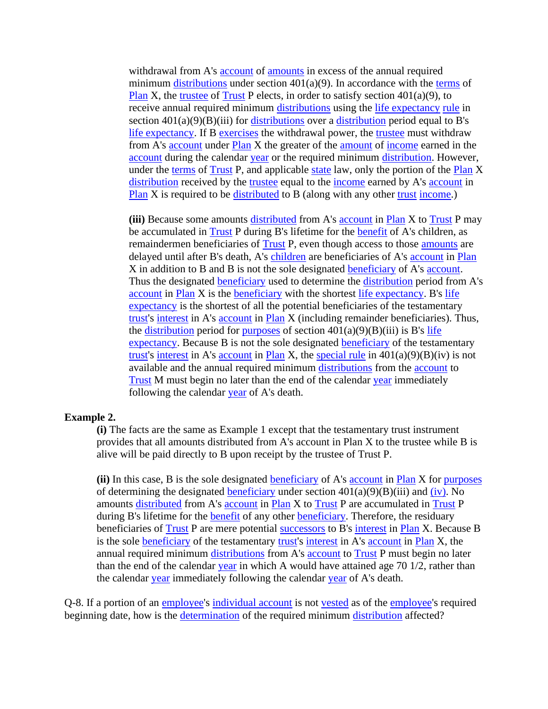withdrawal from A's [account](https://www.law.cornell.edu/definitions/index.php?width=840&height=800&iframe=true&def_id=c3b57a31fc226d7b84e26175afe251f2&term_occur=999&term_src=Title:26:Chapter:I:Subchapter:A:Part:1:Subjgrp:2:1.401(a)(9)-5) of [amounts](https://www.law.cornell.edu/definitions/index.php?width=840&height=800&iframe=true&def_id=661fb5529bda5e7b12e0c516a1a1473f&term_occur=999&term_src=Title:26:Chapter:I:Subchapter:A:Part:1:Subjgrp:2:1.401(a)(9)-5) in excess of the annual required minimum [distributions](https://www.law.cornell.edu/definitions/index.php?width=840&height=800&iframe=true&def_id=e8d476c1b4aba17778317e7d24ab594a&term_occur=999&term_src=Title:26:Chapter:I:Subchapter:A:Part:1:Subjgrp:2:1.401(a)(9)-5) under section 401(a)(9). In accordance with the [terms](https://www.law.cornell.edu/definitions/index.php?width=840&height=800&iframe=true&def_id=6e02ab47b6e9584ede0a067339f05a6f&term_occur=999&term_src=Title:26:Chapter:I:Subchapter:A:Part:1:Subjgrp:2:1.401(a)(9)-5) of [Plan](https://www.law.cornell.edu/definitions/index.php?width=840&height=800&iframe=true&def_id=09908080a1bd91313e828e95ed7dad15&term_occur=999&term_src=Title:26:Chapter:I:Subchapter:A:Part:1:Subjgrp:2:1.401(a)(9)-5) X, the [trustee](https://www.law.cornell.edu/definitions/index.php?width=840&height=800&iframe=true&def_id=543b5d223089f6209c32c47891af84f4&term_occur=999&term_src=Title:26:Chapter:I:Subchapter:A:Part:1:Subjgrp:2:1.401(a)(9)-5) of [Trust](https://www.law.cornell.edu/definitions/index.php?width=840&height=800&iframe=true&def_id=51508d26cc4b7c4c977788a33dd0fdcc&term_occur=999&term_src=Title:26:Chapter:I:Subchapter:A:Part:1:Subjgrp:2:1.401(a)(9)-5) P elects, in order to satisfy section  $401(a)(9)$ , to receive annual required minimum [distributions](https://www.law.cornell.edu/definitions/index.php?width=840&height=800&iframe=true&def_id=e8d476c1b4aba17778317e7d24ab594a&term_occur=999&term_src=Title:26:Chapter:I:Subchapter:A:Part:1:Subjgrp:2:1.401(a)(9)-5) using the [life expectancy](https://www.law.cornell.edu/definitions/index.php?width=840&height=800&iframe=true&def_id=564d30d03abc28ceb49b7968bc972770&term_occur=999&term_src=Title:26:Chapter:I:Subchapter:A:Part:1:Subjgrp:2:1.401(a)(9)-5) [rule](https://www.law.cornell.edu/definitions/index.php?width=840&height=800&iframe=true&def_id=46bcdb5568d6a75306ff954291e17ab8&term_occur=999&term_src=Title:26:Chapter:I:Subchapter:A:Part:1:Subjgrp:2:1.401(a)(9)-5) in section  $401(a)(9)(B)(iii)$  for [distributions](https://www.law.cornell.edu/definitions/index.php?width=840&height=800&iframe=true&def_id=e8d476c1b4aba17778317e7d24ab594a&term_occur=999&term_src=Title:26:Chapter:I:Subchapter:A:Part:1:Subjgrp:2:1.401(a)(9)-5) over a [distribution](https://www.law.cornell.edu/definitions/index.php?width=840&height=800&iframe=true&def_id=c77697945d34b55b17c827aaeb8358b9&term_occur=999&term_src=Title:26:Chapter:I:Subchapter:A:Part:1:Subjgrp:2:1.401(a)(9)-5) period equal to B's [life expectancy.](https://www.law.cornell.edu/definitions/index.php?width=840&height=800&iframe=true&def_id=564d30d03abc28ceb49b7968bc972770&term_occur=999&term_src=Title:26:Chapter:I:Subchapter:A:Part:1:Subjgrp:2:1.401(a)(9)-5) If B [exercises](https://www.law.cornell.edu/definitions/index.php?width=840&height=800&iframe=true&def_id=970d2414a1a31dbe5eef288e0a9bfa3c&term_occur=999&term_src=Title:26:Chapter:I:Subchapter:A:Part:1:Subjgrp:2:1.401(a)(9)-5) the withdrawal power, the [trustee](https://www.law.cornell.edu/definitions/index.php?width=840&height=800&iframe=true&def_id=543b5d223089f6209c32c47891af84f4&term_occur=999&term_src=Title:26:Chapter:I:Subchapter:A:Part:1:Subjgrp:2:1.401(a)(9)-5) must withdraw from A's [account](https://www.law.cornell.edu/definitions/index.php?width=840&height=800&iframe=true&def_id=c3b57a31fc226d7b84e26175afe251f2&term_occur=999&term_src=Title:26:Chapter:I:Subchapter:A:Part:1:Subjgrp:2:1.401(a)(9)-5) under [Plan](https://www.law.cornell.edu/definitions/index.php?width=840&height=800&iframe=true&def_id=09908080a1bd91313e828e95ed7dad15&term_occur=999&term_src=Title:26:Chapter:I:Subchapter:A:Part:1:Subjgrp:2:1.401(a)(9)-5) X the greater of the [amount](https://www.law.cornell.edu/definitions/index.php?width=840&height=800&iframe=true&def_id=661fb5529bda5e7b12e0c516a1a1473f&term_occur=999&term_src=Title:26:Chapter:I:Subchapter:A:Part:1:Subjgrp:2:1.401(a)(9)-5) of [income](https://www.law.cornell.edu/definitions/index.php?width=840&height=800&iframe=true&def_id=1c07283120860b02c14e93d17bce07df&term_occur=999&term_src=Title:26:Chapter:I:Subchapter:A:Part:1:Subjgrp:2:1.401(a)(9)-5) earned in the [account](https://www.law.cornell.edu/definitions/index.php?width=840&height=800&iframe=true&def_id=c3b57a31fc226d7b84e26175afe251f2&term_occur=999&term_src=Title:26:Chapter:I:Subchapter:A:Part:1:Subjgrp:2:1.401(a)(9)-5) during the calendar [year](https://www.law.cornell.edu/definitions/index.php?width=840&height=800&iframe=true&def_id=41a60a8d42ad9f7a78551674b98031a8&term_occur=999&term_src=Title:26:Chapter:I:Subchapter:A:Part:1:Subjgrp:2:1.401(a)(9)-5) or the required minimum [distribution.](https://www.law.cornell.edu/definitions/index.php?width=840&height=800&iframe=true&def_id=c77697945d34b55b17c827aaeb8358b9&term_occur=999&term_src=Title:26:Chapter:I:Subchapter:A:Part:1:Subjgrp:2:1.401(a)(9)-5) However, under the [terms](https://www.law.cornell.edu/definitions/index.php?width=840&height=800&iframe=true&def_id=6e02ab47b6e9584ede0a067339f05a6f&term_occur=999&term_src=Title:26:Chapter:I:Subchapter:A:Part:1:Subjgrp:2:1.401(a)(9)-5) of [Trust](https://www.law.cornell.edu/definitions/index.php?width=840&height=800&iframe=true&def_id=51508d26cc4b7c4c977788a33dd0fdcc&term_occur=999&term_src=Title:26:Chapter:I:Subchapter:A:Part:1:Subjgrp:2:1.401(a)(9)-5) P, and applicable [state](https://www.law.cornell.edu/definitions/index.php?width=840&height=800&iframe=true&def_id=8a5270feb074ea85e9ec5ce707357490&term_occur=999&term_src=Title:26:Chapter:I:Subchapter:A:Part:1:Subjgrp:2:1.401(a)(9)-5) law, only the portion of the [Plan](https://www.law.cornell.edu/definitions/index.php?width=840&height=800&iframe=true&def_id=09908080a1bd91313e828e95ed7dad15&term_occur=999&term_src=Title:26:Chapter:I:Subchapter:A:Part:1:Subjgrp:2:1.401(a)(9)-5) X [distribution](https://www.law.cornell.edu/definitions/index.php?width=840&height=800&iframe=true&def_id=c77697945d34b55b17c827aaeb8358b9&term_occur=999&term_src=Title:26:Chapter:I:Subchapter:A:Part:1:Subjgrp:2:1.401(a)(9)-5) received by the [trustee](https://www.law.cornell.edu/definitions/index.php?width=840&height=800&iframe=true&def_id=543b5d223089f6209c32c47891af84f4&term_occur=999&term_src=Title:26:Chapter:I:Subchapter:A:Part:1:Subjgrp:2:1.401(a)(9)-5) equal to the [income](https://www.law.cornell.edu/definitions/index.php?width=840&height=800&iframe=true&def_id=1c07283120860b02c14e93d17bce07df&term_occur=999&term_src=Title:26:Chapter:I:Subchapter:A:Part:1:Subjgrp:2:1.401(a)(9)-5) earned by A's [account](https://www.law.cornell.edu/definitions/index.php?width=840&height=800&iframe=true&def_id=c3b57a31fc226d7b84e26175afe251f2&term_occur=999&term_src=Title:26:Chapter:I:Subchapter:A:Part:1:Subjgrp:2:1.401(a)(9)-5) in [Plan](https://www.law.cornell.edu/definitions/index.php?width=840&height=800&iframe=true&def_id=09908080a1bd91313e828e95ed7dad15&term_occur=999&term_src=Title:26:Chapter:I:Subchapter:A:Part:1:Subjgrp:2:1.401(a)(9)-5) X is required to be [distributed](https://www.law.cornell.edu/definitions/index.php?width=840&height=800&iframe=true&def_id=04e98b7c1e36a49ad26f498d5f78fe8c&term_occur=999&term_src=Title:26:Chapter:I:Subchapter:A:Part:1:Subjgrp:2:1.401(a)(9)-5) to B (along with any other [trust](https://www.law.cornell.edu/definitions/index.php?width=840&height=800&iframe=true&def_id=51508d26cc4b7c4c977788a33dd0fdcc&term_occur=999&term_src=Title:26:Chapter:I:Subchapter:A:Part:1:Subjgrp:2:1.401(a)(9)-5) [income.](https://www.law.cornell.edu/definitions/index.php?width=840&height=800&iframe=true&def_id=1c07283120860b02c14e93d17bce07df&term_occur=999&term_src=Title:26:Chapter:I:Subchapter:A:Part:1:Subjgrp:2:1.401(a)(9)-5))

**(iii)** Because some amounts [distributed](https://www.law.cornell.edu/definitions/index.php?width=840&height=800&iframe=true&def_id=04e98b7c1e36a49ad26f498d5f78fe8c&term_occur=999&term_src=Title:26:Chapter:I:Subchapter:A:Part:1:Subjgrp:2:1.401(a)(9)-5) from A's [account](https://www.law.cornell.edu/definitions/index.php?width=840&height=800&iframe=true&def_id=c3b57a31fc226d7b84e26175afe251f2&term_occur=999&term_src=Title:26:Chapter:I:Subchapter:A:Part:1:Subjgrp:2:1.401(a)(9)-5) in [Plan](https://www.law.cornell.edu/definitions/index.php?width=840&height=800&iframe=true&def_id=09908080a1bd91313e828e95ed7dad15&term_occur=999&term_src=Title:26:Chapter:I:Subchapter:A:Part:1:Subjgrp:2:1.401(a)(9)-5) X to [Trust](https://www.law.cornell.edu/definitions/index.php?width=840&height=800&iframe=true&def_id=51508d26cc4b7c4c977788a33dd0fdcc&term_occur=999&term_src=Title:26:Chapter:I:Subchapter:A:Part:1:Subjgrp:2:1.401(a)(9)-5) P may be accumulated in [Trust](https://www.law.cornell.edu/definitions/index.php?width=840&height=800&iframe=true&def_id=51508d26cc4b7c4c977788a33dd0fdcc&term_occur=999&term_src=Title:26:Chapter:I:Subchapter:A:Part:1:Subjgrp:2:1.401(a)(9)-5) P during B's lifetime for the [benefit](https://www.law.cornell.edu/definitions/index.php?width=840&height=800&iframe=true&def_id=d182633c42c881f75c8112278d830a5d&term_occur=999&term_src=Title:26:Chapter:I:Subchapter:A:Part:1:Subjgrp:2:1.401(a)(9)-5) of A's children, as remaindermen beneficiaries of [Trust](https://www.law.cornell.edu/definitions/index.php?width=840&height=800&iframe=true&def_id=51508d26cc4b7c4c977788a33dd0fdcc&term_occur=999&term_src=Title:26:Chapter:I:Subchapter:A:Part:1:Subjgrp:2:1.401(a)(9)-5) P, even though access to those [amounts](https://www.law.cornell.edu/definitions/index.php?width=840&height=800&iframe=true&def_id=661fb5529bda5e7b12e0c516a1a1473f&term_occur=999&term_src=Title:26:Chapter:I:Subchapter:A:Part:1:Subjgrp:2:1.401(a)(9)-5) are delayed until after B's death, A's [children](https://www.law.cornell.edu/definitions/index.php?width=840&height=800&iframe=true&def_id=6a8c2672a49031aba8ef7b706dd739d4&term_occur=999&term_src=Title:26:Chapter:I:Subchapter:A:Part:1:Subjgrp:2:1.401(a)(9)-5) are beneficiaries of A's [account](https://www.law.cornell.edu/definitions/index.php?width=840&height=800&iframe=true&def_id=c3b57a31fc226d7b84e26175afe251f2&term_occur=999&term_src=Title:26:Chapter:I:Subchapter:A:Part:1:Subjgrp:2:1.401(a)(9)-5) in [Plan](https://www.law.cornell.edu/definitions/index.php?width=840&height=800&iframe=true&def_id=09908080a1bd91313e828e95ed7dad15&term_occur=999&term_src=Title:26:Chapter:I:Subchapter:A:Part:1:Subjgrp:2:1.401(a)(9)-5) X in addition to B and B is not the sole designated [beneficiary](https://www.law.cornell.edu/definitions/index.php?width=840&height=800&iframe=true&def_id=3ed0119947cfa6b0cca603e2e59b3ba7&term_occur=999&term_src=Title:26:Chapter:I:Subchapter:A:Part:1:Subjgrp:2:1.401(a)(9)-5) of A's [account.](https://www.law.cornell.edu/definitions/index.php?width=840&height=800&iframe=true&def_id=c3b57a31fc226d7b84e26175afe251f2&term_occur=999&term_src=Title:26:Chapter:I:Subchapter:A:Part:1:Subjgrp:2:1.401(a)(9)-5) Thus the designated [beneficiary](https://www.law.cornell.edu/definitions/index.php?width=840&height=800&iframe=true&def_id=3ed0119947cfa6b0cca603e2e59b3ba7&term_occur=999&term_src=Title:26:Chapter:I:Subchapter:A:Part:1:Subjgrp:2:1.401(a)(9)-5) used to determine the [distribution](https://www.law.cornell.edu/definitions/index.php?width=840&height=800&iframe=true&def_id=c77697945d34b55b17c827aaeb8358b9&term_occur=999&term_src=Title:26:Chapter:I:Subchapter:A:Part:1:Subjgrp:2:1.401(a)(9)-5) period from A's [account](https://www.law.cornell.edu/definitions/index.php?width=840&height=800&iframe=true&def_id=c3b57a31fc226d7b84e26175afe251f2&term_occur=999&term_src=Title:26:Chapter:I:Subchapter:A:Part:1:Subjgrp:2:1.401(a)(9)-5) in [Plan](https://www.law.cornell.edu/definitions/index.php?width=840&height=800&iframe=true&def_id=09908080a1bd91313e828e95ed7dad15&term_occur=999&term_src=Title:26:Chapter:I:Subchapter:A:Part:1:Subjgrp:2:1.401(a)(9)-5) X is the [beneficiary](https://www.law.cornell.edu/definitions/index.php?width=840&height=800&iframe=true&def_id=3ed0119947cfa6b0cca603e2e59b3ba7&term_occur=999&term_src=Title:26:Chapter:I:Subchapter:A:Part:1:Subjgrp:2:1.401(a)(9)-5) with the shortest [life expectancy.](https://www.law.cornell.edu/definitions/index.php?width=840&height=800&iframe=true&def_id=564d30d03abc28ceb49b7968bc972770&term_occur=999&term_src=Title:26:Chapter:I:Subchapter:A:Part:1:Subjgrp:2:1.401(a)(9)-5) B's [life](https://www.law.cornell.edu/definitions/index.php?width=840&height=800&iframe=true&def_id=564d30d03abc28ceb49b7968bc972770&term_occur=999&term_src=Title:26:Chapter:I:Subchapter:A:Part:1:Subjgrp:2:1.401(a)(9)-5)  [expectancy](https://www.law.cornell.edu/definitions/index.php?width=840&height=800&iframe=true&def_id=564d30d03abc28ceb49b7968bc972770&term_occur=999&term_src=Title:26:Chapter:I:Subchapter:A:Part:1:Subjgrp:2:1.401(a)(9)-5) is the shortest of all the potential beneficiaries of the testamentary [trust's](https://www.law.cornell.edu/definitions/index.php?width=840&height=800&iframe=true&def_id=51508d26cc4b7c4c977788a33dd0fdcc&term_occur=999&term_src=Title:26:Chapter:I:Subchapter:A:Part:1:Subjgrp:2:1.401(a)(9)-5) [interest](https://www.law.cornell.edu/definitions/index.php?width=840&height=800&iframe=true&def_id=43231b255e6518283ee8fca043359569&term_occur=999&term_src=Title:26:Chapter:I:Subchapter:A:Part:1:Subjgrp:2:1.401(a)(9)-5) in A's [account](https://www.law.cornell.edu/definitions/index.php?width=840&height=800&iframe=true&def_id=c3b57a31fc226d7b84e26175afe251f2&term_occur=999&term_src=Title:26:Chapter:I:Subchapter:A:Part:1:Subjgrp:2:1.401(a)(9)-5) in [Plan](https://www.law.cornell.edu/definitions/index.php?width=840&height=800&iframe=true&def_id=09908080a1bd91313e828e95ed7dad15&term_occur=999&term_src=Title:26:Chapter:I:Subchapter:A:Part:1:Subjgrp:2:1.401(a)(9)-5) X (including remainder beneficiaries). Thus, the [distribution](https://www.law.cornell.edu/definitions/index.php?width=840&height=800&iframe=true&def_id=c77697945d34b55b17c827aaeb8358b9&term_occur=999&term_src=Title:26:Chapter:I:Subchapter:A:Part:1:Subjgrp:2:1.401(a)(9)-5) period for [purposes](https://www.law.cornell.edu/definitions/index.php?width=840&height=800&iframe=true&def_id=0ad2de56cb198dce23b0b55179137f16&term_occur=999&term_src=Title:26:Chapter:I:Subchapter:A:Part:1:Subjgrp:2:1.401(a)(9)-5) of section  $401(a)(9)(B)(iii)$  is B's life [expectancy.](https://www.law.cornell.edu/definitions/index.php?width=840&height=800&iframe=true&def_id=564d30d03abc28ceb49b7968bc972770&term_occur=999&term_src=Title:26:Chapter:I:Subchapter:A:Part:1:Subjgrp:2:1.401(a)(9)-5) Because B is not the sole designated **beneficiary** of the testamentary [trust's](https://www.law.cornell.edu/definitions/index.php?width=840&height=800&iframe=true&def_id=51508d26cc4b7c4c977788a33dd0fdcc&term_occur=999&term_src=Title:26:Chapter:I:Subchapter:A:Part:1:Subjgrp:2:1.401(a)(9)-5) [interest](https://www.law.cornell.edu/definitions/index.php?width=840&height=800&iframe=true&def_id=43231b255e6518283ee8fca043359569&term_occur=999&term_src=Title:26:Chapter:I:Subchapter:A:Part:1:Subjgrp:2:1.401(a)(9)-5) in A's [account](https://www.law.cornell.edu/definitions/index.php?width=840&height=800&iframe=true&def_id=c3b57a31fc226d7b84e26175afe251f2&term_occur=999&term_src=Title:26:Chapter:I:Subchapter:A:Part:1:Subjgrp:2:1.401(a)(9)-5) in [Plan](https://www.law.cornell.edu/definitions/index.php?width=840&height=800&iframe=true&def_id=09908080a1bd91313e828e95ed7dad15&term_occur=999&term_src=Title:26:Chapter:I:Subchapter:A:Part:1:Subjgrp:2:1.401(a)(9)-5) X, the [special rule](https://www.law.cornell.edu/definitions/index.php?width=840&height=800&iframe=true&def_id=0b2f0c93fddab08950de46256e5967c1&term_occur=999&term_src=Title:26:Chapter:I:Subchapter:A:Part:1:Subjgrp:2:1.401(a)(9)-5) in  $401(a)(9)(B)(iv)$  is not available and the annual required minimum [distributions](https://www.law.cornell.edu/definitions/index.php?width=840&height=800&iframe=true&def_id=e8d476c1b4aba17778317e7d24ab594a&term_occur=999&term_src=Title:26:Chapter:I:Subchapter:A:Part:1:Subjgrp:2:1.401(a)(9)-5) from the [account](https://www.law.cornell.edu/definitions/index.php?width=840&height=800&iframe=true&def_id=c3b57a31fc226d7b84e26175afe251f2&term_occur=999&term_src=Title:26:Chapter:I:Subchapter:A:Part:1:Subjgrp:2:1.401(a)(9)-5) to [Trust](https://www.law.cornell.edu/definitions/index.php?width=840&height=800&iframe=true&def_id=51508d26cc4b7c4c977788a33dd0fdcc&term_occur=999&term_src=Title:26:Chapter:I:Subchapter:A:Part:1:Subjgrp:2:1.401(a)(9)-5) M must begin no later than the end of the calendar [year](https://www.law.cornell.edu/definitions/index.php?width=840&height=800&iframe=true&def_id=41a60a8d42ad9f7a78551674b98031a8&term_occur=999&term_src=Title:26:Chapter:I:Subchapter:A:Part:1:Subjgrp:2:1.401(a)(9)-5) immediately following the calendar [year](https://www.law.cornell.edu/definitions/index.php?width=840&height=800&iframe=true&def_id=41a60a8d42ad9f7a78551674b98031a8&term_occur=999&term_src=Title:26:Chapter:I:Subchapter:A:Part:1:Subjgrp:2:1.401(a)(9)-5) of A's death.

#### **Example 2.**

**(i)** The facts are the same as Example 1 except that the testamentary trust instrument provides that all amounts distributed from A's account in Plan X to the trustee while B is alive will be paid directly to B upon receipt by the trustee of Trust P.

**(ii)** In this case, B is the sole designated [beneficiary](https://www.law.cornell.edu/definitions/index.php?width=840&height=800&iframe=true&def_id=3ed0119947cfa6b0cca603e2e59b3ba7&term_occur=999&term_src=Title:26:Chapter:I:Subchapter:A:Part:1:Subjgrp:2:1.401(a)(9)-5) of A's [account](https://www.law.cornell.edu/definitions/index.php?width=840&height=800&iframe=true&def_id=c3b57a31fc226d7b84e26175afe251f2&term_occur=999&term_src=Title:26:Chapter:I:Subchapter:A:Part:1:Subjgrp:2:1.401(a)(9)-5) in [Plan](https://www.law.cornell.edu/definitions/index.php?width=840&height=800&iframe=true&def_id=09908080a1bd91313e828e95ed7dad15&term_occur=999&term_src=Title:26:Chapter:I:Subchapter:A:Part:1:Subjgrp:2:1.401(a)(9)-5) X for [purposes](https://www.law.cornell.edu/definitions/index.php?width=840&height=800&iframe=true&def_id=0ad2de56cb198dce23b0b55179137f16&term_occur=999&term_src=Title:26:Chapter:I:Subchapter:A:Part:1:Subjgrp:2:1.401(a)(9)-5) of determining the designated [beneficiary](https://www.law.cornell.edu/definitions/index.php?width=840&height=800&iframe=true&def_id=3ed0119947cfa6b0cca603e2e59b3ba7&term_occur=999&term_src=Title:26:Chapter:I:Subchapter:A:Part:1:Subjgrp:2:1.401(a)(9)-5) under section  $401(a)(9)(B)(iii)$  and [\(iv\).](https://www.law.cornell.edu/definitions/index.php?width=840&height=800&iframe=true&def_id=736ad18590d1eace09b8be117ccb7911&term_occur=999&term_src=Title:26:Chapter:I:Subchapter:A:Part:1:Subjgrp:2:1.401(a)(9)-5) No amounts [distributed](https://www.law.cornell.edu/definitions/index.php?width=840&height=800&iframe=true&def_id=04e98b7c1e36a49ad26f498d5f78fe8c&term_occur=999&term_src=Title:26:Chapter:I:Subchapter:A:Part:1:Subjgrp:2:1.401(a)(9)-5) from A's [account](https://www.law.cornell.edu/definitions/index.php?width=840&height=800&iframe=true&def_id=c3b57a31fc226d7b84e26175afe251f2&term_occur=999&term_src=Title:26:Chapter:I:Subchapter:A:Part:1:Subjgrp:2:1.401(a)(9)-5) in [Plan](https://www.law.cornell.edu/definitions/index.php?width=840&height=800&iframe=true&def_id=09908080a1bd91313e828e95ed7dad15&term_occur=999&term_src=Title:26:Chapter:I:Subchapter:A:Part:1:Subjgrp:2:1.401(a)(9)-5) X to [Trust](https://www.law.cornell.edu/definitions/index.php?width=840&height=800&iframe=true&def_id=51508d26cc4b7c4c977788a33dd0fdcc&term_occur=999&term_src=Title:26:Chapter:I:Subchapter:A:Part:1:Subjgrp:2:1.401(a)(9)-5) P are accumulated in [Trust](https://www.law.cornell.edu/definitions/index.php?width=840&height=800&iframe=true&def_id=51508d26cc4b7c4c977788a33dd0fdcc&term_occur=999&term_src=Title:26:Chapter:I:Subchapter:A:Part:1:Subjgrp:2:1.401(a)(9)-5) P during B's lifetime for the [benefit](https://www.law.cornell.edu/definitions/index.php?width=840&height=800&iframe=true&def_id=d182633c42c881f75c8112278d830a5d&term_occur=999&term_src=Title:26:Chapter:I:Subchapter:A:Part:1:Subjgrp:2:1.401(a)(9)-5) of any other [beneficiary.](https://www.law.cornell.edu/definitions/index.php?width=840&height=800&iframe=true&def_id=3ed0119947cfa6b0cca603e2e59b3ba7&term_occur=999&term_src=Title:26:Chapter:I:Subchapter:A:Part:1:Subjgrp:2:1.401(a)(9)-5) Therefore, the residuary beneficiaries of [Trust](https://www.law.cornell.edu/definitions/index.php?width=840&height=800&iframe=true&def_id=51508d26cc4b7c4c977788a33dd0fdcc&term_occur=999&term_src=Title:26:Chapter:I:Subchapter:A:Part:1:Subjgrp:2:1.401(a)(9)-5) P are mere potential [successors](https://www.law.cornell.edu/definitions/index.php?width=840&height=800&iframe=true&def_id=860c14a58cccc1754a0983d354989e5f&term_occur=999&term_src=Title:26:Chapter:I:Subchapter:A:Part:1:Subjgrp:2:1.401(a)(9)-5) to B's [interest](https://www.law.cornell.edu/definitions/index.php?width=840&height=800&iframe=true&def_id=43231b255e6518283ee8fca043359569&term_occur=999&term_src=Title:26:Chapter:I:Subchapter:A:Part:1:Subjgrp:2:1.401(a)(9)-5) in [Plan](https://www.law.cornell.edu/definitions/index.php?width=840&height=800&iframe=true&def_id=09908080a1bd91313e828e95ed7dad15&term_occur=999&term_src=Title:26:Chapter:I:Subchapter:A:Part:1:Subjgrp:2:1.401(a)(9)-5) X. Because B is the sole [beneficiary](https://www.law.cornell.edu/definitions/index.php?width=840&height=800&iframe=true&def_id=3ed0119947cfa6b0cca603e2e59b3ba7&term_occur=999&term_src=Title:26:Chapter:I:Subchapter:A:Part:1:Subjgrp:2:1.401(a)(9)-5) of the testamentary [trust's](https://www.law.cornell.edu/definitions/index.php?width=840&height=800&iframe=true&def_id=51508d26cc4b7c4c977788a33dd0fdcc&term_occur=999&term_src=Title:26:Chapter:I:Subchapter:A:Part:1:Subjgrp:2:1.401(a)(9)-5) [interest](https://www.law.cornell.edu/definitions/index.php?width=840&height=800&iframe=true&def_id=43231b255e6518283ee8fca043359569&term_occur=999&term_src=Title:26:Chapter:I:Subchapter:A:Part:1:Subjgrp:2:1.401(a)(9)-5) in A's [account](https://www.law.cornell.edu/definitions/index.php?width=840&height=800&iframe=true&def_id=c3b57a31fc226d7b84e26175afe251f2&term_occur=999&term_src=Title:26:Chapter:I:Subchapter:A:Part:1:Subjgrp:2:1.401(a)(9)-5) in [Plan](https://www.law.cornell.edu/definitions/index.php?width=840&height=800&iframe=true&def_id=09908080a1bd91313e828e95ed7dad15&term_occur=999&term_src=Title:26:Chapter:I:Subchapter:A:Part:1:Subjgrp:2:1.401(a)(9)-5) X, the annual required minimum [distributions](https://www.law.cornell.edu/definitions/index.php?width=840&height=800&iframe=true&def_id=e8d476c1b4aba17778317e7d24ab594a&term_occur=999&term_src=Title:26:Chapter:I:Subchapter:A:Part:1:Subjgrp:2:1.401(a)(9)-5) from A's [account](https://www.law.cornell.edu/definitions/index.php?width=840&height=800&iframe=true&def_id=c3b57a31fc226d7b84e26175afe251f2&term_occur=999&term_src=Title:26:Chapter:I:Subchapter:A:Part:1:Subjgrp:2:1.401(a)(9)-5) to [Trust](https://www.law.cornell.edu/definitions/index.php?width=840&height=800&iframe=true&def_id=51508d26cc4b7c4c977788a33dd0fdcc&term_occur=999&term_src=Title:26:Chapter:I:Subchapter:A:Part:1:Subjgrp:2:1.401(a)(9)-5) P must begin no later than the end of the calendar [year](https://www.law.cornell.edu/definitions/index.php?width=840&height=800&iframe=true&def_id=41a60a8d42ad9f7a78551674b98031a8&term_occur=999&term_src=Title:26:Chapter:I:Subchapter:A:Part:1:Subjgrp:2:1.401(a)(9)-5) in which A would have attained age 70 1/2, rather than the calendar [year](https://www.law.cornell.edu/definitions/index.php?width=840&height=800&iframe=true&def_id=41a60a8d42ad9f7a78551674b98031a8&term_occur=999&term_src=Title:26:Chapter:I:Subchapter:A:Part:1:Subjgrp:2:1.401(a)(9)-5) immediately following the calendar year of A's death.

Q-8. If a portion of an [employee's](https://www.law.cornell.edu/definitions/index.php?width=840&height=800&iframe=true&def_id=5d8fbd8ea279aa8f9f55233cd860b35d&term_occur=999&term_src=Title:26:Chapter:I:Subchapter:A:Part:1:Subjgrp:2:1.401(a)(9)-5) [individual account](https://www.law.cornell.edu/definitions/index.php?width=840&height=800&iframe=true&def_id=35b582a493b393a320c977ceaae6cc93&term_occur=999&term_src=Title:26:Chapter:I:Subchapter:A:Part:1:Subjgrp:2:1.401(a)(9)-5) is not [vested](https://www.law.cornell.edu/definitions/index.php?width=840&height=800&iframe=true&def_id=215ba60a3fbd487a873a979cdea479c4&term_occur=999&term_src=Title:26:Chapter:I:Subchapter:A:Part:1:Subjgrp:2:1.401(a)(9)-5) as of the [employee's](https://www.law.cornell.edu/definitions/index.php?width=840&height=800&iframe=true&def_id=5d8fbd8ea279aa8f9f55233cd860b35d&term_occur=999&term_src=Title:26:Chapter:I:Subchapter:A:Part:1:Subjgrp:2:1.401(a)(9)-5) required beginning date, how is the [determination](https://www.law.cornell.edu/definitions/index.php?width=840&height=800&iframe=true&def_id=f5ab273ae10cdf631e5cdb564d59a0d3&term_occur=999&term_src=Title:26:Chapter:I:Subchapter:A:Part:1:Subjgrp:2:1.401(a)(9)-5) of the required minimum [distribution](https://www.law.cornell.edu/definitions/index.php?width=840&height=800&iframe=true&def_id=c77697945d34b55b17c827aaeb8358b9&term_occur=999&term_src=Title:26:Chapter:I:Subchapter:A:Part:1:Subjgrp:2:1.401(a)(9)-5) affected?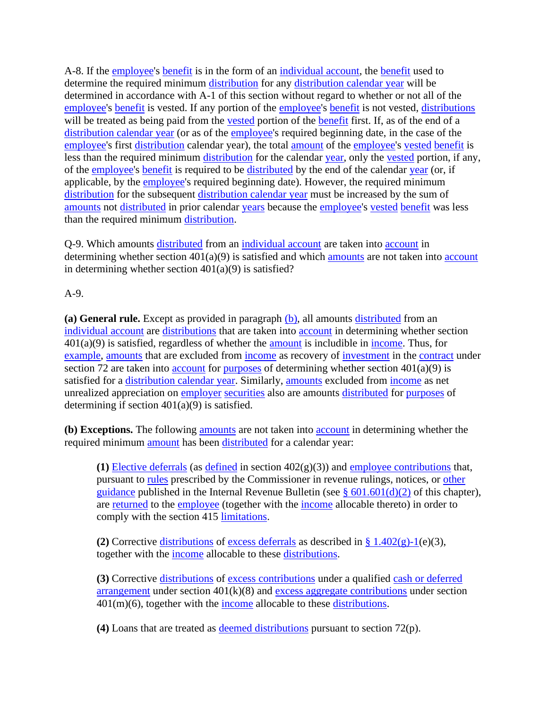A-8. If the [employee'](https://www.law.cornell.edu/definitions/index.php?width=840&height=800&iframe=true&def_id=5d8fbd8ea279aa8f9f55233cd860b35d&term_occur=999&term_src=Title:26:Chapter:I:Subchapter:A:Part:1:Subjgrp:2:1.401(a)(9)-5)s [benefit](https://www.law.cornell.edu/definitions/index.php?width=840&height=800&iframe=true&def_id=d182633c42c881f75c8112278d830a5d&term_occur=999&term_src=Title:26:Chapter:I:Subchapter:A:Part:1:Subjgrp:2:1.401(a)(9)-5) is in the form of an [individual account,](https://www.law.cornell.edu/definitions/index.php?width=840&height=800&iframe=true&def_id=35b582a493b393a320c977ceaae6cc93&term_occur=999&term_src=Title:26:Chapter:I:Subchapter:A:Part:1:Subjgrp:2:1.401(a)(9)-5) the [benefit](https://www.law.cornell.edu/definitions/index.php?width=840&height=800&iframe=true&def_id=d182633c42c881f75c8112278d830a5d&term_occur=999&term_src=Title:26:Chapter:I:Subchapter:A:Part:1:Subjgrp:2:1.401(a)(9)-5) used to determine the required minimum [distribution](https://www.law.cornell.edu/definitions/index.php?width=840&height=800&iframe=true&def_id=c77697945d34b55b17c827aaeb8358b9&term_occur=999&term_src=Title:26:Chapter:I:Subchapter:A:Part:1:Subjgrp:2:1.401(a)(9)-5) for any [distribution calendar year](https://www.law.cornell.edu/definitions/index.php?width=840&height=800&iframe=true&def_id=1368c1115b8accd5c0299dd351c5ce12&term_occur=999&term_src=Title:26:Chapter:I:Subchapter:A:Part:1:Subjgrp:2:1.401(a)(9)-5) will be determined in accordance with A-1 of this section without regard to whether or not all of the [employee's](https://www.law.cornell.edu/definitions/index.php?width=840&height=800&iframe=true&def_id=5d8fbd8ea279aa8f9f55233cd860b35d&term_occur=999&term_src=Title:26:Chapter:I:Subchapter:A:Part:1:Subjgrp:2:1.401(a)(9)-5) [benefit](https://www.law.cornell.edu/definitions/index.php?width=840&height=800&iframe=true&def_id=d182633c42c881f75c8112278d830a5d&term_occur=999&term_src=Title:26:Chapter:I:Subchapter:A:Part:1:Subjgrp:2:1.401(a)(9)-5) is vested. If any portion of the [employee's](https://www.law.cornell.edu/definitions/index.php?width=840&height=800&iframe=true&def_id=5d8fbd8ea279aa8f9f55233cd860b35d&term_occur=999&term_src=Title:26:Chapter:I:Subchapter:A:Part:1:Subjgrp:2:1.401(a)(9)-5) benefit is not vested, [distributions](https://www.law.cornell.edu/definitions/index.php?width=840&height=800&iframe=true&def_id=e8d476c1b4aba17778317e7d24ab594a&term_occur=999&term_src=Title:26:Chapter:I:Subchapter:A:Part:1:Subjgrp:2:1.401(a)(9)-5) will be treated as being paid from the [vested](https://www.law.cornell.edu/definitions/index.php?width=840&height=800&iframe=true&def_id=215ba60a3fbd487a873a979cdea479c4&term_occur=999&term_src=Title:26:Chapter:I:Subchapter:A:Part:1:Subjgrp:2:1.401(a)(9)-5) portion of the [benefit](https://www.law.cornell.edu/definitions/index.php?width=840&height=800&iframe=true&def_id=d182633c42c881f75c8112278d830a5d&term_occur=999&term_src=Title:26:Chapter:I:Subchapter:A:Part:1:Subjgrp:2:1.401(a)(9)-5) first. If, as of the end of a [distribution calendar year](https://www.law.cornell.edu/definitions/index.php?width=840&height=800&iframe=true&def_id=1368c1115b8accd5c0299dd351c5ce12&term_occur=999&term_src=Title:26:Chapter:I:Subchapter:A:Part:1:Subjgrp:2:1.401(a)(9)-5) (or as of the [employee'](https://www.law.cornell.edu/definitions/index.php?width=840&height=800&iframe=true&def_id=5d8fbd8ea279aa8f9f55233cd860b35d&term_occur=999&term_src=Title:26:Chapter:I:Subchapter:A:Part:1:Subjgrp:2:1.401(a)(9)-5)s required beginning date, in the case of the [employee's](https://www.law.cornell.edu/definitions/index.php?width=840&height=800&iframe=true&def_id=5d8fbd8ea279aa8f9f55233cd860b35d&term_occur=999&term_src=Title:26:Chapter:I:Subchapter:A:Part:1:Subjgrp:2:1.401(a)(9)-5) first [distribution](https://www.law.cornell.edu/definitions/index.php?width=840&height=800&iframe=true&def_id=c77697945d34b55b17c827aaeb8358b9&term_occur=999&term_src=Title:26:Chapter:I:Subchapter:A:Part:1:Subjgrp:2:1.401(a)(9)-5) calendar year), the total [amount](https://www.law.cornell.edu/definitions/index.php?width=840&height=800&iframe=true&def_id=661fb5529bda5e7b12e0c516a1a1473f&term_occur=999&term_src=Title:26:Chapter:I:Subchapter:A:Part:1:Subjgrp:2:1.401(a)(9)-5) of the [employee's](https://www.law.cornell.edu/definitions/index.php?width=840&height=800&iframe=true&def_id=5d8fbd8ea279aa8f9f55233cd860b35d&term_occur=999&term_src=Title:26:Chapter:I:Subchapter:A:Part:1:Subjgrp:2:1.401(a)(9)-5) [vested](https://www.law.cornell.edu/definitions/index.php?width=840&height=800&iframe=true&def_id=215ba60a3fbd487a873a979cdea479c4&term_occur=999&term_src=Title:26:Chapter:I:Subchapter:A:Part:1:Subjgrp:2:1.401(a)(9)-5) [benefit](https://www.law.cornell.edu/definitions/index.php?width=840&height=800&iframe=true&def_id=d182633c42c881f75c8112278d830a5d&term_occur=999&term_src=Title:26:Chapter:I:Subchapter:A:Part:1:Subjgrp:2:1.401(a)(9)-5) is less than the required minimum [distribution](https://www.law.cornell.edu/definitions/index.php?width=840&height=800&iframe=true&def_id=c77697945d34b55b17c827aaeb8358b9&term_occur=999&term_src=Title:26:Chapter:I:Subchapter:A:Part:1:Subjgrp:2:1.401(a)(9)-5) for the calendar [year,](https://www.law.cornell.edu/definitions/index.php?width=840&height=800&iframe=true&def_id=41a60a8d42ad9f7a78551674b98031a8&term_occur=999&term_src=Title:26:Chapter:I:Subchapter:A:Part:1:Subjgrp:2:1.401(a)(9)-5) only the [vested](https://www.law.cornell.edu/definitions/index.php?width=840&height=800&iframe=true&def_id=215ba60a3fbd487a873a979cdea479c4&term_occur=999&term_src=Title:26:Chapter:I:Subchapter:A:Part:1:Subjgrp:2:1.401(a)(9)-5) portion, if any, of the [employee's](https://www.law.cornell.edu/definitions/index.php?width=840&height=800&iframe=true&def_id=5d8fbd8ea279aa8f9f55233cd860b35d&term_occur=999&term_src=Title:26:Chapter:I:Subchapter:A:Part:1:Subjgrp:2:1.401(a)(9)-5) [benefit](https://www.law.cornell.edu/definitions/index.php?width=840&height=800&iframe=true&def_id=d182633c42c881f75c8112278d830a5d&term_occur=999&term_src=Title:26:Chapter:I:Subchapter:A:Part:1:Subjgrp:2:1.401(a)(9)-5) is required to be [distributed](https://www.law.cornell.edu/definitions/index.php?width=840&height=800&iframe=true&def_id=04e98b7c1e36a49ad26f498d5f78fe8c&term_occur=999&term_src=Title:26:Chapter:I:Subchapter:A:Part:1:Subjgrp:2:1.401(a)(9)-5) by the end of the calendar [year](https://www.law.cornell.edu/definitions/index.php?width=840&height=800&iframe=true&def_id=41a60a8d42ad9f7a78551674b98031a8&term_occur=999&term_src=Title:26:Chapter:I:Subchapter:A:Part:1:Subjgrp:2:1.401(a)(9)-5) (or, if applicable, by the [employee's](https://www.law.cornell.edu/definitions/index.php?width=840&height=800&iframe=true&def_id=5d8fbd8ea279aa8f9f55233cd860b35d&term_occur=999&term_src=Title:26:Chapter:I:Subchapter:A:Part:1:Subjgrp:2:1.401(a)(9)-5) required beginning date). However, the required minimum [distribution](https://www.law.cornell.edu/definitions/index.php?width=840&height=800&iframe=true&def_id=c77697945d34b55b17c827aaeb8358b9&term_occur=999&term_src=Title:26:Chapter:I:Subchapter:A:Part:1:Subjgrp:2:1.401(a)(9)-5) for the subsequent [distribution calendar year](https://www.law.cornell.edu/definitions/index.php?width=840&height=800&iframe=true&def_id=1368c1115b8accd5c0299dd351c5ce12&term_occur=999&term_src=Title:26:Chapter:I:Subchapter:A:Part:1:Subjgrp:2:1.401(a)(9)-5) must be increased by the sum of [amounts](https://www.law.cornell.edu/definitions/index.php?width=840&height=800&iframe=true&def_id=661fb5529bda5e7b12e0c516a1a1473f&term_occur=999&term_src=Title:26:Chapter:I:Subchapter:A:Part:1:Subjgrp:2:1.401(a)(9)-5) not [distributed](https://www.law.cornell.edu/definitions/index.php?width=840&height=800&iframe=true&def_id=04e98b7c1e36a49ad26f498d5f78fe8c&term_occur=999&term_src=Title:26:Chapter:I:Subchapter:A:Part:1:Subjgrp:2:1.401(a)(9)-5) in prior calendar [years](https://www.law.cornell.edu/definitions/index.php?width=840&height=800&iframe=true&def_id=41a60a8d42ad9f7a78551674b98031a8&term_occur=999&term_src=Title:26:Chapter:I:Subchapter:A:Part:1:Subjgrp:2:1.401(a)(9)-5) because the [employee'](https://www.law.cornell.edu/definitions/index.php?width=840&height=800&iframe=true&def_id=5d8fbd8ea279aa8f9f55233cd860b35d&term_occur=999&term_src=Title:26:Chapter:I:Subchapter:A:Part:1:Subjgrp:2:1.401(a)(9)-5)s [vested](https://www.law.cornell.edu/definitions/index.php?width=840&height=800&iframe=true&def_id=215ba60a3fbd487a873a979cdea479c4&term_occur=999&term_src=Title:26:Chapter:I:Subchapter:A:Part:1:Subjgrp:2:1.401(a)(9)-5) [benefit](https://www.law.cornell.edu/definitions/index.php?width=840&height=800&iframe=true&def_id=d182633c42c881f75c8112278d830a5d&term_occur=999&term_src=Title:26:Chapter:I:Subchapter:A:Part:1:Subjgrp:2:1.401(a)(9)-5) was less than the required minimum [distribution.](https://www.law.cornell.edu/definitions/index.php?width=840&height=800&iframe=true&def_id=c77697945d34b55b17c827aaeb8358b9&term_occur=999&term_src=Title:26:Chapter:I:Subchapter:A:Part:1:Subjgrp:2:1.401(a)(9)-5)

Q-9. Which amounts [distributed](https://www.law.cornell.edu/definitions/index.php?width=840&height=800&iframe=true&def_id=04e98b7c1e36a49ad26f498d5f78fe8c&term_occur=999&term_src=Title:26:Chapter:I:Subchapter:A:Part:1:Subjgrp:2:1.401(a)(9)-5) from an [individual account](https://www.law.cornell.edu/definitions/index.php?width=840&height=800&iframe=true&def_id=35b582a493b393a320c977ceaae6cc93&term_occur=999&term_src=Title:26:Chapter:I:Subchapter:A:Part:1:Subjgrp:2:1.401(a)(9)-5) are taken into [account](https://www.law.cornell.edu/definitions/index.php?width=840&height=800&iframe=true&def_id=c3b57a31fc226d7b84e26175afe251f2&term_occur=999&term_src=Title:26:Chapter:I:Subchapter:A:Part:1:Subjgrp:2:1.401(a)(9)-5) in determining whether section  $401(a)(9)$  is satisfied and which [amounts](https://www.law.cornell.edu/definitions/index.php?width=840&height=800&iframe=true&def_id=661fb5529bda5e7b12e0c516a1a1473f&term_occur=999&term_src=Title:26:Chapter:I:Subchapter:A:Part:1:Subjgrp:2:1.401(a)(9)-5) are not taken into [account](https://www.law.cornell.edu/definitions/index.php?width=840&height=800&iframe=true&def_id=c3b57a31fc226d7b84e26175afe251f2&term_occur=999&term_src=Title:26:Chapter:I:Subchapter:A:Part:1:Subjgrp:2:1.401(a)(9)-5) in determining whether section  $401(a)(9)$  is satisfied?

A-9.

**(a) General rule.** Except as provided in paragraph [\(b\),](https://www.law.cornell.edu/definitions/index.php?width=840&height=800&iframe=true&def_id=6aef00213f9cf73eb008d8bb08598aca&term_occur=999&term_src=Title:26:Chapter:I:Subchapter:A:Part:1:Subjgrp:2:1.401(a)(9)-5) all amounts [distributed](https://www.law.cornell.edu/definitions/index.php?width=840&height=800&iframe=true&def_id=04e98b7c1e36a49ad26f498d5f78fe8c&term_occur=999&term_src=Title:26:Chapter:I:Subchapter:A:Part:1:Subjgrp:2:1.401(a)(9)-5) from an [individual account](https://www.law.cornell.edu/definitions/index.php?width=840&height=800&iframe=true&def_id=35b582a493b393a320c977ceaae6cc93&term_occur=999&term_src=Title:26:Chapter:I:Subchapter:A:Part:1:Subjgrp:2:1.401(a)(9)-5) are [distributions](https://www.law.cornell.edu/definitions/index.php?width=840&height=800&iframe=true&def_id=e8d476c1b4aba17778317e7d24ab594a&term_occur=999&term_src=Title:26:Chapter:I:Subchapter:A:Part:1:Subjgrp:2:1.401(a)(9)-5) that are taken into [account](https://www.law.cornell.edu/definitions/index.php?width=840&height=800&iframe=true&def_id=c3b57a31fc226d7b84e26175afe251f2&term_occur=999&term_src=Title:26:Chapter:I:Subchapter:A:Part:1:Subjgrp:2:1.401(a)(9)-5) in determining whether section  $401(a)(9)$  is satisfied, regardless of whether the [amount](https://www.law.cornell.edu/definitions/index.php?width=840&height=800&iframe=true&def_id=661fb5529bda5e7b12e0c516a1a1473f&term_occur=999&term_src=Title:26:Chapter:I:Subchapter:A:Part:1:Subjgrp:2:1.401(a)(9)-5) is includible in [income.](https://www.law.cornell.edu/definitions/index.php?width=840&height=800&iframe=true&def_id=1c07283120860b02c14e93d17bce07df&term_occur=999&term_src=Title:26:Chapter:I:Subchapter:A:Part:1:Subjgrp:2:1.401(a)(9)-5) Thus, for [example,](https://www.law.cornell.edu/definitions/index.php?width=840&height=800&iframe=true&def_id=c4e66b7ed8777fb7f1eddccf398200c8&term_occur=999&term_src=Title:26:Chapter:I:Subchapter:A:Part:1:Subjgrp:2:1.401(a)(9)-5) [amounts](https://www.law.cornell.edu/definitions/index.php?width=840&height=800&iframe=true&def_id=661fb5529bda5e7b12e0c516a1a1473f&term_occur=999&term_src=Title:26:Chapter:I:Subchapter:A:Part:1:Subjgrp:2:1.401(a)(9)-5) that are excluded from [income](https://www.law.cornell.edu/definitions/index.php?width=840&height=800&iframe=true&def_id=1c07283120860b02c14e93d17bce07df&term_occur=999&term_src=Title:26:Chapter:I:Subchapter:A:Part:1:Subjgrp:2:1.401(a)(9)-5) as recovery of [investment](https://www.law.cornell.edu/definitions/index.php?width=840&height=800&iframe=true&def_id=f4998a4d20ab8f091d235ee8704ffd34&term_occur=999&term_src=Title:26:Chapter:I:Subchapter:A:Part:1:Subjgrp:2:1.401(a)(9)-5) in the [contract](https://www.law.cornell.edu/definitions/index.php?width=840&height=800&iframe=true&def_id=1cc802b55be2484dc63db0dc247aa463&term_occur=999&term_src=Title:26:Chapter:I:Subchapter:A:Part:1:Subjgrp:2:1.401(a)(9)-5) under section 72 are taken into [account](https://www.law.cornell.edu/definitions/index.php?width=840&height=800&iframe=true&def_id=c3b57a31fc226d7b84e26175afe251f2&term_occur=999&term_src=Title:26:Chapter:I:Subchapter:A:Part:1:Subjgrp:2:1.401(a)(9)-5) for [purposes](https://www.law.cornell.edu/definitions/index.php?width=840&height=800&iframe=true&def_id=0ad2de56cb198dce23b0b55179137f16&term_occur=999&term_src=Title:26:Chapter:I:Subchapter:A:Part:1:Subjgrp:2:1.401(a)(9)-5) of determining whether section  $401(a)(9)$  is satisfied for a [distribution calendar year.](https://www.law.cornell.edu/definitions/index.php?width=840&height=800&iframe=true&def_id=1368c1115b8accd5c0299dd351c5ce12&term_occur=999&term_src=Title:26:Chapter:I:Subchapter:A:Part:1:Subjgrp:2:1.401(a)(9)-5) Similarly, [amounts](https://www.law.cornell.edu/definitions/index.php?width=840&height=800&iframe=true&def_id=661fb5529bda5e7b12e0c516a1a1473f&term_occur=999&term_src=Title:26:Chapter:I:Subchapter:A:Part:1:Subjgrp:2:1.401(a)(9)-5) excluded from [income](https://www.law.cornell.edu/definitions/index.php?width=840&height=800&iframe=true&def_id=1c07283120860b02c14e93d17bce07df&term_occur=999&term_src=Title:26:Chapter:I:Subchapter:A:Part:1:Subjgrp:2:1.401(a)(9)-5) as net unrealized appreciation on [employer](https://www.law.cornell.edu/definitions/index.php?width=840&height=800&iframe=true&def_id=a5cce869de9e315a104504383941fa47&term_occur=999&term_src=Title:26:Chapter:I:Subchapter:A:Part:1:Subjgrp:2:1.401(a)(9)-5) [securities](https://www.law.cornell.edu/definitions/index.php?width=840&height=800&iframe=true&def_id=dab5aca5a8b12a2eb29b1b64d401d4c9&term_occur=999&term_src=Title:26:Chapter:I:Subchapter:A:Part:1:Subjgrp:2:1.401(a)(9)-5) also are amounts [distributed](https://www.law.cornell.edu/definitions/index.php?width=840&height=800&iframe=true&def_id=04e98b7c1e36a49ad26f498d5f78fe8c&term_occur=999&term_src=Title:26:Chapter:I:Subchapter:A:Part:1:Subjgrp:2:1.401(a)(9)-5) for [purposes](https://www.law.cornell.edu/definitions/index.php?width=840&height=800&iframe=true&def_id=0ad2de56cb198dce23b0b55179137f16&term_occur=999&term_src=Title:26:Chapter:I:Subchapter:A:Part:1:Subjgrp:2:1.401(a)(9)-5) of determining if section 401(a)(9) is satisfied.

**(b) Exceptions.** The following [amounts](https://www.law.cornell.edu/definitions/index.php?width=840&height=800&iframe=true&def_id=661fb5529bda5e7b12e0c516a1a1473f&term_occur=999&term_src=Title:26:Chapter:I:Subchapter:A:Part:1:Subjgrp:2:1.401(a)(9)-5) are not taken into [account](https://www.law.cornell.edu/definitions/index.php?width=840&height=800&iframe=true&def_id=c3b57a31fc226d7b84e26175afe251f2&term_occur=999&term_src=Title:26:Chapter:I:Subchapter:A:Part:1:Subjgrp:2:1.401(a)(9)-5) in determining whether the required minimum [amount](https://www.law.cornell.edu/definitions/index.php?width=840&height=800&iframe=true&def_id=661fb5529bda5e7b12e0c516a1a1473f&term_occur=999&term_src=Title:26:Chapter:I:Subchapter:A:Part:1:Subjgrp:2:1.401(a)(9)-5) has been [distributed](https://www.law.cornell.edu/definitions/index.php?width=840&height=800&iframe=true&def_id=04e98b7c1e36a49ad26f498d5f78fe8c&term_occur=999&term_src=Title:26:Chapter:I:Subchapter:A:Part:1:Subjgrp:2:1.401(a)(9)-5) for a calendar year:

**(1)** [Elective deferrals](https://www.law.cornell.edu/definitions/index.php?width=840&height=800&iframe=true&def_id=1671081247177519f323b8d8ea8ca461&term_occur=999&term_src=Title:26:Chapter:I:Subchapter:A:Part:1:Subjgrp:2:1.401(a)(9)-5) (as [defined](https://www.law.cornell.edu/definitions/index.php?width=840&height=800&iframe=true&def_id=9bc15e20ef3eaa4f45fd661aa756d465&term_occur=999&term_src=Title:26:Chapter:I:Subchapter:A:Part:1:Subjgrp:2:1.401(a)(9)-5) in section  $402(g)(3)$ ) and [employee contributions](https://www.law.cornell.edu/definitions/index.php?width=840&height=800&iframe=true&def_id=40748b8798492c6ec38584a5c1fb5021&term_occur=999&term_src=Title:26:Chapter:I:Subchapter:A:Part:1:Subjgrp:2:1.401(a)(9)-5) that, pursuant to [rules](https://www.law.cornell.edu/definitions/index.php?width=840&height=800&iframe=true&def_id=46bcdb5568d6a75306ff954291e17ab8&term_occur=999&term_src=Title:26:Chapter:I:Subchapter:A:Part:1:Subjgrp:2:1.401(a)(9)-5) prescribed by the Commissioner in revenue rulings, notices, or [other](https://www.law.cornell.edu/definitions/index.php?width=840&height=800&iframe=true&def_id=877da08eb53f0f0f856922cb184fc839&term_occur=999&term_src=Title:26:Chapter:I:Subchapter:A:Part:1:Subjgrp:2:1.401(a)(9)-5)  [guidance](https://www.law.cornell.edu/definitions/index.php?width=840&height=800&iframe=true&def_id=877da08eb53f0f0f856922cb184fc839&term_occur=999&term_src=Title:26:Chapter:I:Subchapter:A:Part:1:Subjgrp:2:1.401(a)(9)-5) published in the Internal Revenue Bulletin (see  $\frac{8}{10}$  601.601(d)(2) of this chapter), are [returned](https://www.law.cornell.edu/definitions/index.php?width=840&height=800&iframe=true&def_id=5094e5c4818e95bcf37407b8ddba53c5&term_occur=999&term_src=Title:26:Chapter:I:Subchapter:A:Part:1:Subjgrp:2:1.401(a)(9)-5) to the [employee](https://www.law.cornell.edu/definitions/index.php?width=840&height=800&iframe=true&def_id=5d8fbd8ea279aa8f9f55233cd860b35d&term_occur=999&term_src=Title:26:Chapter:I:Subchapter:A:Part:1:Subjgrp:2:1.401(a)(9)-5) (together with the [income](https://www.law.cornell.edu/definitions/index.php?width=840&height=800&iframe=true&def_id=1c07283120860b02c14e93d17bce07df&term_occur=999&term_src=Title:26:Chapter:I:Subchapter:A:Part:1:Subjgrp:2:1.401(a)(9)-5) allocable thereto) in order to comply with the section 415 [limitations.](https://www.law.cornell.edu/definitions/index.php?width=840&height=800&iframe=true&def_id=615db3161c5a297288116997c50753ae&term_occur=999&term_src=Title:26:Chapter:I:Subchapter:A:Part:1:Subjgrp:2:1.401(a)(9)-5)

**(2)** Corrective [distributions](https://www.law.cornell.edu/definitions/index.php?width=840&height=800&iframe=true&def_id=e8d476c1b4aba17778317e7d24ab594a&term_occur=999&term_src=Title:26:Chapter:I:Subchapter:A:Part:1:Subjgrp:2:1.401(a)(9)-5) of [excess deferrals](https://www.law.cornell.edu/definitions/index.php?width=840&height=800&iframe=true&def_id=4edfdfe04ff071be074cc74c5f922bb7&term_occur=999&term_src=Title:26:Chapter:I:Subchapter:A:Part:1:Subjgrp:2:1.401(a)(9)-5) as described in  $\S 1.402(g)$ -1(e)(3), together with the [income](https://www.law.cornell.edu/definitions/index.php?width=840&height=800&iframe=true&def_id=1c07283120860b02c14e93d17bce07df&term_occur=999&term_src=Title:26:Chapter:I:Subchapter:A:Part:1:Subjgrp:2:1.401(a)(9)-5) allocable to these [distributions.](https://www.law.cornell.edu/definitions/index.php?width=840&height=800&iframe=true&def_id=e8d476c1b4aba17778317e7d24ab594a&term_occur=999&term_src=Title:26:Chapter:I:Subchapter:A:Part:1:Subjgrp:2:1.401(a)(9)-5)

**(3)** Corrective [distributions](https://www.law.cornell.edu/definitions/index.php?width=840&height=800&iframe=true&def_id=e8d476c1b4aba17778317e7d24ab594a&term_occur=999&term_src=Title:26:Chapter:I:Subchapter:A:Part:1:Subjgrp:2:1.401(a)(9)-5) of [excess contributions](https://www.law.cornell.edu/definitions/index.php?width=840&height=800&iframe=true&def_id=4c8c832e1dd175e4548e026c0154c81d&term_occur=999&term_src=Title:26:Chapter:I:Subchapter:A:Part:1:Subjgrp:2:1.401(a)(9)-5) under a qualified [cash or deferred](https://www.law.cornell.edu/definitions/index.php?width=840&height=800&iframe=true&def_id=e6aa35ba89cec392183c2bf3440345e7&term_occur=999&term_src=Title:26:Chapter:I:Subchapter:A:Part:1:Subjgrp:2:1.401(a)(9)-5)  [arrangement](https://www.law.cornell.edu/definitions/index.php?width=840&height=800&iframe=true&def_id=e6aa35ba89cec392183c2bf3440345e7&term_occur=999&term_src=Title:26:Chapter:I:Subchapter:A:Part:1:Subjgrp:2:1.401(a)(9)-5) under section  $401(k)(8)$  and [excess aggregate contributions](https://www.law.cornell.edu/definitions/index.php?width=840&height=800&iframe=true&def_id=0befbe6514125d9fb7fb1462e2673633&term_occur=999&term_src=Title:26:Chapter:I:Subchapter:A:Part:1:Subjgrp:2:1.401(a)(9)-5) under section  $401(m)(6)$ , together with the [income](https://www.law.cornell.edu/definitions/index.php?width=840&height=800&iframe=true&def_id=1c07283120860b02c14e93d17bce07df&term_occur=999&term_src=Title:26:Chapter:I:Subchapter:A:Part:1:Subjgrp:2:1.401(a)(9)-5) allocable to these [distributions.](https://www.law.cornell.edu/definitions/index.php?width=840&height=800&iframe=true&def_id=e8d476c1b4aba17778317e7d24ab594a&term_occur=999&term_src=Title:26:Chapter:I:Subchapter:A:Part:1:Subjgrp:2:1.401(a)(9)-5)

**(4)** Loans that are treated as [deemed distributions](https://www.law.cornell.edu/definitions/index.php?width=840&height=800&iframe=true&def_id=a2a297a3546a1013dcd8c699d4159b94&term_occur=999&term_src=Title:26:Chapter:I:Subchapter:A:Part:1:Subjgrp:2:1.401(a)(9)-5) pursuant to section 72(p).